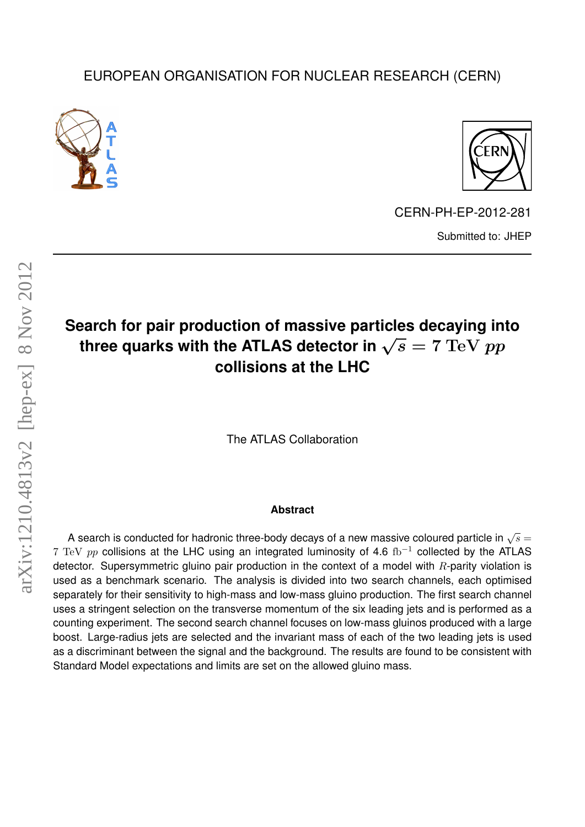# EUROPEAN ORGANISATION FOR NUCLEAR RESEARCH (CERN)





CERN-PH-EP-2012-281 Submitted to: JHEP

# **Search for pair production of massive particles decaying into** three quarks with the ATLAS detector in  $\sqrt{s} = 7 \text{ TeV } pp$ **collisions at the LHC**

The ATLAS Collaboration

### **Abstract**

A search is conducted for hadronic three-body decays of a new massive coloured particle in  $\sqrt{s} =$ 7 TeV  $pp$  collisions at the LHC using an integrated luminosity of 4.6 fb<sup>-1</sup> collected by the ATLAS detector. Supersymmetric gluino pair production in the context of a model with  $R$ -parity violation is used as a benchmark scenario. The analysis is divided into two search channels, each optimised separately for their sensitivity to high-mass and low-mass gluino production. The first search channel uses a stringent selection on the transverse momentum of the six leading jets and is performed as a counting experiment. The second search channel focuses on low-mass gluinos produced with a large boost. Large-radius jets are selected and the invariant mass of each of the two leading jets is used as a discriminant between the signal and the background. The results are found to be consistent with Standard Model expectations and limits are set on the allowed gluino mass.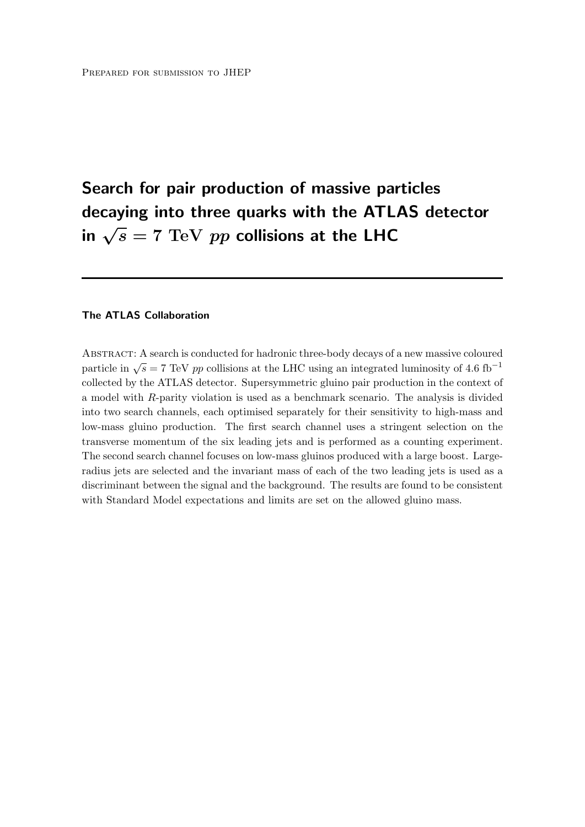# Search for pair production of massive particles decaying into three quarks with the ATLAS detector in  $\sqrt{s} = 7$  TeV pp collisions at the LHC

#### The ATLAS Collaboration

Abstract: A search is conducted for hadronic three-body decays of a new massive coloured particle in  $\sqrt{s} = 7$  TeV *pp* collisions at the LHC using an integrated luminosity of 4.6 fb<sup>-1</sup> collected by the ATLAS detector. Supersymmetric gluino pair production in the context of a model with R-parity violation is used as a benchmark scenario. The analysis is divided into two search channels, each optimised separately for their sensitivity to high-mass and low-mass gluino production. The first search channel uses a stringent selection on the transverse momentum of the six leading jets and is performed as a counting experiment. The second search channel focuses on low-mass gluinos produced with a large boost. Largeradius jets are selected and the invariant mass of each of the two leading jets is used as a discriminant between the signal and the background. The results are found to be consistent with Standard Model expectations and limits are set on the allowed gluino mass.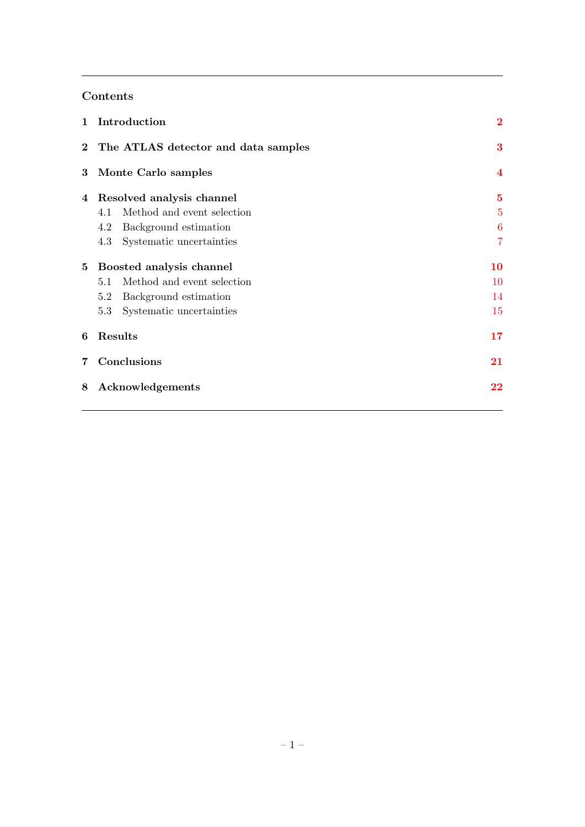## Contents

| $\mathbf{1}$ | Introduction                        | $\overline{2}$          |
|--------------|-------------------------------------|-------------------------|
| $\bf{2}$     | The ATLAS detector and data samples | 3                       |
| $\bf{3}$     | Monte Carlo samples                 | $\overline{\mathbf{4}}$ |
|              | 4 Resolved analysis channel         | $\bf{5}$                |
|              | Method and event selection<br>4.1   | 5                       |
|              | 4.2<br>Background estimation        | 6                       |
|              | 4.3<br>Systematic uncertainties     | $\overline{7}$          |
| 5            | Boosted analysis channel            | 10                      |
|              | Method and event selection<br>5.1   | 10                      |
|              | 5.2<br>Background estimation        | 14                      |
|              | Systematic uncertainties<br>5.3     | 15                      |
| 6            | Results                             | 17                      |
| 7            | Conclusions                         | 21                      |
| 8            | Acknowledgements                    | 22                      |
|              |                                     |                         |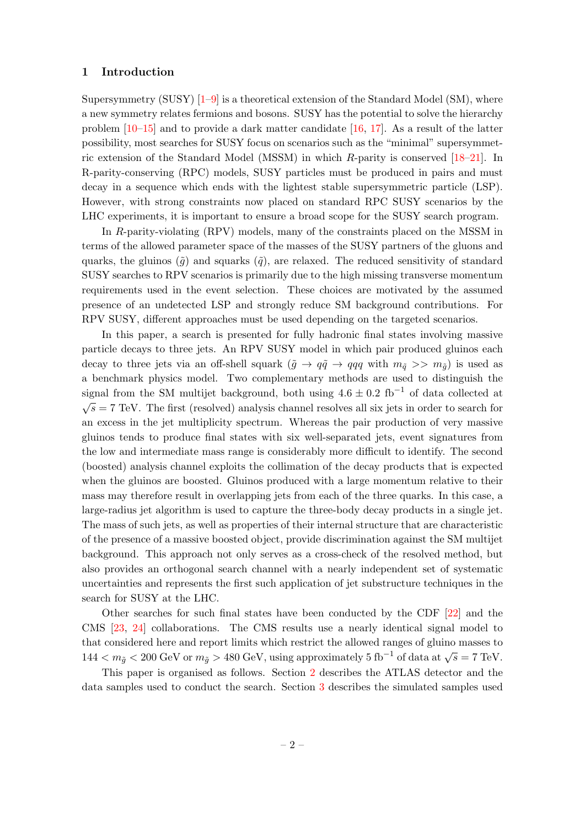#### <span id="page-3-0"></span>1 Introduction

Supersymmetry  $(SUSY)$  [\[1–](#page-24-0)[9\]](#page-24-1) is a theoretical extension of the Standard Model  $(SM)$ , where a new symmetry relates fermions and bosons. SUSY has the potential to solve the hierarchy problem  $[10-15]$  $[10-15]$  and to provide a dark matter candidate  $[16, 17]$  $[16, 17]$  $[16, 17]$ . As a result of the latter possibility, most searches for SUSY focus on scenarios such as the "minimal" supersymmetric extension of the Standard Model (MSSM) in which R-parity is conserved [\[18](#page-24-6)[–21\]](#page-25-0). In R-parity-conserving (RPC) models, SUSY particles must be produced in pairs and must decay in a sequence which ends with the lightest stable supersymmetric particle (LSP). However, with strong constraints now placed on standard RPC SUSY scenarios by the LHC experiments, it is important to ensure a broad scope for the SUSY search program.

In R-parity-violating (RPV) models, many of the constraints placed on the MSSM in terms of the allowed parameter space of the masses of the SUSY partners of the gluons and quarks, the gluinos ( $\tilde{g}$ ) and squarks ( $\tilde{q}$ ), are relaxed. The reduced sensitivity of standard SUSY searches to RPV scenarios is primarily due to the high missing transverse momentum requirements used in the event selection. These choices are motivated by the assumed presence of an undetected LSP and strongly reduce SM background contributions. For RPV SUSY, different approaches must be used depending on the targeted scenarios.

In this paper, a search is presented for fully hadronic final states involving massive particle decays to three jets. An RPV SUSY model in which pair produced gluinos each decay to three jets via an off-shell squark  $(\tilde{g} \to q\tilde{q} \to qqq \text{ with } m_{\tilde{q}} >> m_{\tilde{q}})$  is used as a benchmark physics model. Two complementary methods are used to distinguish the signal from the SM multijet background, both using  $4.6 \pm 0.2$  fb<sup>-1</sup> of data collected at  $\sqrt{s}$  = 7 TeV. The first (resolved) analysis channel resolves all six jets in order to search for an excess in the jet multiplicity spectrum. Whereas the pair production of very massive gluinos tends to produce final states with six well-separated jets, event signatures from the low and intermediate mass range is considerably more difficult to identify. The second (boosted) analysis channel exploits the collimation of the decay products that is expected when the gluinos are boosted. Gluinos produced with a large momentum relative to their mass may therefore result in overlapping jets from each of the three quarks. In this case, a large-radius jet algorithm is used to capture the three-body decay products in a single jet. The mass of such jets, as well as properties of their internal structure that are characteristic of the presence of a massive boosted object, provide discrimination against the SM multijet background. This approach not only serves as a cross-check of the resolved method, but also provides an orthogonal search channel with a nearly independent set of systematic uncertainties and represents the first such application of jet substructure techniques in the search for SUSY at the LHC.

Other searches for such final states have been conducted by the CDF [\[22\]](#page-25-1) and the CMS [\[23,](#page-25-2) [24\]](#page-25-3) collaborations. The CMS results use a nearly identical signal model to that considered here and report limits which restrict the allowed ranges of gluino masses to 144  $\lt m_{\tilde{g}} \lt 200$  GeV or  $m_{\tilde{g}} > 480$  GeV, using approximately 5 fb<sup>-1</sup> of data at  $\sqrt{s} = 7$  TeV.

This paper is organised as follows. Section [2](#page-4-0) describes the ATLAS detector and the data samples used to conduct the search. Section [3](#page-5-0) describes the simulated samples used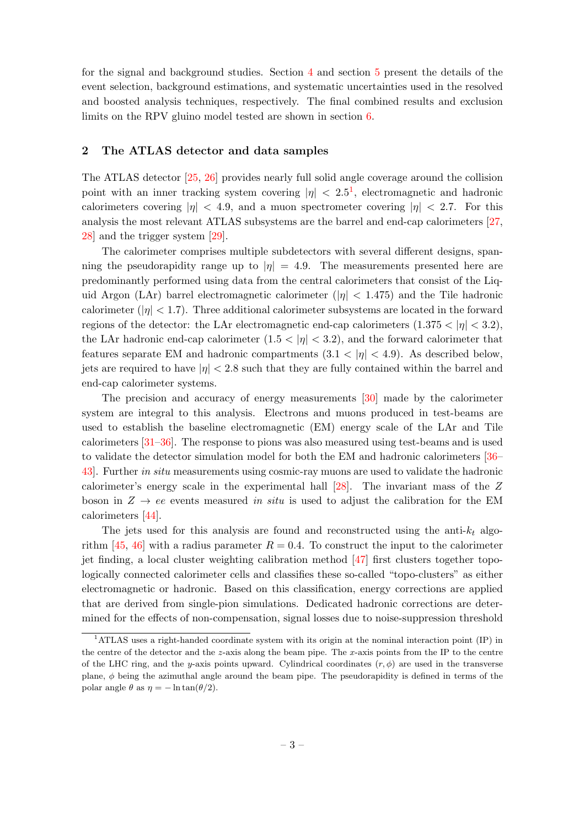for the signal and background studies. Section [4](#page-6-0) and section [5](#page-11-0) present the details of the event selection, background estimations, and systematic uncertainties used in the resolved and boosted analysis techniques, respectively. The final combined results and exclusion limits on the RPV gluino model tested are shown in section [6.](#page-18-0)

#### <span id="page-4-0"></span>2 The ATLAS detector and data samples

The ATLAS detector [\[25,](#page-25-4) [26\]](#page-25-5) provides nearly full solid angle coverage around the collision point with an inner tracking system covering  $|\eta|$   $\langle 2.5^1, 2.5^1 \rangle$  $\langle 2.5^1, 2.5^1 \rangle$  $\langle 2.5^1, 2.5^1 \rangle$  electromagnetic and hadronic calorimeters covering  $|\eta| < 4.9$ , and a muon spectrometer covering  $|\eta| < 2.7$ . For this analysis the most relevant ATLAS subsystems are the barrel and end-cap calorimeters [\[27,](#page-25-6) [28\]](#page-25-7) and the trigger system [\[29\]](#page-25-8).

The calorimeter comprises multiple subdetectors with several different designs, spanning the pseudorapidity range up to  $|\eta| = 4.9$ . The measurements presented here are predominantly performed using data from the central calorimeters that consist of the Liquid Argon (LAr) barrel electromagnetic calorimeter ( $|\eta| < 1.475$ ) and the Tile hadronic calorimeter ( $|\eta|$  < 1.7). Three additional calorimeter subsystems are located in the forward regions of the detector: the LAr electromagnetic end-cap calorimeters  $(1.375 < |\eta| < 3.2)$ , the LAr hadronic end-cap calorimeter  $(1.5 < |\eta| < 3.2)$ , and the forward calorimeter that features separate EM and hadronic compartments  $(3.1 < |\eta| < 4.9)$ . As described below, jets are required to have  $|\eta| < 2.8$  such that they are fully contained within the barrel and end-cap calorimeter systems.

The precision and accuracy of energy measurements [\[30\]](#page-25-9) made by the calorimeter system are integral to this analysis. Electrons and muons produced in test-beams are used to establish the baseline electromagnetic (EM) energy scale of the LAr and Tile calorimeters [\[31–](#page-25-10)[36\]](#page-25-11). The response to pions was also measured using test-beams and is used to validate the detector simulation model for both the EM and hadronic calorimeters [\[36–](#page-25-11) [43\]](#page-26-0). Further in situ measurements using cosmic-ray muons are used to validate the hadronic calorimeter's energy scale in the experimental hall [\[28\]](#page-25-7). The invariant mass of the Z boson in  $Z \to ee$  events measured in situ is used to adjust the calibration for the EM calorimeters [\[44\]](#page-26-1).

The jets used for this analysis are found and reconstructed using the anti- $k_t$  algo-rithm [\[45,](#page-26-2) [46\]](#page-26-3) with a radius parameter  $R = 0.4$ . To construct the input to the calorimeter jet finding, a local cluster weighting calibration method [\[47\]](#page-26-4) first clusters together topologically connected calorimeter cells and classifies these so-called "topo-clusters" as either electromagnetic or hadronic. Based on this classification, energy corrections are applied that are derived from single-pion simulations. Dedicated hadronic corrections are determined for the effects of non-compensation, signal losses due to noise-suppression threshold

<span id="page-4-1"></span><sup>1</sup>ATLAS uses a right-handed coordinate system with its origin at the nominal interaction point (IP) in the centre of the detector and the z-axis along the beam pipe. The x-axis points from the IP to the centre of the LHC ring, and the y-axis points upward. Cylindrical coordinates  $(r, \phi)$  are used in the transverse plane,  $\phi$  being the azimuthal angle around the beam pipe. The pseudorapidity is defined in terms of the polar angle  $\theta$  as  $\eta = -\ln \tan(\theta/2)$ .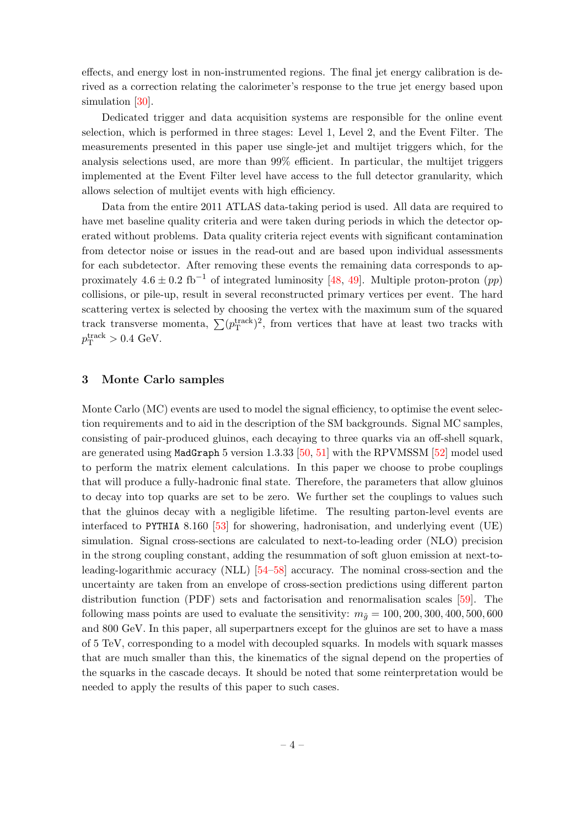effects, and energy lost in non-instrumented regions. The final jet energy calibration is derived as a correction relating the calorimeter's response to the true jet energy based upon simulation [\[30\]](#page-25-9).

Dedicated trigger and data acquisition systems are responsible for the online event selection, which is performed in three stages: Level 1, Level 2, and the Event Filter. The measurements presented in this paper use single-jet and multijet triggers which, for the analysis selections used, are more than 99% efficient. In particular, the multijet triggers implemented at the Event Filter level have access to the full detector granularity, which allows selection of multijet events with high efficiency.

Data from the entire 2011 ATLAS data-taking period is used. All data are required to have met baseline quality criteria and were taken during periods in which the detector operated without problems. Data quality criteria reject events with significant contamination from detector noise or issues in the read-out and are based upon individual assessments for each subdetector. After removing these events the remaining data corresponds to approximately  $4.6 \pm 0.2$  fb<sup>-1</sup> of integrated luminosity [\[48,](#page-26-5) [49\]](#page-26-6). Multiple proton-proton (pp) collisions, or pile-up, result in several reconstructed primary vertices per event. The hard scattering vertex is selected by choosing the vertex with the maximum sum of the squared track transverse momenta,  $\sum (p_T^{\text{track}})^2$ , from vertices that have at least two tracks with  $p_{\rm T}^{\rm track} > 0.4$  GeV.

#### <span id="page-5-0"></span>3 Monte Carlo samples

Monte Carlo (MC) events are used to model the signal efficiency, to optimise the event selection requirements and to aid in the description of the SM backgrounds. Signal MC samples, consisting of pair-produced gluinos, each decaying to three quarks via an off-shell squark, are generated using MadGraph 5 version 1.3.33 [\[50,](#page-26-7) [51\]](#page-26-8) with the RPVMSSM [\[52\]](#page-26-9) model used to perform the matrix element calculations. In this paper we choose to probe couplings that will produce a fully-hadronic final state. Therefore, the parameters that allow gluinos to decay into top quarks are set to be zero. We further set the couplings to values such that the gluinos decay with a negligible lifetime. The resulting parton-level events are interfaced to PYTHIA 8.160 [\[53\]](#page-26-10) for showering, hadronisation, and underlying event (UE) simulation. Signal cross-sections are calculated to next-to-leading order (NLO) precision in the strong coupling constant, adding the resummation of soft gluon emission at next-toleading-logarithmic accuracy (NLL) [\[54](#page-26-11)[–58\]](#page-27-0) accuracy. The nominal cross-section and the uncertainty are taken from an envelope of cross-section predictions using different parton distribution function (PDF) sets and factorisation and renormalisation scales [\[59\]](#page-27-1). The following mass points are used to evaluate the sensitivity:  $m_{\tilde{g}} = 100, 200, 300, 400, 500, 600$ and 800 GeV. In this paper, all superpartners except for the gluinos are set to have a mass of 5 TeV, corresponding to a model with decoupled squarks. In models with squark masses that are much smaller than this, the kinematics of the signal depend on the properties of the squarks in the cascade decays. It should be noted that some reinterpretation would be needed to apply the results of this paper to such cases.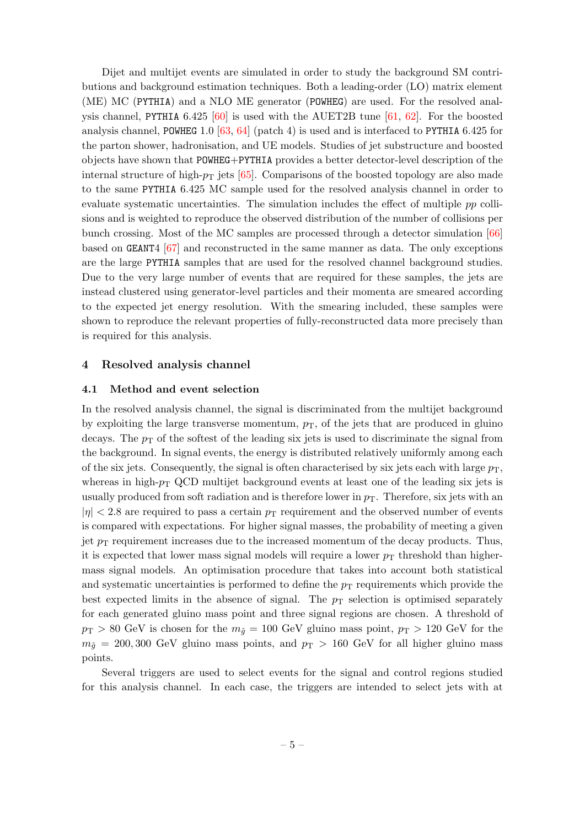Dijet and multijet events are simulated in order to study the background SM contributions and background estimation techniques. Both a leading-order (LO) matrix element (ME) MC (PYTHIA) and a NLO ME generator (POWHEG) are used. For the resolved anal-ysis channel, PYTHIA 6.425 [\[60\]](#page-27-2) is used with the AUET2B tune  $[61, 62]$  $[61, 62]$  $[61, 62]$ . For the boosted analysis channel, POWHEG 1.0 [\[63,](#page-27-5) [64\]](#page-27-6) (patch 4) is used and is interfaced to PYTHIA 6.425 for the parton shower, hadronisation, and UE models. Studies of jet substructure and boosted objects have shown that POWHEG+PYTHIA provides a better detector-level description of the internal structure of high- $p_T$  jets  $[65]$ . Comparisons of the boosted topology are also made to the same PYTHIA 6.425 MC sample used for the resolved analysis channel in order to evaluate systematic uncertainties. The simulation includes the effect of multiple pp collisions and is weighted to reproduce the observed distribution of the number of collisions per bunch crossing. Most of the MC samples are processed through a detector simulation  $[66]$ based on GEANT4 [\[67\]](#page-27-9) and reconstructed in the same manner as data. The only exceptions are the large PYTHIA samples that are used for the resolved channel background studies. Due to the very large number of events that are required for these samples, the jets are instead clustered using generator-level particles and their momenta are smeared according to the expected jet energy resolution. With the smearing included, these samples were shown to reproduce the relevant properties of fully-reconstructed data more precisely than is required for this analysis.

#### <span id="page-6-0"></span>4 Resolved analysis channel

#### <span id="page-6-1"></span>4.1 Method and event selection

In the resolved analysis channel, the signal is discriminated from the multijet background by exploiting the large transverse momentum,  $p<sub>T</sub>$ , of the jets that are produced in gluino decays. The  $p_T$  of the softest of the leading six jets is used to discriminate the signal from the background. In signal events, the energy is distributed relatively uniformly among each of the six jets. Consequently, the signal is often characterised by six jets each with large  $p_T$ , whereas in high- $p_{\rm T}$  QCD multijet background events at least one of the leading six jets is usually produced from soft radiation and is therefore lower in  $p<sub>T</sub>$ . Therefore, six jets with an  $|\eta|$  < 2.8 are required to pass a certain  $p<sub>T</sub>$  requirement and the observed number of events is compared with expectations. For higher signal masses, the probability of meeting a given jet  $p_T$  requirement increases due to the increased momentum of the decay products. Thus, it is expected that lower mass signal models will require a lower  $p<sub>T</sub>$  threshold than highermass signal models. An optimisation procedure that takes into account both statistical and systematic uncertainties is performed to define the  $p<sub>T</sub>$  requirements which provide the best expected limits in the absence of signal. The  $p<sub>T</sub>$  selection is optimised separately for each generated gluino mass point and three signal regions are chosen. A threshold of  $p_{\rm T} > 80$  GeV is chosen for the  $m_{\tilde{q}} = 100$  GeV gluino mass point,  $p_{\rm T} > 120$  GeV for the  $m_{\tilde{q}} = 200,300$  GeV gluino mass points, and  $p_T > 160$  GeV for all higher gluino mass points.

Several triggers are used to select events for the signal and control regions studied for this analysis channel. In each case, the triggers are intended to select jets with at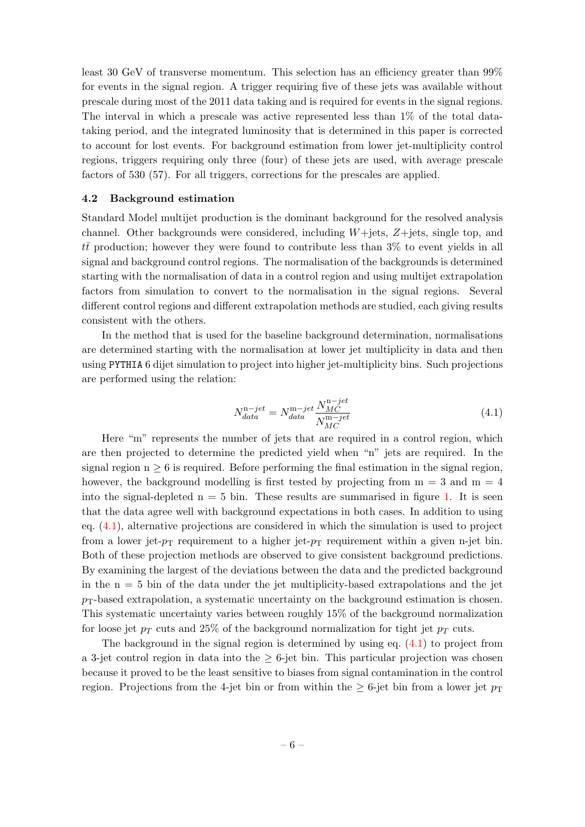least 30 GeV of transverse momentum. This selection has an efficiency greater than 99% for events in the signal region. A trigger requiring five of these jets was available without prescale during most of the 2011 data taking and is required for events in the signal regions. The interval in which a prescale was active represented less than 1% of the total datataking period, and the integrated luminosity that is determined in this paper is corrected to account for lost events. For background estimation from lower jet-multiplicity control regions, triggers requiring only three (four) of these jets are used, with average prescale factors of 530 (57). For all triggers, corrections for the prescales are applied.

#### <span id="page-7-0"></span>4.2 Background estimation

Standard Model multijet production is the dominant background for the resolved analysis channel. Other backgrounds were considered, including  $W+$ jets,  $Z+$ jets, single top, and  $t\bar{t}$  production; however they were found to contribute less than 3% to event yields in all signal and background control regions. The normalisation of the backgrounds is determined starting with the normalisation of data in a control region and using multijet extrapolation factors from simulation to convert to the normalisation in the signal regions. Several different control regions and different extrapolation methods are studied, each giving results consistent with the others.

In the method that is used for the baseline background determination, normalisations are determined starting with the normalisation at lower jet multiplicity in data and then using PYTHIA 6 dijet simulation to project into higher jet-multiplicity bins. Such projections are performed using the relation:

<span id="page-7-1"></span>
$$
N_{data}^{\mathbf{n}-jet} = N_{data}^{\mathbf{m}-jet} \frac{N_{MC}^{\mathbf{n}-jet}}{N_{MC}^{\mathbf{m}-jet}} \tag{4.1}
$$

Here "m" represents the number of jets that are required in a control region, which are then projected to determine the predicted yield when "n" jets are required. In the signal region  $n \geq 6$  is required. Before performing the final estimation in the signal region, however, the background modelling is first tested by projecting from  $m = 3$  and  $m = 4$ into the signal-depleted  $n = 5$  bin. These results are summarised in figure [1.](#page-9-0) It is seen that the data agree well with background expectations in both cases. In addition to using eq. [\(4.1\)](#page-7-1), alternative projections are considered in which the simulation is used to project from a lower jet- $p_T$  requirement to a higher jet- $p_T$  requirement within a given n-jet bin. Both of these projection methods are observed to give consistent background predictions. By examining the largest of the deviations between the data and the predicted background in the  $n = 5$  bin of the data under the jet multiplicity-based extrapolations and the jet  $p_T$ -based extrapolation, a systematic uncertainty on the background estimation is chosen. This systematic uncertainty varies between roughly 15% of the background normalization for loose jet  $p_T$  cuts and 25% of the background normalization for tight jet  $p_T$  cuts.

The background in the signal region is determined by using eq. [\(4.1\)](#page-7-1) to project from a 3-jet control region in data into the  $\geq 6$ -jet bin. This particular projection was chosen because it proved to be the least sensitive to biases from signal contamination in the control region. Projections from the 4-jet bin or from within the  $\geq 6$ -jet bin from a lower jet  $p_T$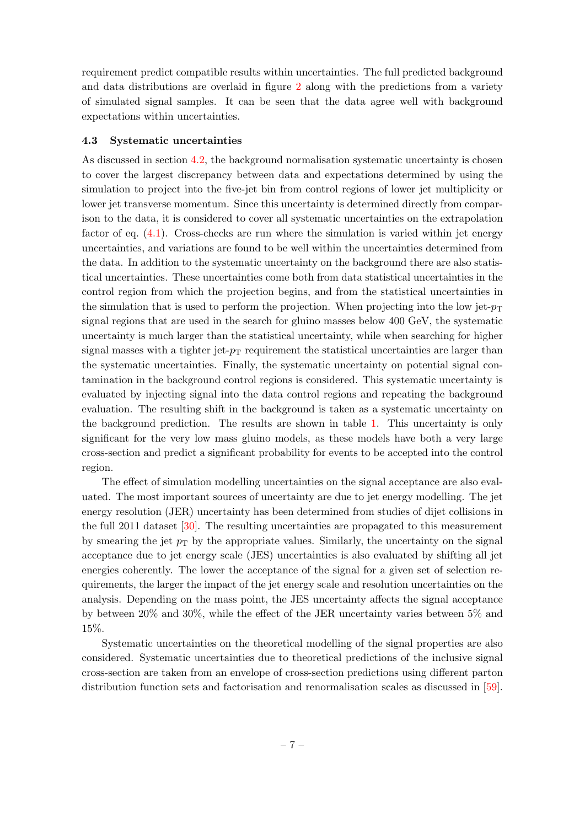requirement predict compatible results within uncertainties. The full predicted background and data distributions are overlaid in figure [2](#page-9-1) along with the predictions from a variety of simulated signal samples. It can be seen that the data agree well with background expectations within uncertainties.

#### <span id="page-8-0"></span>4.3 Systematic uncertainties

As discussed in section [4.2,](#page-7-0) the background normalisation systematic uncertainty is chosen to cover the largest discrepancy between data and expectations determined by using the simulation to project into the five-jet bin from control regions of lower jet multiplicity or lower jet transverse momentum. Since this uncertainty is determined directly from comparison to the data, it is considered to cover all systematic uncertainties on the extrapolation factor of eq.  $(4.1)$ . Cross-checks are run where the simulation is varied within jet energy uncertainties, and variations are found to be well within the uncertainties determined from the data. In addition to the systematic uncertainty on the background there are also statistical uncertainties. These uncertainties come both from data statistical uncertainties in the control region from which the projection begins, and from the statistical uncertainties in the simulation that is used to perform the projection. When projecting into the low jet- $p_T$ signal regions that are used in the search for gluino masses below 400 GeV, the systematic uncertainty is much larger than the statistical uncertainty, while when searching for higher signal masses with a tighter jet- $p<sub>T</sub>$  requirement the statistical uncertainties are larger than the systematic uncertainties. Finally, the systematic uncertainty on potential signal contamination in the background control regions is considered. This systematic uncertainty is evaluated by injecting signal into the data control regions and repeating the background evaluation. The resulting shift in the background is taken as a systematic uncertainty on the background prediction. The results are shown in table [1.](#page-11-2) This uncertainty is only significant for the very low mass gluino models, as these models have both a very large cross-section and predict a significant probability for events to be accepted into the control region.

The effect of simulation modelling uncertainties on the signal acceptance are also evaluated. The most important sources of uncertainty are due to jet energy modelling. The jet energy resolution (JER) uncertainty has been determined from studies of dijet collisions in the full 2011 dataset [\[30\]](#page-25-9). The resulting uncertainties are propagated to this measurement by smearing the jet  $p<sub>T</sub>$  by the appropriate values. Similarly, the uncertainty on the signal acceptance due to jet energy scale (JES) uncertainties is also evaluated by shifting all jet energies coherently. The lower the acceptance of the signal for a given set of selection requirements, the larger the impact of the jet energy scale and resolution uncertainties on the analysis. Depending on the mass point, the JES uncertainty affects the signal acceptance by between 20% and 30%, while the effect of the JER uncertainty varies between 5% and 15%.

Systematic uncertainties on the theoretical modelling of the signal properties are also considered. Systematic uncertainties due to theoretical predictions of the inclusive signal cross-section are taken from an envelope of cross-section predictions using different parton distribution function sets and factorisation and renormalisation scales as discussed in [\[59\]](#page-27-1).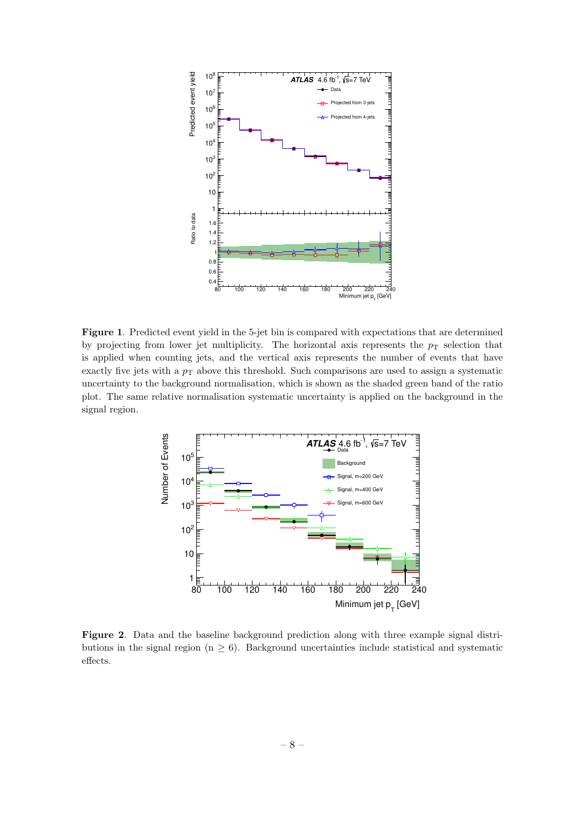

<span id="page-9-0"></span>Figure 1. Predicted event yield in the 5-jet bin is compared with expectations that are determined by projecting from lower jet multiplicity. The horizontal axis represents the  $p_T$  selection that is applied when counting jets, and the vertical axis represents the number of events that have exactly five jets with a  $p_T$  above this threshold. Such comparisons are used to assign a systematic uncertainty to the background normalisation, which is shown as the shaded green band of the ratio plot. The same relative normalisation systematic uncertainty is applied on the background in the signal region.



<span id="page-9-1"></span>Figure 2. Data and the baseline background prediction along with three example signal distributions in the signal region ( $n \geq 6$ ). Background uncertainties include statistical and systematic effects.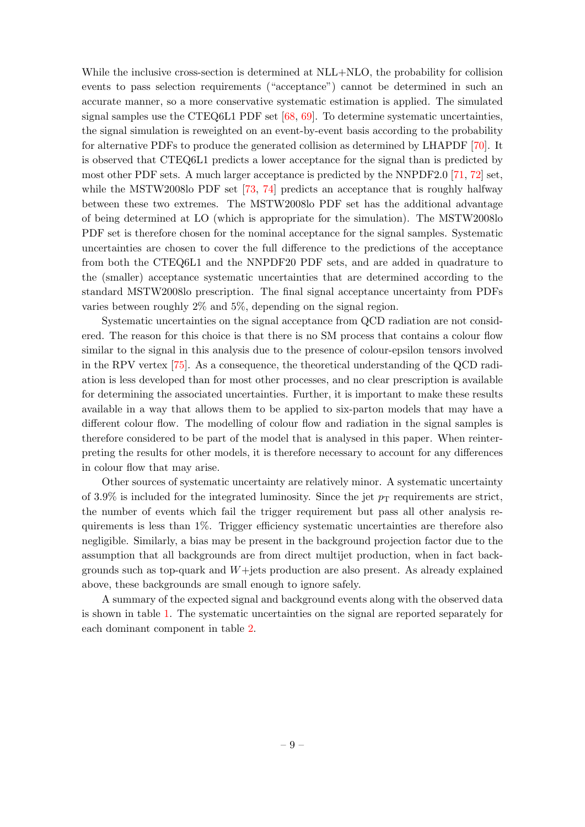While the inclusive cross-section is determined at NLL+NLO, the probability for collision events to pass selection requirements ("acceptance") cannot be determined in such an accurate manner, so a more conservative systematic estimation is applied. The simulated signal samples use the CTEQ6L1 PDF set  $[68, 69]$  $[68, 69]$  $[68, 69]$ . To determine systematic uncertainties, the signal simulation is reweighted on an event-by-event basis according to the probability for alternative PDFs to produce the generated collision as determined by LHAPDF [\[70\]](#page-27-12). It is observed that CTEQ6L1 predicts a lower acceptance for the signal than is predicted by most other PDF sets. A much larger acceptance is predicted by the NNPDF2.0 [\[71,](#page-27-13) [72\]](#page-27-14) set, while the MSTW2008lo PDF set [\[73,](#page-27-15) [74\]](#page-27-16) predicts an acceptance that is roughly halfway between these two extremes. The MSTW2008lo PDF set has the additional advantage of being determined at LO (which is appropriate for the simulation). The MSTW2008lo PDF set is therefore chosen for the nominal acceptance for the signal samples. Systematic uncertainties are chosen to cover the full difference to the predictions of the acceptance from both the CTEQ6L1 and the NNPDF20 PDF sets, and are added in quadrature to the (smaller) acceptance systematic uncertainties that are determined according to the standard MSTW2008lo prescription. The final signal acceptance uncertainty from PDFs varies between roughly 2% and 5%, depending on the signal region.

Systematic uncertainties on the signal acceptance from QCD radiation are not considered. The reason for this choice is that there is no SM process that contains a colour flow similar to the signal in this analysis due to the presence of colour-epsilon tensors involved in the RPV vertex [\[75\]](#page-27-17). As a consequence, the theoretical understanding of the QCD radiation is less developed than for most other processes, and no clear prescription is available for determining the associated uncertainties. Further, it is important to make these results available in a way that allows them to be applied to six-parton models that may have a different colour flow. The modelling of colour flow and radiation in the signal samples is therefore considered to be part of the model that is analysed in this paper. When reinterpreting the results for other models, it is therefore necessary to account for any differences in colour flow that may arise.

Other sources of systematic uncertainty are relatively minor. A systematic uncertainty of 3.9% is included for the integrated luminosity. Since the jet  $p_T$  requirements are strict, the number of events which fail the trigger requirement but pass all other analysis requirements is less than 1%. Trigger efficiency systematic uncertainties are therefore also negligible. Similarly, a bias may be present in the background projection factor due to the assumption that all backgrounds are from direct multijet production, when in fact backgrounds such as top-quark and  $W+$  jets production are also present. As already explained above, these backgrounds are small enough to ignore safely.

A summary of the expected signal and background events along with the observed data is shown in table [1.](#page-11-2) The systematic uncertainties on the signal are reported separately for each dominant component in table [2.](#page-11-3)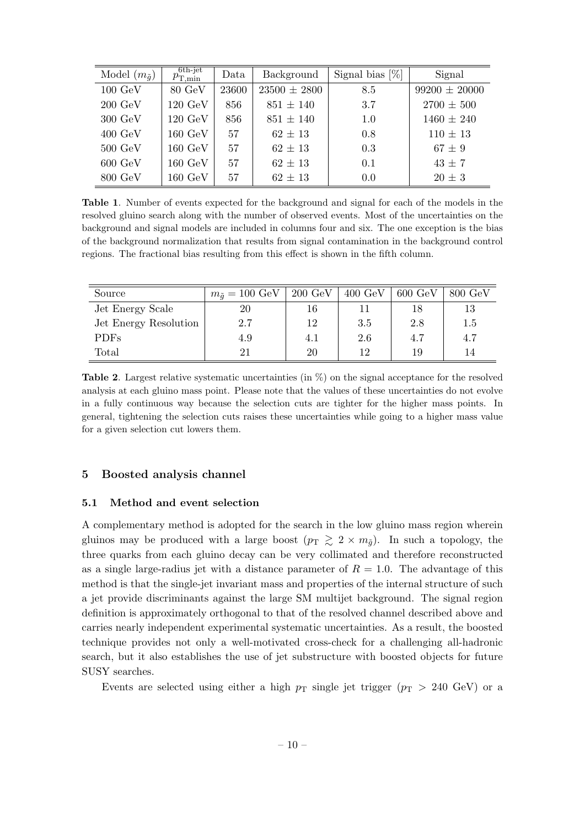| Model $(m_{\tilde{q}})$ | $p_{\text{T,min}}^{\text{6th-jet}}$ | Data  | Background       | Signal bias $[\%]$ | Signal            |
|-------------------------|-------------------------------------|-------|------------------|--------------------|-------------------|
| $100 \text{ GeV}$       | $80 \text{ GeV}$                    | 23600 | $23500 \pm 2800$ | 8.5                | $99200 \pm 20000$ |
| $200 \text{ GeV}$       | $120 \text{ GeV}$                   | 856   | $851 \pm 140$    | 3.7                | $2700 \pm 500$    |
| $300 \text{ GeV}$       | $120 \text{ GeV}$                   | 856   | $851 \pm 140$    | 1.0                | $1460 \pm 240$    |
| $400 \text{ GeV}$       | $160 \text{ GeV}$                   | 57    | $62 \pm 13$      | 0.8                | $110 \pm 13$      |
| $500 \text{ GeV}$       | $160 \text{ GeV}$                   | 57    | $62 \pm 13$      | 0.3                | $67 \pm 9$        |
| $600 \text{ GeV}$       | $160 \text{ GeV}$                   | 57    | $62 \pm 13$      | 0.1                | $43 \pm 7$        |
| $800 \text{ GeV}$       | $160 \text{ GeV}$                   | 57    | $62 \pm 13$      | 0.0                | $20 \pm 3$        |

<span id="page-11-2"></span>Table 1. Number of events expected for the background and signal for each of the models in the resolved gluino search along with the number of observed events. Most of the uncertainties on the background and signal models are included in columns four and six. The one exception is the bias of the background normalization that results from signal contamination in the background control regions. The fractional bias resulting from this effect is shown in the fifth column.

| Source                | $m_{\tilde{q}} = 100 \text{ GeV}$ | $200 \text{ GeV}$ | $400 \text{ GeV}$ | $600 \text{ GeV}$ | $800 \text{ GeV}$ |
|-----------------------|-----------------------------------|-------------------|-------------------|-------------------|-------------------|
| Jet Energy Scale      | 20                                | 16                | 11                | 18                | 13                |
| Jet Energy Resolution | 2.7                               | 12                | 3.5               | 2.8               | $1.5\,$           |
| <b>PDFs</b>           | 4.9                               | 4.1               | 2.6               | 4.7               | 4.7               |
| Total                 | 21                                | 20                | 19                | 19                | 14                |

<span id="page-11-3"></span>Table 2. Largest relative systematic uncertainties (in %) on the signal acceptance for the resolved analysis at each gluino mass point. Please note that the values of these uncertainties do not evolve in a fully continuous way because the selection cuts are tighter for the higher mass points. In general, tightening the selection cuts raises these uncertainties while going to a higher mass value for a given selection cut lowers them.

#### <span id="page-11-0"></span>5 Boosted analysis channel

#### <span id="page-11-1"></span>5.1 Method and event selection

A complementary method is adopted for the search in the low gluino mass region wherein gluinos may be produced with a large boost  $(p_T \geq 2 \times m_{\tilde{g}})$ . In such a topology, the three quarks from each gluino decay can be very collimated and therefore reconstructed as a single large-radius jet with a distance parameter of  $R = 1.0$ . The advantage of this method is that the single-jet invariant mass and properties of the internal structure of such a jet provide discriminants against the large SM multijet background. The signal region definition is approximately orthogonal to that of the resolved channel described above and carries nearly independent experimental systematic uncertainties. As a result, the boosted technique provides not only a well-motivated cross-check for a challenging all-hadronic search, but it also establishes the use of jet substructure with boosted objects for future SUSY searches.

Events are selected using either a high  $p_T$  single jet trigger  $(p_T > 240 \text{ GeV})$  or a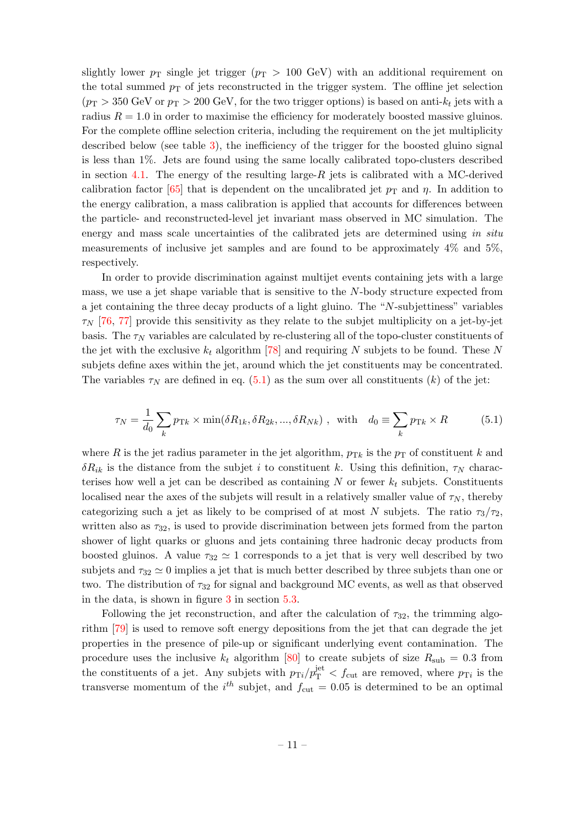slightly lower  $p_T$  single jet trigger  $(p_T > 100 \text{ GeV})$  with an additional requirement on the total summed  $p<sub>T</sub>$  of jets reconstructed in the trigger system. The offline jet selection  $(p_T > 350 \text{ GeV} \text{ or } p_T > 200 \text{ GeV}, \text{ for the two trigger options})$  is based on anti- $k_t$  jets with a radius  $R = 1.0$  in order to maximise the efficiency for moderately boosted massive gluinos. For the complete offline selection criteria, including the requirement on the jet multiplicity described below (see table [3\)](#page-14-0), the inefficiency of the trigger for the boosted gluino signal is less than 1%. Jets are found using the same locally calibrated topo-clusters described in section [4.1.](#page-6-1) The energy of the resulting large- $R$  jets is calibrated with a MC-derived calibration factor [\[65\]](#page-27-7) that is dependent on the uncalibrated jet  $p_T$  and  $\eta$ . In addition to the energy calibration, a mass calibration is applied that accounts for differences between the particle- and reconstructed-level jet invariant mass observed in MC simulation. The energy and mass scale uncertainties of the calibrated jets are determined using in situ measurements of inclusive jet samples and are found to be approximately 4% and 5%, respectively.

In order to provide discrimination against multijet events containing jets with a large mass, we use a jet shape variable that is sensitive to the N-body structure expected from a jet containing the three decay products of a light gluino. The "N-subjettiness" variables  $\tau_N$  [\[76,](#page-27-18) [77\]](#page-27-19) provide this sensitivity as they relate to the subjet multiplicity on a jet-by-jet basis. The  $\tau_N$  variables are calculated by re-clustering all of the topo-cluster constituents of the jet with the exclusive  $k_t$  algorithm [\[78\]](#page-28-0) and requiring N subjets to be found. These N subjets define axes within the jet, around which the jet constituents may be concentrated. The variables  $\tau_N$  are defined in eq. [\(5.1\)](#page-12-0) as the sum over all constituents (k) of the jet:

<span id="page-12-0"></span>
$$
\tau_N = \frac{1}{d_0} \sum_k p_{\text{Tk}} \times \min(\delta R_{1k}, \delta R_{2k}, ..., \delta R_{Nk}), \text{ with } d_0 \equiv \sum_k p_{\text{Tk}} \times R \tag{5.1}
$$

where R is the jet radius parameter in the jet algorithm,  $p_{\text{Tk}}$  is the  $p_{\text{T}}$  of constituent k and  $\delta R_{ik}$  is the distance from the subjet i to constituent k. Using this definition,  $\tau_N$  characterises how well a jet can be described as containing N or fewer  $k_t$  subjets. Constituents localised near the axes of the subjets will result in a relatively smaller value of  $\tau_N$ , thereby categorizing such a jet as likely to be comprised of at most N subjets. The ratio  $\tau_3/\tau_2$ , written also as  $\tau_{32}$ , is used to provide discrimination between jets formed from the parton shower of light quarks or gluons and jets containing three hadronic decay products from boosted gluinos. A value  $\tau_{32} \simeq 1$  corresponds to a jet that is very well described by two subjets and  $\tau_{32} \simeq 0$  implies a jet that is much better described by three subjets than one or two. The distribution of  $\tau_{32}$  for signal and background MC events, as well as that observed in the data, is shown in figure [3](#page-13-0) in section [5.3.](#page-16-0)

Following the jet reconstruction, and after the calculation of  $\tau_{32}$ , the trimming algorithm [\[79\]](#page-28-1) is used to remove soft energy depositions from the jet that can degrade the jet properties in the presence of pile-up or significant underlying event contamination. The procedure uses the inclusive  $k_t$  algorithm [\[80\]](#page-28-2) to create subjets of size  $R_{sub} = 0.3$  from the constituents of a jet. Any subjets with  $p_{Ti}/p_T^{\text{jet}} < f_{\text{cut}}$  are removed, where  $p_{Ti}$  is the transverse momentum of the  $i^{th}$  subjet, and  $f_{\text{cut}} = 0.05$  is determined to be an optimal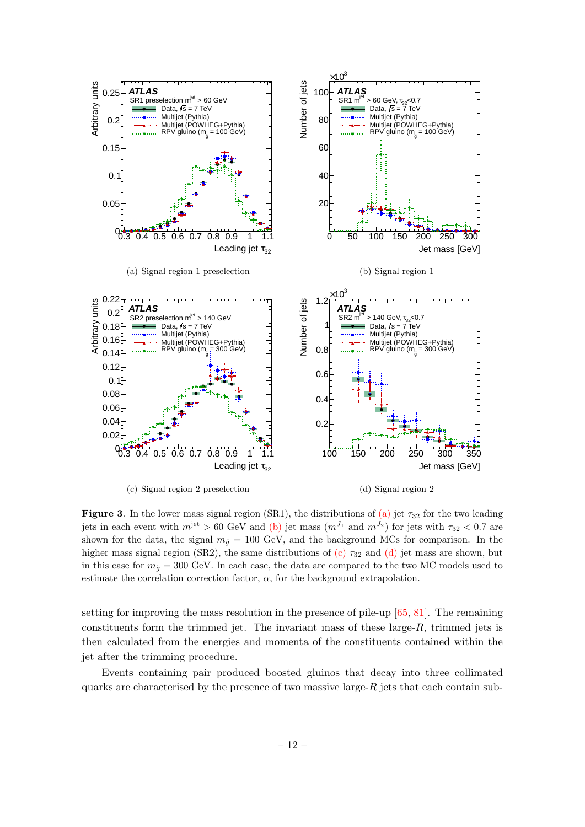<span id="page-13-2"></span><span id="page-13-1"></span>

<span id="page-13-4"></span><span id="page-13-3"></span><span id="page-13-0"></span>Figure 3. In the lower mass signal region (SR1), the distributions of [\(a\)](#page-13-1) jet  $\tau_{32}$  for the two leading jets in each event with  $m^{jet} > 60$  GeV and [\(b\)](#page-13-2) jet mass  $(m^{J_1} \text{ and } m^{J_2})$  for jets with  $\tau_{32} < 0.7$  are shown for the data, the signal  $m_{\tilde{q}} = 100 \text{ GeV}$ , and the background MCs for comparison. In the higher mass signal region (SR2), the same distributions of [\(c\)](#page-13-3)  $\tau_{32}$  and [\(d\)](#page-13-4) jet mass are shown, but in this case for  $m_{\tilde{q}} = 300$  GeV. In each case, the data are compared to the two MC models used to estimate the correlation correction factor,  $\alpha$ , for the background extrapolation.

setting for improving the mass resolution in the presence of pile-up  $[65, 81]$  $[65, 81]$  $[65, 81]$ . The remaining constituents form the trimmed jet. The invariant mass of these large- $R$ , trimmed jets is then calculated from the energies and momenta of the constituents contained within the jet after the trimming procedure.

Events containing pair produced boosted gluinos that decay into three collimated quarks are characterised by the presence of two massive large- $R$  jets that each contain sub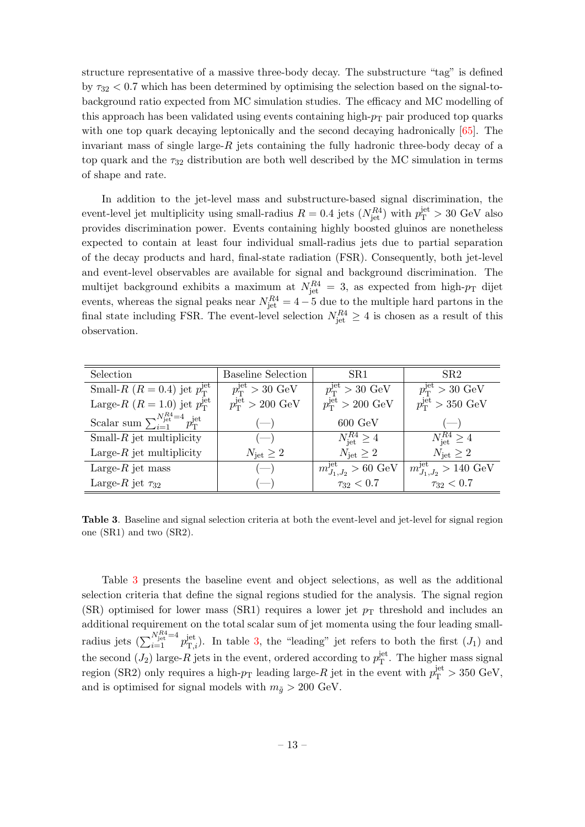structure representative of a massive three-body decay. The substructure "tag" is defined by  $\tau_{32}$  < 0.7 which has been determined by optimising the selection based on the signal-tobackground ratio expected from MC simulation studies. The efficacy and MC modelling of this approach has been validated using events containing high- $p<sub>T</sub>$  pair produced top quarks with one top quark decaying leptonically and the second decaying hadronically [\[65\]](#page-27-7). The invariant mass of single large- $R$  jets containing the fully hadronic three-body decay of a top quark and the  $\tau_{32}$  distribution are both well described by the MC simulation in terms of shape and rate.

In addition to the jet-level mass and substructure-based signal discrimination, the event-level jet multiplicity using small-radius  $R = 0.4$  jets  $(N_{jet}^{R4})$  with  $p_{\text{T}}^{\text{jet}} > 30 \text{ GeV}$  also provides discrimination power. Events containing highly boosted gluinos are nonetheless expected to contain at least four individual small-radius jets due to partial separation of the decay products and hard, final-state radiation (FSR). Consequently, both jet-level and event-level observables are available for signal and background discrimination. The multijet background exhibits a maximum at  $N_{jet}^{R4} = 3$ , as expected from high- $p_T$  dijet events, whereas the signal peaks near  $N_{jet}^{R4} = 4 - 5$  due to the multiple hard partons in the final state including FSR. The event-level selection  $N_{jet}^{R4} \geq 4$  is chosen as a result of this observation.

| Selection                                                        | <b>Baseline Selection</b>            | SR <sub>1</sub>                             | SR <sub>2</sub>                              |
|------------------------------------------------------------------|--------------------------------------|---------------------------------------------|----------------------------------------------|
| Small-R $(R = 0.4)$ jet $p_T^{\text{jet}}$                       | $p_T^{\text{jet}} > 30 \text{ GeV}$  | $p_T^{\text{jet}} > 30 \text{ GeV}$         | $p_T^{\text{jet}} > 30 \text{ GeV}$          |
| Large-R $(R = 1.0)$ jet $p_T^{\text{jet}}$                       | $p_T^{\text{jet}} > 200 \text{ GeV}$ | $p_T^{\text{jet}} > 200 \text{ GeV}$        | $p_{\rm T}^{\rm jet} > 350~{\rm GeV}$        |
| Scalar sum $\sum_{i=1}^{N_{\rm jet}^{R4}=4} p_{\rm T}^{\rm jet}$ | $(-)$                                | $600 \text{ GeV}$                           | $\equiv$ )                                   |
| Small- $R$ jet multiplicity                                      | $(-)$                                | $N_{\rm jet}^{R4} \geq 4$                   | $N_{\rm jet}^{R4} \geq 4$                    |
| Large- $R$ jet multiplicity                                      | $N_{\rm jet} \geq 2$                 | $N_{\rm jet} \geq 2$                        | $N_{\rm jet} \geq 2$                         |
| Large- $R$ jet mass                                              | $(-)$                                | $m_{J_1,J_2}^{\text{jet}} > 60 \text{ GeV}$ | $m_{J_1,J_2}^{\text{jet}} > 140 \text{ GeV}$ |
| Large-R jet $\tau_{32}$                                          | $($ — $)$                            | $\tau_{32} < 0.7$                           | $\tau_{32} < 0.7$                            |

<span id="page-14-0"></span>Table 3. Baseline and signal selection criteria at both the event-level and jet-level for signal region one (SR1) and two (SR2).

Table [3](#page-14-0) presents the baseline event and object selections, as well as the additional selection criteria that define the signal regions studied for the analysis. The signal region (SR) optimised for lower mass (SR1) requires a lower jet  $p<sub>T</sub>$  threshold and includes an additional requirement on the total scalar sum of jet momenta using the four leading smallradius jets  $(\sum_{i=1}^{N_{\text{jet}}^{R4}=4} p_{\text{T},i}^{\text{jet}})$ . In table [3,](#page-14-0) the "leading" jet refers to both the first  $(J_1)$  and the second  $(J_2)$  large-R jets in the event, ordered according to  $p_T^{\text{jet}}$  $T<sub>T</sub><sup>jet</sup>$ . The higher mass signal region (SR2) only requires a high- $p_T$  leading large-R jet in the event with  $p_T^{\text{jet}} > 350 \text{ GeV}$ , and is optimised for signal models with  $m_{\tilde{q}} > 200$  GeV.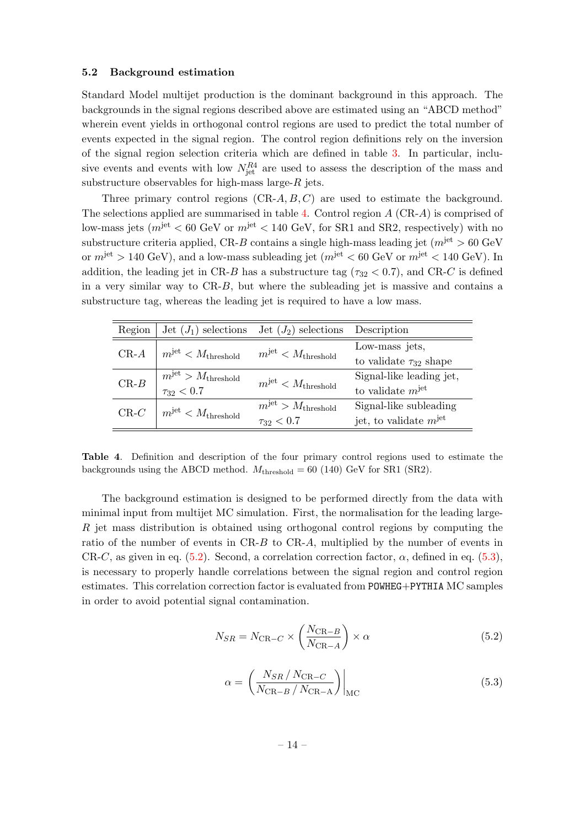#### <span id="page-15-0"></span>5.2 Background estimation

Standard Model multijet production is the dominant background in this approach. The backgrounds in the signal regions described above are estimated using an "ABCD method" wherein event yields in orthogonal control regions are used to predict the total number of events expected in the signal region. The control region definitions rely on the inversion of the signal region selection criteria which are defined in table [3.](#page-14-0) In particular, inclusive events and events with low  $N_{jet}^{R4}$  are used to assess the description of the mass and substructure observables for high-mass large- $R$  jets.

Three primary control regions  $(CR-A, B, C)$  are used to estimate the background. The selections applied are summarised in table [4.](#page-15-1) Control region A (CR-A) is comprised of low-mass jets ( $m^{\text{jet}}$  < 60 GeV or  $m^{\text{jet}}$  < 140 GeV, for SR1 and SR2, respectively) with no substructure criteria applied, CR-B contains a single high-mass leading jet  $(m^{jet} > 60 \text{ GeV})$ or  $m^{jet} > 140 \text{ GeV}$ , and a low-mass subleading jet  $(m^{jet} < 60 \text{ GeV}$  or  $m^{jet} < 140 \text{ GeV}$ ). In addition, the leading jet in CR-B has a substructure tag ( $\tau_{32}$  < 0.7), and CR-C is defined in a very similar way to  $CR-B$ , but where the subleading jet is massive and contains a substructure tag, whereas the leading jet is required to have a low mass.

| Region |                                                               | Jet $(J_1)$ selections Jet $(J_2)$ selections Description |                               |
|--------|---------------------------------------------------------------|-----------------------------------------------------------|-------------------------------|
|        | CR-A $\mid m^{\text{jet}} < M_{\text{threshold}}$             | $m^{\text{jet}} < M_{\text{threshold}}$                   | Low-mass jets,                |
|        |                                                               |                                                           | to validate $\tau_{32}$ shape |
| $CR-B$ | $\sqrt{m^{\rm jet}} > M_{\rm threshold}$<br>$\tau_{32} < 0.7$ | $m^{\rm jet} < M_{\rm threshold}$                         | Signal-like leading jet,      |
|        |                                                               |                                                           | to validate $m^{jet}$         |
|        | CR-C $\mid m^{\text{jet}} < M_{\text{threshold}}$             | $m^{\text{jet}} > M_{\text{threshold}}$                   | Signal-like subleading        |
|        |                                                               | $\tau_{32} < 0.7$                                         | jet, to validate $m^{jet}$    |

<span id="page-15-1"></span>Table 4. Definition and description of the four primary control regions used to estimate the backgrounds using the ABCD method.  $M_{\text{threshold}} = 60 (140) \text{ GeV}$  for SR1 (SR2).

The background estimation is designed to be performed directly from the data with minimal input from multijet MC simulation. First, the normalisation for the leading large-R jet mass distribution is obtained using orthogonal control regions by computing the ratio of the number of events in CR-B to CR-A, multiplied by the number of events in CR-C, as given in eq.  $(5.2)$ . Second, a correlation correction factor,  $\alpha$ , defined in eq.  $(5.3)$ , is necessary to properly handle correlations between the signal region and control region estimates. This correlation correction factor is evaluated from POWHEG+PYTHIA MC samples in order to avoid potential signal contamination.

<span id="page-15-2"></span>
$$
N_{SR} = N_{\text{CR}-C} \times \left(\frac{N_{\text{CR}-B}}{N_{\text{CR}-A}}\right) \times \alpha \tag{5.2}
$$

<span id="page-15-3"></span>
$$
\alpha = \left. \left( \frac{N_{SR} / N_{\rm CR-C}}{N_{\rm CR-B} / N_{\rm CR-A}} \right) \right|_{\rm MC} \tag{5.3}
$$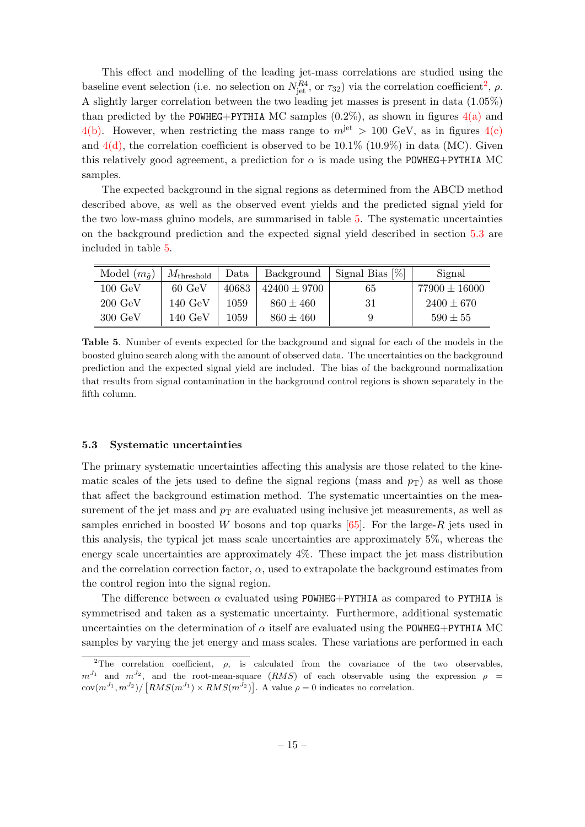This effect and modelling of the leading jet-mass correlations are studied using the baseline event selection (i.e. no selection on  $N_{\rm jet}^{R4}$ , or  $\tau_{32}$  $\tau_{32}$  $\tau_{32}$ ) via the correlation coefficient<sup>2</sup>,  $\rho$ . A slightly larger correlation between the two leading jet masses is present in data (1.05%) than predicted by the POWHEG+PYTHIA MC samples  $(0.2\%)$ , as shown in figures  $4(a)$  and [4\(b\).](#page-17-1) However, when restricting the mass range to  $m^{\text{jet}} > 100 \text{ GeV}$ , as in figures  $4(c)$ and  $4(d)$ , the correlation coefficient is observed to be  $10.1\%$  (10.9%) in data (MC). Given this relatively good agreement, a prediction for  $\alpha$  is made using the POWHEG+PYTHIA MC samples.

The expected background in the signal regions as determined from the ABCD method described above, as well as the observed event yields and the predicted signal yield for the two low-mass gluino models, are summarised in table [5.](#page-16-2) The systematic uncertainties on the background prediction and the expected signal yield described in section [5.3](#page-16-0) are included in table [5.](#page-16-2)

| Model $(m_{\tilde{a}})$ | $M_{\rm threshold}$ | Data  | <b>Background</b> | Signal Bias [%] | Signal            |
|-------------------------|---------------------|-------|-------------------|-----------------|-------------------|
| $100 \text{ GeV}$       | $60 \text{ GeV}$    | 40683 | $42400 \pm 9700$  | 65              | $77900 \pm 16000$ |
| $200 \text{ GeV}$       | $140 \text{ GeV}$   | 1059  | $860 \pm 460$     | 31              | $2400 \pm 670$    |
| $300 \text{ GeV}$       | $140 \text{ GeV}$   | 1059  | $860 \pm 460$     |                 | $590 \pm 55$      |

<span id="page-16-2"></span>Table 5. Number of events expected for the background and signal for each of the models in the boosted gluino search along with the amount of observed data. The uncertainties on the background prediction and the expected signal yield are included. The bias of the background normalization that results from signal contamination in the background control regions is shown separately in the fifth column.

#### <span id="page-16-0"></span>5.3 Systematic uncertainties

The primary systematic uncertainties affecting this analysis are those related to the kinematic scales of the jets used to define the signal regions (mass and  $p_T$ ) as well as those that affect the background estimation method. The systematic uncertainties on the measurement of the jet mass and  $p<sub>T</sub>$  are evaluated using inclusive jet measurements, as well as samples enriched in boosted W bosons and top quarks  $[65]$ . For the large-R jets used in this analysis, the typical jet mass scale uncertainties are approximately 5%, whereas the energy scale uncertainties are approximately 4%. These impact the jet mass distribution and the correlation correction factor,  $\alpha$ , used to extrapolate the background estimates from the control region into the signal region.

The difference between  $\alpha$  evaluated using POWHEG+PYTHIA as compared to PYTHIA is symmetrised and taken as a systematic uncertainty. Furthermore, additional systematic uncertainties on the determination of  $\alpha$  itself are evaluated using the POWHEG+PYTHIA MC samples by varying the jet energy and mass scales. These variations are performed in each

<span id="page-16-1"></span><sup>&</sup>lt;sup>2</sup>The correlation coefficient,  $\rho$ , is calculated from the covariance of the two observables,  $m^{J_1}$  and  $m^{J_2}$ , and the root-mean-square  $(RMS)$  of each observable using the expression  $\rho$  $cov(m^{J_1}, m^{J_2})/ [RMS(m^{J_1}) \times RMS(m^{J_2})]$ . A value  $\rho = 0$  indicates no correlation.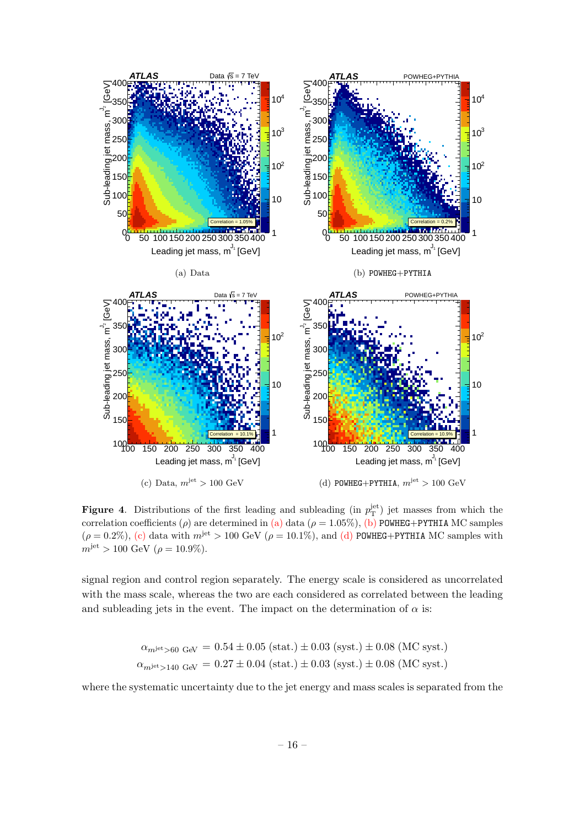<span id="page-17-1"></span><span id="page-17-0"></span>

<span id="page-17-3"></span><span id="page-17-2"></span>**Figure 4.** Distributions of the first leading and subleading (in  $p_T^{\text{jet}}$ ) jet masses from which the correlation coefficients ( $\rho$ ) are determined in [\(a\)](#page-17-0) data ( $\rho = 1.05\%$ ), [\(b\)](#page-17-1) POWHEG+PYTHIA MC samples  $(\rho = 0.2\%),$  [\(c\)](#page-17-2) data with  $m^{\text{jet}} > 100 \text{ GeV } (\rho = 10.1\%),$  and [\(d\)](#page-17-3) POWHEG+PYTHIA MC samples with  $m^{\text{jet}} > 100 \text{ GeV } (\rho = 10.9\%).$ 

signal region and control region separately. The energy scale is considered as uncorrelated with the mass scale, whereas the two are each considered as correlated between the leading and subleading jets in the event. The impact on the determination of  $\alpha$  is:

$$
\alpha_{m^{\text{jet}} > 60 \text{ GeV}} = 0.54 \pm 0.05 \text{ (stat.)} \pm 0.03 \text{ (syst.)} \pm 0.08 \text{ (MC syst.)}
$$
  

$$
\alpha_{m^{\text{jet}} > 140 \text{ GeV}} = 0.27 \pm 0.04 \text{ (stat.)} \pm 0.03 \text{ (syst.)} \pm 0.08 \text{ (MC syst.)}
$$

where the systematic uncertainty due to the jet energy and mass scales is separated from the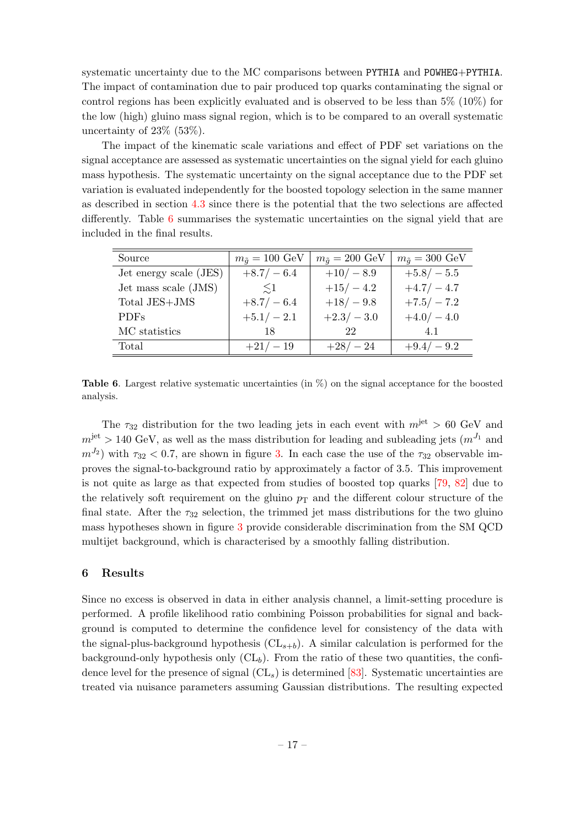systematic uncertainty due to the MC comparisons between PYTHIA and POWHEG+PYTHIA. The impact of contamination due to pair produced top quarks contaminating the signal or control regions has been explicitly evaluated and is observed to be less than 5% (10%) for the low (high) gluino mass signal region, which is to be compared to an overall systematic uncertainty of  $23\%$  (53%).

The impact of the kinematic scale variations and effect of PDF set variations on the signal acceptance are assessed as systematic uncertainties on the signal yield for each gluino mass hypothesis. The systematic uncertainty on the signal acceptance due to the PDF set variation is evaluated independently for the boosted topology selection in the same manner as described in section [4.3](#page-8-0) since there is the potential that the two selections are affected differently. Table [6](#page-18-1) summarises the systematic uncertainties on the signal yield that are included in the final results.

| Source                 | $m_{\tilde{q}} = 100 \text{ GeV}$ | $m_{\tilde{q}} = 200 \text{ GeV}$ | $m_{\tilde{q}} = 300 \text{ GeV}$ |
|------------------------|-----------------------------------|-----------------------------------|-----------------------------------|
| Jet energy scale (JES) | $+8.7/-6.4$                       | $+10/-8.9$                        | $+5.8/-5.5$                       |
| Jet mass scale (JMS)   | $\leq 1$                          | $+15/-4.2$                        | $+4.7/ -4.7$                      |
| Total JES+JMS          | $+8.7/-6.4$                       | $+18/-9.8$                        | $+7.5/-7.2$                       |
| <b>PDFs</b>            | $+5.1/-2.1$                       | $+2.3/-3.0$                       | $+4.0/-4.0$                       |
| MC statistics          | 18                                | 22                                | 4.1                               |
| Total                  | $+21/-19$                         | $+28/ -24$                        | $+9.4/-9.2$                       |

<span id="page-18-1"></span>Table 6. Largest relative systematic uncertainties (in %) on the signal acceptance for the boosted analysis.

The  $\tau_{32}$  distribution for the two leading jets in each event with  $m^{\text{jet}} > 60 \text{ GeV}$  and  $m^{\text{jet}} > 140 \text{ GeV}$ , as well as the mass distribution for leading and subleading jets  $(m^{J_1})$  and  $m^{J_2}$ ) with  $\tau_{32}$  < 0.7, are shown in figure [3.](#page-13-0) In each case the use of the  $\tau_{32}$  observable improves the signal-to-background ratio by approximately a factor of 3.5. This improvement is not quite as large as that expected from studies of boosted top quarks [\[79,](#page-28-1) [82\]](#page-28-4) due to the relatively soft requirement on the gluino  $p<sub>T</sub>$  and the different colour structure of the final state. After the  $\tau_{32}$  selection, the trimmed jet mass distributions for the two gluino mass hypotheses shown in figure [3](#page-13-0) provide considerable discrimination from the SM QCD multijet background, which is characterised by a smoothly falling distribution.

#### <span id="page-18-0"></span>6 Results

Since no excess is observed in data in either analysis channel, a limit-setting procedure is performed. A profile likelihood ratio combining Poisson probabilities for signal and background is computed to determine the confidence level for consistency of the data with the signal-plus-background hypothesis  $(CL_{s+b})$ . A similar calculation is performed for the background-only hypothesis only  $(CL<sub>b</sub>)$ . From the ratio of these two quantities, the confidence level for the presence of signal  $(CL<sub>s</sub>)$  is determined [\[83\]](#page-28-5). Systematic uncertainties are treated via nuisance parameters assuming Gaussian distributions. The resulting expected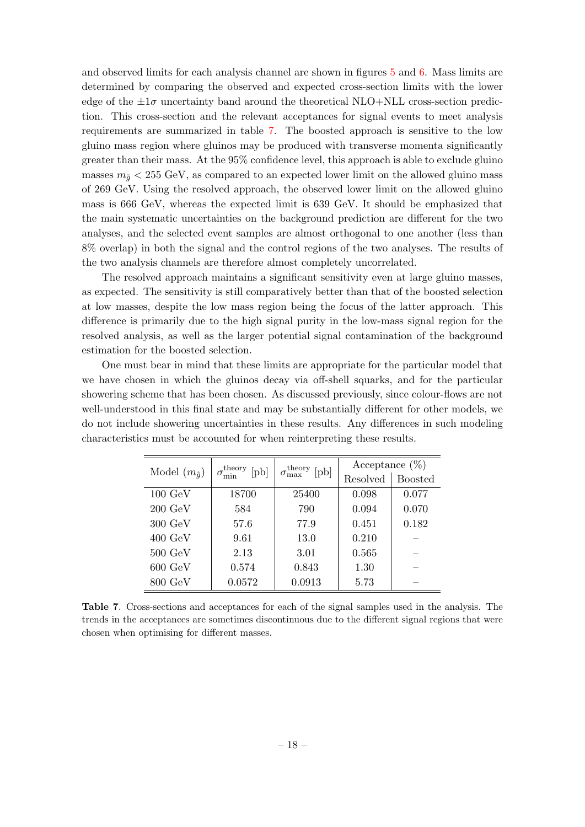and observed limits for each analysis channel are shown in figures [5](#page-20-0) and [6.](#page-21-0) Mass limits are determined by comparing the observed and expected cross-section limits with the lower edge of the  $\pm 1\sigma$  uncertainty band around the theoretical NLO+NLL cross-section prediction. This cross-section and the relevant acceptances for signal events to meet analysis requirements are summarized in table [7.](#page-19-0) The boosted approach is sensitive to the low gluino mass region where gluinos may be produced with transverse momenta significantly greater than their mass. At the 95% confidence level, this approach is able to exclude gluino masses  $m_{\tilde{q}} < 255 \text{ GeV}$ , as compared to an expected lower limit on the allowed gluino mass of 269 GeV. Using the resolved approach, the observed lower limit on the allowed gluino mass is 666 GeV, whereas the expected limit is 639 GeV. It should be emphasized that the main systematic uncertainties on the background prediction are different for the two analyses, and the selected event samples are almost orthogonal to one another (less than 8% overlap) in both the signal and the control regions of the two analyses. The results of the two analysis channels are therefore almost completely uncorrelated.

The resolved approach maintains a significant sensitivity even at large gluino masses, as expected. The sensitivity is still comparatively better than that of the boosted selection at low masses, despite the low mass region being the focus of the latter approach. This difference is primarily due to the high signal purity in the low-mass signal region for the resolved analysis, as well as the larger potential signal contamination of the background estimation for the boosted selection.

One must bear in mind that these limits are appropriate for the particular model that we have chosen in which the gluinos decay via off-shell squarks, and for the particular showering scheme that has been chosen. As discussed previously, since colour-flows are not well-understood in this final state and may be substantially different for other models, we do not include showering uncertainties in these results. Any differences in such modeling characteristics must be accounted for when reinterpreting these results.

|                         | theory<br>[pb]<br>σ<br>min | $\sigma_{\max}^{\rm theory}$ [pb] | Acceptance $(\%)$ |                |
|-------------------------|----------------------------|-----------------------------------|-------------------|----------------|
| Model $(m_{\tilde{q}})$ |                            |                                   | Resolved          | <b>Boosted</b> |
| $100 \text{ GeV}$       | 18700                      | 25400                             | 0.098             | 0.077          |
| $200 \text{ GeV}$       | 584                        | 790                               | 0.094             | 0.070          |
| $300 \text{ GeV}$       | 57.6                       | 77.9                              | 0.451             | 0.182          |
| $400 \text{ GeV}$       | 9.61                       | 13.0                              | 0.210             |                |
| $500 \text{ GeV}$       | 2.13                       | 3.01                              | 0.565             |                |
| $600 \text{ GeV}$       | 0.574                      | 0.843                             | 1.30              |                |
| $800 \text{ GeV}$       | 0.0572                     | 0.0913                            | 5.73              |                |

<span id="page-19-0"></span>Table 7. Cross-sections and acceptances for each of the signal samples used in the analysis. The trends in the acceptances are sometimes discontinuous due to the different signal regions that were chosen when optimising for different masses.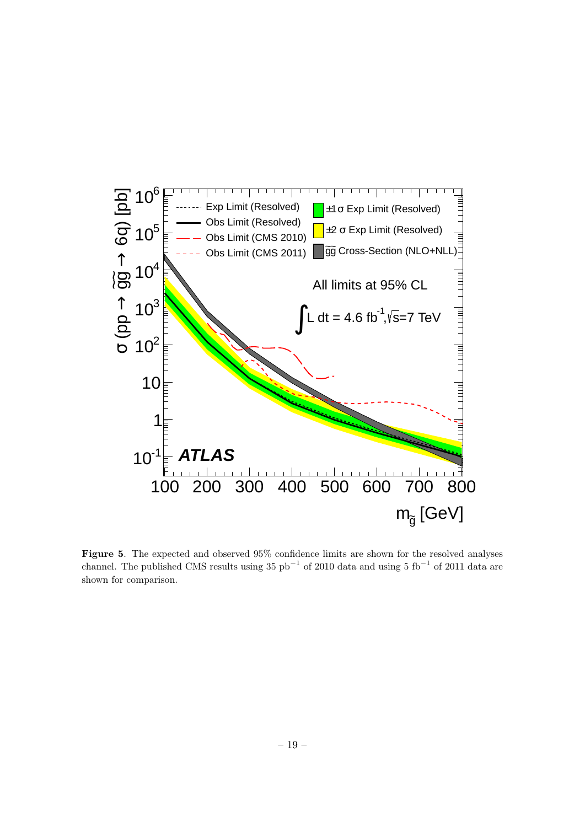

<span id="page-20-0"></span>Figure 5. The expected and observed  $95\%$  confidence limits are shown for the resolved analyses channel. The published CMS results using 35  $pb^{-1}$  of 2010 data and using 5 fb<sup>-1</sup> of 2011 data are shown for comparison.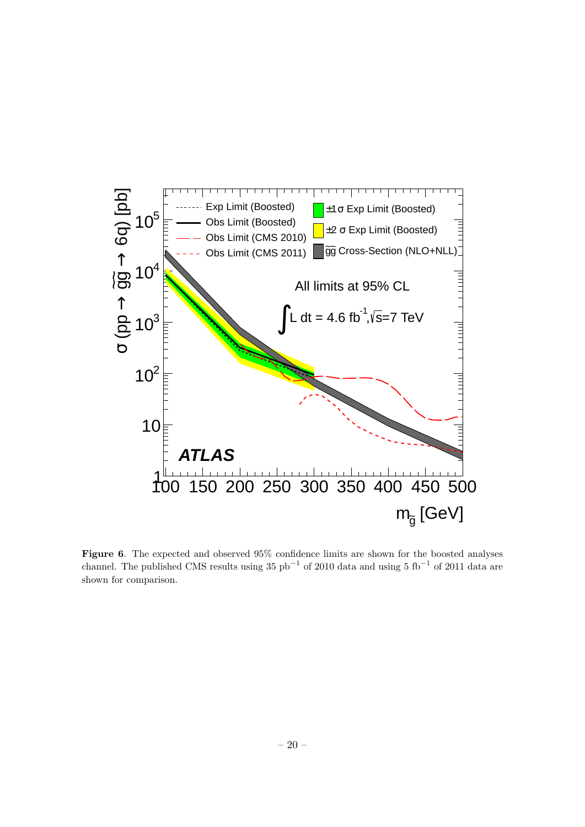

<span id="page-21-0"></span>Figure 6. The expected and observed  $95\%$  confidence limits are shown for the boosted analyses channel. The published CMS results using 35  $pb^{-1}$  of 2010 data and using 5 fb<sup>-1</sup> of 2011 data are shown for comparison.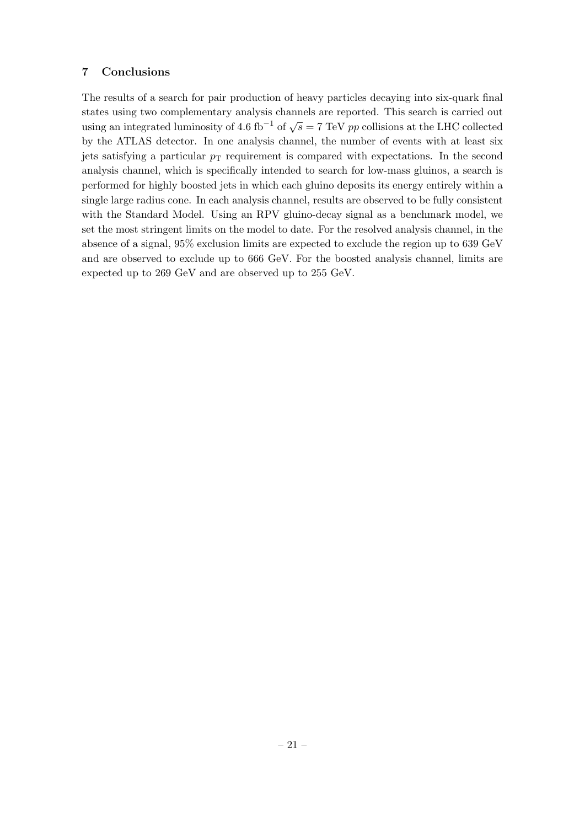## <span id="page-22-0"></span>7 Conclusions

The results of a search for pair production of heavy particles decaying into six-quark final states using two complementary analysis channels are reported. This search is carried out using an integrated luminosity of 4.6 fb<sup>-1</sup> of  $\sqrt{s} = 7$  TeV pp collisions at the LHC collected by the ATLAS detector. In one analysis channel, the number of events with at least six jets satisfying a particular  $p_T$  requirement is compared with expectations. In the second analysis channel, which is specifically intended to search for low-mass gluinos, a search is performed for highly boosted jets in which each gluino deposits its energy entirely within a single large radius cone. In each analysis channel, results are observed to be fully consistent with the Standard Model. Using an RPV gluino-decay signal as a benchmark model, we set the most stringent limits on the model to date. For the resolved analysis channel, in the absence of a signal, 95% exclusion limits are expected to exclude the region up to 639 GeV and are observed to exclude up to 666 GeV. For the boosted analysis channel, limits are expected up to 269 GeV and are observed up to 255 GeV.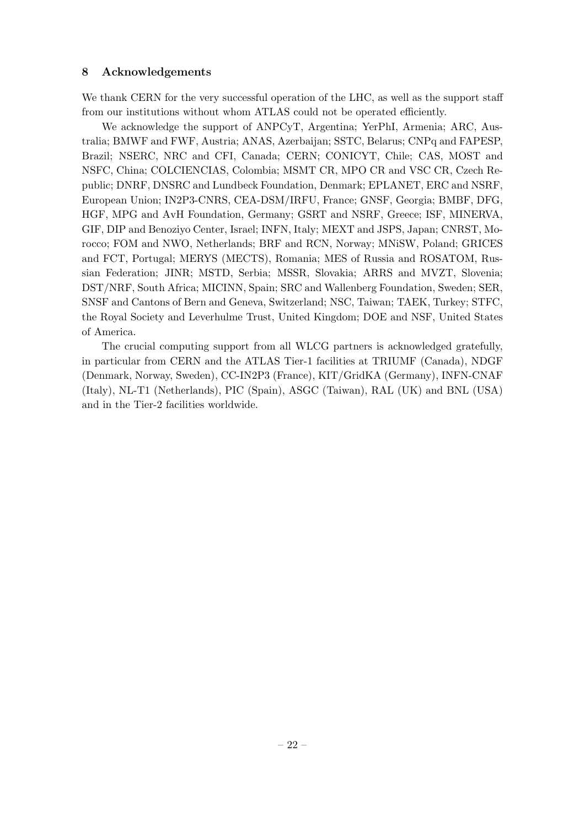## <span id="page-23-0"></span>8 Acknowledgements

We thank CERN for the very successful operation of the LHC, as well as the support staff from our institutions without whom ATLAS could not be operated efficiently.

We acknowledge the support of ANPCyT, Argentina; YerPhI, Armenia; ARC, Australia; BMWF and FWF, Austria; ANAS, Azerbaijan; SSTC, Belarus; CNPq and FAPESP, Brazil; NSERC, NRC and CFI, Canada; CERN; CONICYT, Chile; CAS, MOST and NSFC, China; COLCIENCIAS, Colombia; MSMT CR, MPO CR and VSC CR, Czech Republic; DNRF, DNSRC and Lundbeck Foundation, Denmark; EPLANET, ERC and NSRF, European Union; IN2P3-CNRS, CEA-DSM/IRFU, France; GNSF, Georgia; BMBF, DFG, HGF, MPG and AvH Foundation, Germany; GSRT and NSRF, Greece; ISF, MINERVA, GIF, DIP and Benoziyo Center, Israel; INFN, Italy; MEXT and JSPS, Japan; CNRST, Morocco; FOM and NWO, Netherlands; BRF and RCN, Norway; MNiSW, Poland; GRICES and FCT, Portugal; MERYS (MECTS), Romania; MES of Russia and ROSATOM, Russian Federation; JINR; MSTD, Serbia; MSSR, Slovakia; ARRS and MVZT, Slovenia; DST/NRF, South Africa; MICINN, Spain; SRC and Wallenberg Foundation, Sweden; SER, SNSF and Cantons of Bern and Geneva, Switzerland; NSC, Taiwan; TAEK, Turkey; STFC, the Royal Society and Leverhulme Trust, United Kingdom; DOE and NSF, United States of America.

The crucial computing support from all WLCG partners is acknowledged gratefully, in particular from CERN and the ATLAS Tier-1 facilities at TRIUMF (Canada), NDGF (Denmark, Norway, Sweden), CC-IN2P3 (France), KIT/GridKA (Germany), INFN-CNAF (Italy), NL-T1 (Netherlands), PIC (Spain), ASGC (Taiwan), RAL (UK) and BNL (USA) and in the Tier-2 facilities worldwide.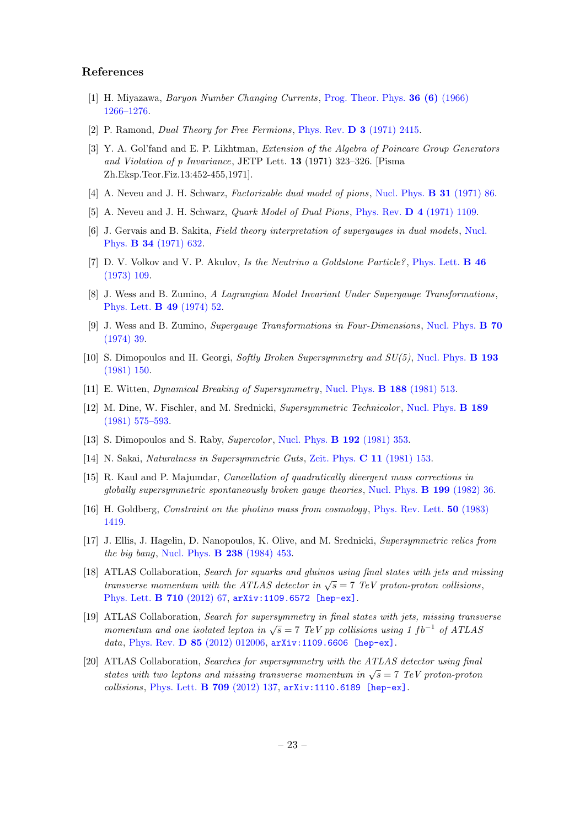### References

- <span id="page-24-0"></span>[1] H. Miyazawa, Baryon Number Changing Currents, [Prog. Theor. Phys.](http://dx.doi.org/10.1143/PTP.36.1266) 36 (6) (1966) [1266–1276.](http://dx.doi.org/10.1143/PTP.36.1266)
- [2] P. Ramond, Dual Theory for Free Fermions, Phys. Rev. D 3 [\(1971\) 2415.](http://dx.doi.org/10.1103/PhysRevD.3.2415)
- [3] Y. A. Gol'fand and E. P. Likhtman, Extension of the Algebra of Poincare Group Generators and Violation of p Invariance, JETP Lett. 13 (1971) 323–326. [Pisma Zh.Eksp.Teor.Fiz.13:452-455,1971].
- [4] A. Neveu and J. H. Schwarz, Factorizable dual model of pions, [Nucl. Phys.](http://dx.doi.org/10.1016/0550-3213(71)90448-2) **B 31** (1971) 86.
- [5] A. Neveu and J. H. Schwarz, Quark Model of Dual Pions, Phys. Rev. D 4 [\(1971\) 1109.](http://dx.doi.org/10.1103/PhysRevD.4.1109)
- [6] J. Gervais and B. Sakita, Field theory interpretation of supergauges in dual models, [Nucl.](http://dx.doi.org/10.1016/0550-3213(71)90351-8) Phys. B 34 [\(1971\) 632.](http://dx.doi.org/10.1016/0550-3213(71)90351-8)
- [7] D. V. Volkov and V. P. Akulov, Is the Neutrino a Goldstone Particle?, [Phys. Lett.](http://dx.doi.org/10.1016/0370-2693(73)90490-5) **B 46** [\(1973\) 109.](http://dx.doi.org/10.1016/0370-2693(73)90490-5)
- [8] J. Wess and B. Zumino, A Lagrangian Model Invariant Under Supergauge Transformations, [Phys. Lett.](http://dx.doi.org/10.1016/0370-2693(74)90578-4) B 49 (1974) 52.
- <span id="page-24-1"></span>[9] J. Wess and B. Zumino, Supergauge Transformations in Four-Dimensions, [Nucl. Phys.](http://dx.doi.org/10.1016/0550-3213(74)90355-1) B 70 [\(1974\) 39.](http://dx.doi.org/10.1016/0550-3213(74)90355-1)
- <span id="page-24-2"></span>[10] S. Dimopoulos and H. Georgi, *Softly Broken Supersymmetry and SU(5)*, [Nucl. Phys.](http://dx.doi.org/10.1016/0550-3213(81)90522-8) **B 193** [\(1981\) 150.](http://dx.doi.org/10.1016/0550-3213(81)90522-8)
- [11] E. Witten, Dynamical Breaking of Supersymmetry, [Nucl. Phys.](http://dx.doi.org/10.1016/0550-3213(81)90006-7) B 188 (1981) 513.
- [12] M. Dine, W. Fischler, and M. Srednicki, Supersymmetric Technicolor, [Nucl. Phys.](http://dx.doi.org/10.1016/0550-3213(81)90582-4) **B 189** [\(1981\) 575–593.](http://dx.doi.org/10.1016/0550-3213(81)90582-4)
- [13] S. Dimopoulos and S. Raby, Supercolor, [Nucl. Phys.](http://dx.doi.org/10.1016/0550-3213(81)90430-2) **B 192** (1981) 353.
- [14] N. Sakai, Naturalness in Supersymmetric Guts, Zeit. Phys. C 11 [\(1981\) 153.](http://dx.doi.org/10.1007/BF01573998)
- <span id="page-24-3"></span>[15] R. Kaul and P. Majumdar, Cancellation of quadratically divergent mass corrections in globally supersymmetric spontaneously broken gauge theories, [Nucl. Phys.](http://dx.doi.org/10.1016/0550-3213(82)90565-X) B 199 (1982) 36.
- <span id="page-24-4"></span>[16] H. Goldberg, Constraint on the photino mass from cosmology, [Phys. Rev. Lett.](http://dx.doi.org/10.1103/PhysRevLett.50.1419) 50 (1983) [1419.](http://dx.doi.org/10.1103/PhysRevLett.50.1419)
- <span id="page-24-5"></span>[17] J. Ellis, J. Hagelin, D. Nanopoulos, K. Olive, and M. Srednicki, Supersymmetric relics from the big bang, [Nucl. Phys.](http://dx.doi.org/10.1016/0550-3213(84)90461-9) B 238 (1984) 453.
- <span id="page-24-6"></span>[18] ATLAS Collaboration, Search for squarks and gluinos using final states with jets and missing transverse momentum with the ATLAS detector in  $\sqrt{s} = 7$  TeV proton-proton collisions, [Phys. Lett.](http://dx.doi.org/10.1016/j.physletb.2012.02.051) B 710 (2012) 67, [arXiv:1109.6572 \[hep-ex\]](http://arxiv.org/abs/1109.6572).
- [19] ATLAS Collaboration, Search for supersymmetry in final states with jets, missing transverse momentum and one isolated lepton in  $\sqrt{s} = 7$  TeV pp collisions using 1 fb<sup>-1</sup> of ATLAS data, Phys. Rev. D  $85$  [\(2012\) 012006,](http://dx.doi.org/10.1103/PhysRevD.85.012006) [arXiv:1109.6606 \[hep-ex\]](http://arxiv.org/abs/1109.6606).
- [20] ATLAS Collaboration, Searches for supersymmetry with the ATLAS detector using final states with two leptons and missing transverse momentum in  $\sqrt{s} = 7$  TeV proton-proton collisions, [Phys. Lett.](http://dx.doi.org/10.1016/j.physletb.2012.01.076) B 709 (2012) 137, [arXiv:1110.6189 \[hep-ex\]](http://arxiv.org/abs/1110.6189).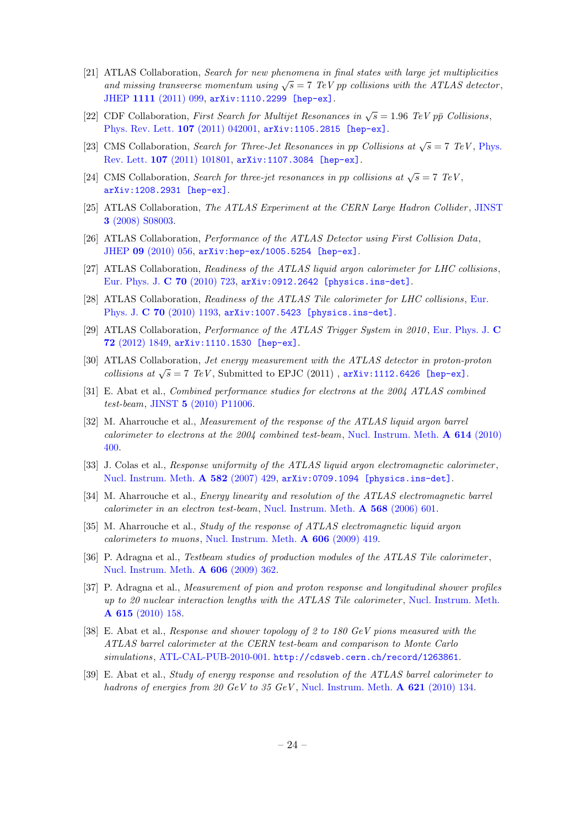- <span id="page-25-0"></span>[21] ATLAS Collaboration, Search for new phenomena in final states with large jet multiplicities and missing transverse momentum using  $\sqrt{s} = 7$  TeV pp collisions with the ATLAS detector, JHEP 1111 [\(2011\) 099,](http://dx.doi.org/10.1007/JHEP11(2011)099) [arXiv:1110.2299 \[hep-ex\]](http://arxiv.org/abs/1110.2299).
- <span id="page-25-1"></span>[22] CDF Collaboration, First Search for Multijet Resonances in  $\sqrt{s} = 1.96$  TeV pp Collisions, [Phys. Rev. Lett.](http://dx.doi.org/10.1103/PhysRevLett.107.042001) 107 (2011) 042001, [arXiv:1105.2815 \[hep-ex\]](http://arxiv.org/abs/1105.2815).
- <span id="page-25-2"></span>[23] CMS Collaboration, Search for Three-Jet Resonances in pp Collisions at  $\sqrt{s} = 7$  TeV, [Phys.](http://dx.doi.org/10.1103/PhysRevLett.107.101801) Rev. Lett. 107 [\(2011\) 101801,](http://dx.doi.org/10.1103/PhysRevLett.107.101801) [arXiv:1107.3084 \[hep-ex\]](http://arxiv.org/abs/1107.3084).
- <span id="page-25-3"></span>[24] CMS Collaboration, Search for three-jet resonances in pp collisions at  $\sqrt{s} = 7$  TeV, [arXiv:1208.2931 \[hep-ex\]](http://arxiv.org/abs/1208.2931).
- <span id="page-25-4"></span>[25] ATLAS Collaboration, The ATLAS Experiment at the CERN Large Hadron Collider, [JINST](http://dx.doi.org/10.1088/1748-0221/3/08/S08003) 3 [\(2008\) S08003.](http://dx.doi.org/10.1088/1748-0221/3/08/S08003)
- <span id="page-25-5"></span>[26] ATLAS Collaboration, Performance of the ATLAS Detector using First Collision Data, JHEP 09 [\(2010\) 056,](http://dx.doi.org/10.1007/JHEP09(2010)056) [arXiv:hep-ex/1005.5254 \[hep-ex\]](http://arxiv.org/abs/hep-ex/1005.5254).
- <span id="page-25-6"></span>[27] ATLAS Collaboration, Readiness of the ATLAS liquid argon calorimeter for LHC collisions, [Eur. Phys. J.](http://dx.doi.org/10.1140/epjc/s10052-010-1354-y) C 70 (2010) 723, [arXiv:0912.2642 \[physics.ins-det\]](http://arxiv.org/abs/0912.2642).
- <span id="page-25-7"></span>[28] ATLAS Collaboration, Readiness of the ATLAS Tile calorimeter for LHC collisions, [Eur.](http://dx.doi.org/10.1140/epjc/s10052-010-1508-y) Phys. J. C 70 [\(2010\) 1193,](http://dx.doi.org/10.1140/epjc/s10052-010-1508-y) [arXiv:1007.5423 \[physics.ins-det\]](http://arxiv.org/abs/1007.5423).
- <span id="page-25-8"></span>[29] ATLAS Collaboration, Performance of the ATLAS Trigger System in 2010 , [Eur. Phys. J.](http://dx.doi.org/10.1140/epjc/s10052-011-1849-1) C 72 [\(2012\) 1849,](http://dx.doi.org/10.1140/epjc/s10052-011-1849-1) [arXiv:1110.1530 \[hep-ex\]](http://arxiv.org/abs/1110.1530).
- <span id="page-25-9"></span>[30] ATLAS Collaboration, Jet energy measurement with the ATLAS detector in proton-proton collisions at  $\sqrt{s} = 7$  TeV, Submitted to EPJC (2011),  $arXiv:1112.6426$  [hep-ex].
- <span id="page-25-10"></span>[31] E. Abat et al., Combined performance studies for electrons at the 2004 ATLAS combined test-beam, JINST 5 [\(2010\) P11006.](http://dx.doi.org/10.1088/1748-0221/5/11/P11006)
- [32] M. Aharrouche et al., Measurement of the response of the ATLAS liquid argon barrel calorimeter to electrons at the  $2004$  combined test-beam, [Nucl. Instrum. Meth.](http://dx.doi.org/10.1016/j.nima.2009.12.055) A 614 (2010) [400.](http://dx.doi.org/10.1016/j.nima.2009.12.055)
- [33] J. Colas et al., Response uniformity of the ATLAS liquid argon electromagnetic calorimeter, [Nucl. Instrum. Meth.](http://dx.doi.org/10.1016/j.nima.2007.08.157) A 582 (2007) 429, [arXiv:0709.1094 \[physics.ins-det\]](http://arxiv.org/abs/0709.1094).
- [34] M. Aharrouche et al., *Energy linearity and resolution of the ATLAS electromagnetic barrel* calorimeter in an electron test-beam, [Nucl. Instrum. Meth.](http://dx.doi.org/10.1016/j.nima.2006.07.053) A 568 (2006) 601.
- [35] M. Aharrouche et al., *Study of the response of ATLAS electromagnetic liquid argon* calorimeters to muons, [Nucl. Instrum. Meth.](http://dx.doi.org/10.1016/j.nima.2009.05.021)  $\bf{A}$  606 (2009) 419.
- <span id="page-25-11"></span>[36] P. Adragna et al., Testbeam studies of production modules of the ATLAS Tile calorimeter, [Nucl. Instrum. Meth.](http://dx.doi.org/10.1016/j.nima.2009.04.009) A 606 (2009) 362.
- [37] P. Adragna et al., Measurement of pion and proton response and longitudinal shower profiles up to 20 nuclear interaction lengths with the ATLAS Tile calorimeter , [Nucl. Instrum. Meth.](http://dx.doi.org/10.1016/j.nima.2010.01.037) A 615 [\(2010\) 158.](http://dx.doi.org/10.1016/j.nima.2010.01.037)
- [38] E. Abat et al., Response and shower topology of 2 to 180 GeV pions measured with the ATLAS barrel calorimeter at the CERN test-beam and comparison to Monte Carlo simulations, [ATL-CAL-PUB-2010-001.](http://cdsweb.cern.ch/record/1263861) <http://cdsweb.cern.ch/record/1263861>.
- [39] E. Abat et al., Study of energy response and resolution of the ATLAS barrel calorimeter to hadrons of energies from 20 GeV to 35 GeV, [Nucl. Instrum. Meth.](http://dx.doi.org/10.1016/j.nima.2010.04.054)  $\bf{A} 621$  (2010) 134.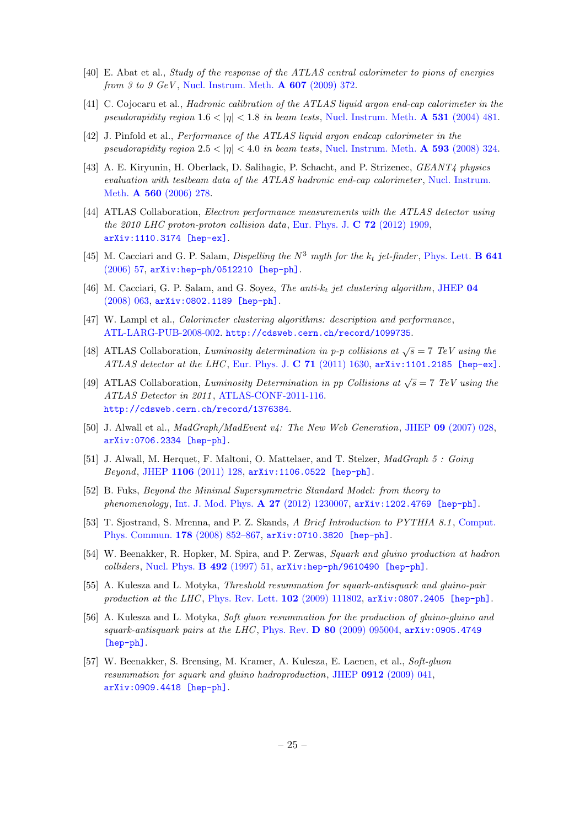- [40] E. Abat et al., Study of the response of the ATLAS central calorimeter to pions of energies from 3 to 9  $GeV$ , [Nucl. Instrum. Meth.](http://dx.doi.org/10.1016/j.nima.2009.05.158)  $\bf{A}$  607 (2009) 372.
- [41] C. Cojocaru et al., Hadronic calibration of the ATLAS liquid argon end-cap calorimeter in the pseudorapidity region  $1.6 < |\eta| < 1.8$  in beam tests, [Nucl. Instrum. Meth.](http://dx.doi.org/10.1016/j.nima.2004.05.133) **A 531** (2004) 481.
- [42] J. Pinfold et al., Performance of the ATLAS liquid argon endcap calorimeter in the pseudorapidity region  $2.5 < |n| < 4.0$  in beam tests, [Nucl. Instrum. Meth.](http://dx.doi.org/10.1016/j.nima.2008.05.033) A 593 (2008) 324.
- <span id="page-26-0"></span>[43] A. E. Kiryunin, H. Oberlack, D. Salihagic, P. Schacht, and P. Strizenec, GEANT4 physics evaluation with testbeam data of the ATLAS hadronic end-cap calorimeter , [Nucl. Instrum.](http://dx.doi.org/10.1016/j.nima.2005.12.237) Meth. A 560 [\(2006\) 278.](http://dx.doi.org/10.1016/j.nima.2005.12.237)
- <span id="page-26-1"></span>[44] ATLAS Collaboration, Electron performance measurements with the ATLAS detector using the 2010 LHC proton-proton collision data, [Eur. Phys. J.](http://dx.doi.org/10.1140/epjc/s10052-012-1909-1)  $\bf{C}$  72 (2012) 1909, [arXiv:1110.3174 \[hep-ex\]](http://arxiv.org/abs/1110.3174).
- <span id="page-26-2"></span>[45] M. Cacciari and G. P. Salam, *Dispelling the*  $N^3$  myth for the  $k_t$  jet-finder, [Phys. Lett.](http://dx.doi.org/10.1016/j.physletb.2006.08.037) **B 641** [\(2006\) 57,](http://dx.doi.org/10.1016/j.physletb.2006.08.037) [arXiv:hep-ph/0512210 \[hep-ph\]](http://arxiv.org/abs/hep-ph/0512210).
- <span id="page-26-3"></span>[46] M. Cacciari, G. P. Salam, and G. Soyez, The anti- $k_t$  jet clustering algorithm, [JHEP](http://dx.doi.org/10.1088/1126-6708/2008/04/063) 04 [\(2008\) 063,](http://dx.doi.org/10.1088/1126-6708/2008/04/063) [arXiv:0802.1189 \[hep-ph\]](http://arxiv.org/abs/0802.1189).
- <span id="page-26-4"></span>[47] W. Lampl et al., *Calorimeter clustering algorithms: description and performance*. [ATL-LARG-PUB-2008-002.](http://cdsweb.cern.ch/record/1099735) <http://cdsweb.cern.ch/record/1099735>.
- <span id="page-26-5"></span>[48] ATLAS Collaboration, Luminosity determination in p-p collisions at  $\sqrt{s} = 7$  TeV using the ATLAS detector at the LHC, [Eur. Phys. J.](http://dx.doi.org/10.1140/epjc/s10052-011-1630-5) C 71 (2011) 1630,  $arXiv:1101.2185$  [hep-ex].
- <span id="page-26-6"></span>[49] ATLAS Collaboration, Luminosity Determination in pp Collisions at  $\sqrt{s} = 7$  TeV using the ATLAS Detector in 2011 , [ATLAS-CONF-2011-116.](http://cdsweb.cern.ch/record/1376384) <http://cdsweb.cern.ch/record/1376384>.
- <span id="page-26-7"></span>[50] J. Alwall et al., *MadGraph/MadEvent v4: The New Web Generation*, JHEP 09 [\(2007\) 028,](http://dx.doi.org/10.1088/1126-6708/2007/09/028) [arXiv:0706.2334 \[hep-ph\]](http://arxiv.org/abs/0706.2334).
- <span id="page-26-8"></span>[51] J. Alwall, M. Herquet, F. Maltoni, O. Mattelaer, and T. Stelzer, MadGraph 5 : Going Beyond, JHEP 1106 [\(2011\) 128,](http://dx.doi.org/10.1007/JHEP06(2011)128) [arXiv:1106.0522 \[hep-ph\]](http://arxiv.org/abs/1106.0522).
- <span id="page-26-9"></span>[52] B. Fuks, Beyond the Minimal Supersymmetric Standard Model: from theory to phenomenology, [Int. J. Mod. Phys.](http://dx.doi.org/10.1142/S0217751X12300074) A 27 (2012) 1230007, [arXiv:1202.4769 \[hep-ph\]](http://arxiv.org/abs/1202.4769).
- <span id="page-26-10"></span>[53] T. Sjostrand, S. Mrenna, and P. Z. Skands, A Brief Introduction to PYTHIA 8.1, [Comput.](http://dx.doi.org/10.1016/j.cpc.2008.01.036) [Phys. Commun.](http://dx.doi.org/10.1016/j.cpc.2008.01.036) 178 (2008) 852–867, [arXiv:0710.3820 \[hep-ph\]](http://arxiv.org/abs/0710.3820).
- <span id="page-26-11"></span>[54] W. Beenakker, R. Hopker, M. Spira, and P. Zerwas, Squark and gluino production at hadron colliders, [Nucl. Phys.](http://dx.doi.org/10.1016/S0550-3213(97)00084-9) B 492 (1997) 51, [arXiv:hep-ph/9610490 \[hep-ph\]](http://arxiv.org/abs/hep-ph/9610490).
- [55] A. Kulesza and L. Motyka, Threshold resummation for squark-antisquark and gluino-pair production at the LHC, [Phys. Rev. Lett.](http://dx.doi.org/10.1103/PhysRevLett.102.111802)  $102$  (2009) 111802,  $arXiv:0807.2405$  [hep-ph].
- [56] A. Kulesza and L. Motyka, Soft gluon resummation for the production of gluino-gluino and squark-antisquark pairs at the LHC, Phys. Rev.  $\bf{D}$  80 [\(2009\) 095004,](http://dx.doi.org/10.1103/PhysRevD.80.095004) [arXiv:0905.4749](http://arxiv.org/abs/0905.4749) [\[hep-ph\]](http://arxiv.org/abs/0905.4749).
- [57] W. Beenakker, S. Brensing, M. Kramer, A. Kulesza, E. Laenen, et al., Soft-gluon resummation for squark and gluino hadroproduction, JHEP 0912 [\(2009\) 041,](http://dx.doi.org/10.1088/1126-6708/2009/12/041) [arXiv:0909.4418 \[hep-ph\]](http://arxiv.org/abs/0909.4418).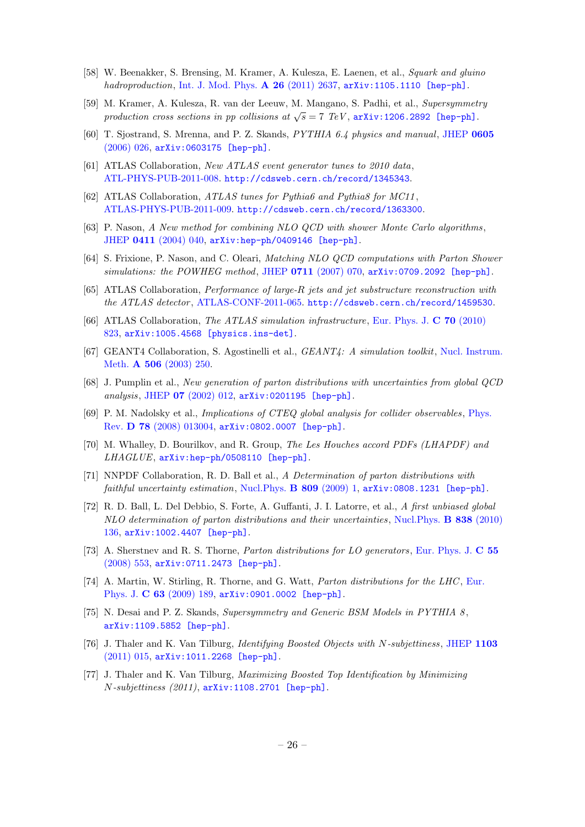- <span id="page-27-0"></span>[58] W. Beenakker, S. Brensing, M. Kramer, A. Kulesza, E. Laenen, et al., Squark and gluino hadroproduction, [Int. J. Mod. Phys.](http://dx.doi.org/10.1142/S0217751X11053560)  $\mathbf{A}$  26 (2011) 2637, [arXiv:1105.1110 \[hep-ph\]](http://arxiv.org/abs/1105.1110).
- <span id="page-27-1"></span>[59] M. Kramer, A. Kulesza, R. van der Leeuw, M. Mangano, S. Padhi, et al., Supersymmetry production cross sections in pp collisions at  $\sqrt{s} = 7$  TeV,  $\arXiv:1206.2892$  [hep-ph].
- <span id="page-27-2"></span>[60] T. Sjostrand, S. Mrenna, and P. Z. Skands, PYTHIA 6.4 physics and manual, [JHEP](http://dx.doi.org/10.1088/1126-6708/2006/05/026) 0605 [\(2006\) 026,](http://dx.doi.org/10.1088/1126-6708/2006/05/026) [arXiv:0603175 \[hep-ph\]](http://arxiv.org/abs/0603175).
- <span id="page-27-3"></span>[61] ATLAS Collaboration, New ATLAS event generator tunes to 2010 data, [ATL-PHYS-PUB-2011-008.](http://cdsweb.cern.ch/record/1345343) <http://cdsweb.cern.ch/record/1345343>.
- <span id="page-27-4"></span>[62] ATLAS Collaboration, ATLAS tunes for Pythia6 and Pythia8 for MC11, [ATLAS-PHYS-PUB-2011-009.](http://cdsweb.cern.ch/record/1363300) <http://cdsweb.cern.ch/record/1363300>.
- <span id="page-27-5"></span>[63] P. Nason, A New method for combining NLO QCD with shower Monte Carlo algorithms, JHEP 0411 [\(2004\) 040,](http://dx.doi.org/10.1088/1126-6708/2004/11/040) [arXiv:hep-ph/0409146 \[hep-ph\]](http://arxiv.org/abs/hep-ph/0409146).
- <span id="page-27-6"></span>[64] S. Frixione, P. Nason, and C. Oleari, Matching NLO QCD computations with Parton Shower simulations: the POWHEG method, JHEP  $0711$  [\(2007\) 070,](http://dx.doi.org/10.1088/1126-6708/2007/11/070)  $arXiv:0709.2092$  [hep-ph].
- <span id="page-27-7"></span>[65] ATLAS Collaboration, Performance of large-R jets and jet substructure reconstruction with the ATLAS detector, [ATLAS-CONF-2011-065.](http://cdsweb.cern.ch/record/1459530) <http://cdsweb.cern.ch/record/1459530>.
- <span id="page-27-8"></span>[66] ATLAS Collaboration, The ATLAS simulation infrastructure, [Eur. Phys. J.](http://dx.doi.org/10.1140/epjc/s10052-010-1429-9) C 70 (2010) [823,](http://dx.doi.org/10.1140/epjc/s10052-010-1429-9) [arXiv:1005.4568 \[physics.ins-det\]](http://arxiv.org/abs/1005.4568).
- <span id="page-27-9"></span>[67] GEANT4 Collaboration, S. Agostinelli et al., GEANT4: A simulation toolkit, [Nucl. Instrum.](http://dx.doi.org/10.1016/S0168-9002(03)01368-8) Meth. A 506 [\(2003\) 250.](http://dx.doi.org/10.1016/S0168-9002(03)01368-8)
- <span id="page-27-10"></span>[68] J. Pumplin et al., New generation of parton distributions with uncertainties from global QCD analysis, JHEP 07 [\(2002\) 012,](http://dx.doi.org/10.1088/1126-6708/2002/07/012) [arXiv:0201195 \[hep-ph\]](http://arxiv.org/abs/0201195).
- <span id="page-27-11"></span>[69] P. M. Nadolsky et al., *Implications of CTEQ global analysis for collider observables*, [Phys.](http://dx.doi.org/10.1103/PhysRevD.78.013004) Rev. D 78 [\(2008\) 013004,](http://dx.doi.org/10.1103/PhysRevD.78.013004) [arXiv:0802.0007 \[hep-ph\]](http://arxiv.org/abs/0802.0007).
- <span id="page-27-12"></span>[70] M. Whalley, D. Bourilkov, and R. Group, The Les Houches accord PDFs (LHAPDF) and LHAGLUE, [arXiv:hep-ph/0508110 \[hep-ph\]](http://arxiv.org/abs/hep-ph/0508110).
- <span id="page-27-13"></span>[71] NNPDF Collaboration, R. D. Ball et al., A Determination of parton distributions with faithful uncertainty estimation, [Nucl.Phys.](http://dx.doi.org/10.1016/j.nuclphysb.2008.09.037, 10.1016/j.nuclphysb.2009.02.027) B 809 (2009) 1, [arXiv:0808.1231 \[hep-ph\]](http://arxiv.org/abs/0808.1231).
- <span id="page-27-14"></span>[72] R. D. Ball, L. Del Debbio, S. Forte, A. Guffanti, J. I. Latorre, et al., A first unbiased global NLO determination of parton distributions and their uncertainties , [Nucl.Phys.](http://dx.doi.org/10.1016/j.nuclphysb.2010.05.008) B 838 (2010) [136,](http://dx.doi.org/10.1016/j.nuclphysb.2010.05.008) [arXiv:1002.4407 \[hep-ph\]](http://arxiv.org/abs/1002.4407).
- <span id="page-27-15"></span>[73] A. Sherstnev and R. S. Thorne, Parton distributions for LO generators, [Eur. Phys. J.](http://dx.doi.org/10.1140/epjc/s10052-008-0610-x) C 55 [\(2008\) 553,](http://dx.doi.org/10.1140/epjc/s10052-008-0610-x) [arXiv:0711.2473 \[hep-ph\]](http://arxiv.org/abs/0711.2473).
- <span id="page-27-16"></span>[74] A. Martin, W. Stirling, R. Thorne, and G. Watt, *Parton distributions for the LHC*, [Eur.](http://dx.doi.org/10.1140/epjc/s10052-009-1072-5) Phys. J. C 63 [\(2009\) 189,](http://dx.doi.org/10.1140/epjc/s10052-009-1072-5) [arXiv:0901.0002 \[hep-ph\]](http://arxiv.org/abs/0901.0002).
- <span id="page-27-17"></span>[75] N. Desai and P. Z. Skands, Supersymmetry and Generic BSM Models in PYTHIA 8 , [arXiv:1109.5852 \[hep-ph\]](http://arxiv.org/abs/1109.5852).
- <span id="page-27-18"></span>[76] J. Thaler and K. Van Tilburg, Identifying Boosted Objects with N-subjettiness, [JHEP](http://dx.doi.org/10.1007/JHEP03(2011)015) 1103 [\(2011\) 015,](http://dx.doi.org/10.1007/JHEP03(2011)015) [arXiv:1011.2268 \[hep-ph\]](http://arxiv.org/abs/1011.2268).
- <span id="page-27-19"></span>[77] J. Thaler and K. Van Tilburg, Maximizing Boosted Top Identification by Minimizing N-subjettiness (2011), [arXiv:1108.2701 \[hep-ph\]](http://arxiv.org/abs/1108.2701).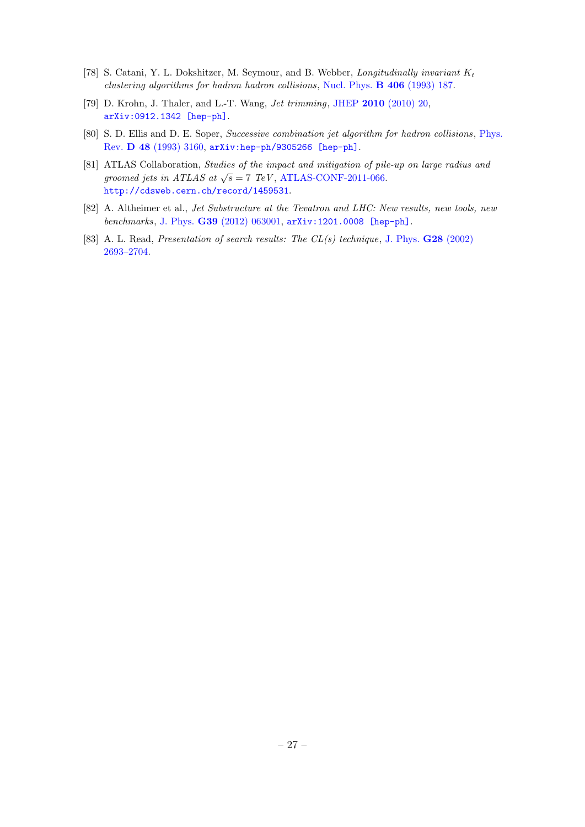- <span id="page-28-0"></span>[78] S. Catani, Y. L. Dokshitzer, M. Seymour, and B. Webber, *Longitudinally invariant*  $K_t$ clustering algorithms for hadron hadron collisions, [Nucl. Phys.](http://dx.doi.org/10.1016/0550-3213(93)90166-M) B 406 (1993) 187.
- <span id="page-28-1"></span>[79] D. Krohn, J. Thaler, and L.-T. Wang, *Jet trimming*, *JHEP* 2010 [\(2010\) 20,](http://dx.doi.org/10.1007/JHEP02(2010)084) [arXiv:0912.1342 \[hep-ph\]](http://arxiv.org/abs/0912.1342).
- <span id="page-28-2"></span>[80] S. D. Ellis and D. E. Soper, Successive combination jet algorithm for hadron collisions, [Phys.](http://dx.doi.org/10.1103/PhysRevD.48.3160) Rev. D 48 [\(1993\) 3160,](http://dx.doi.org/10.1103/PhysRevD.48.3160) [arXiv:hep-ph/9305266 \[hep-ph\]](http://arxiv.org/abs/hep-ph/9305266).
- <span id="page-28-3"></span>[81] ATLAS Collaboration, Studies of the impact and mitigation of pile-up on large radius and groomed jets in ATLAS at  $\sqrt{s} = 7$  TeV, [ATLAS-CONF-2011-066.](http://cdsweb.cern.ch/record/1459531) <http://cdsweb.cern.ch/record/1459531>.
- <span id="page-28-4"></span>[82] A. Altheimer et al., *Jet Substructure at the Tevatron and LHC: New results, new tools, new* benchmarks, J. Phys. G39 [\(2012\) 063001,](http://dx.doi.org/10.1088/0954-3899/39/6/063001) [arXiv:1201.0008 \[hep-ph\]](http://arxiv.org/abs/1201.0008).
- <span id="page-28-5"></span>[83] A. L. Read, Presentation of search results: The CL(s) technique, [J. Phys.](http://dx.doi.org/10.1088/0954-3899/28/10/313) **G28** (2002) [2693–2704.](http://dx.doi.org/10.1088/0954-3899/28/10/313)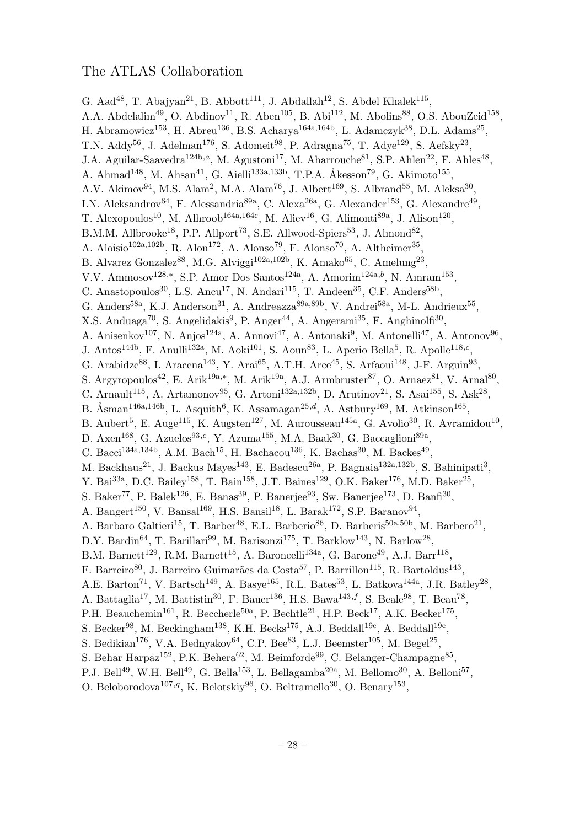# The ATLAS Collaboration

G. Aad<sup>48</sup>, T. Abajyan<sup>21</sup>, B. Abbott<sup>111</sup>, J. Abdallah<sup>12</sup>, S. Abdel Khalek<sup>115</sup>, A.A. Abdelalim<sup>49</sup>, O. Abdinov<sup>11</sup>, R. Aben<sup>105</sup>, B. Abi<sup>112</sup>, M. Abolins<sup>88</sup>, O.S. AbouZeid<sup>158</sup>, H. Abramowicz<sup>153</sup>, H. Abreu<sup>136</sup>, B.S. Acharya<sup>164a,164b</sup>, L. Adamczyk<sup>38</sup>, D.L. Adams<sup>25</sup>, T.N.  $\text{Addy}^{56}$ , J.  $\text{Adelman}^{176}$ , S.  $\text{Adomeit}^{98}$ , P.  $\text{Adragna}^{75}$ , T.  $\text{Adv}^{129}$ , S.  $\text{Aefsky}^{23}$ , J.A. Aguilar-Saavedra<sup>124b,a</sup>, M. Agustoni<sup>17</sup>, M. Aharrouche<sup>81</sup>, S.P. Ahlen<sup>22</sup>, F. Ahles<sup>48</sup>, A. Ahmad<sup>148</sup>, M. Ahsan<sup>41</sup>, G. Aielli<sup>133a,133b</sup>, T.P.A. Åkesson<sup>79</sup>, G. Akimoto<sup>155</sup>, A.V. Akimov<sup>94</sup>, M.S. Alam<sup>2</sup>, M.A. Alam<sup>76</sup>, J. Albert<sup>169</sup>, S. Albrand<sup>55</sup>, M. Aleksa<sup>30</sup>, I.N. Aleksandrov<sup>64</sup>, F. Alessandria<sup>89a</sup>, C. Alexa<sup>26a</sup>, G. Alexander<sup>153</sup>, G. Alexandre<sup>49</sup>, T. Alexopoulos<sup>10</sup>, M. Alhroob<sup>164a,164c</sup>, M. Aliev<sup>16</sup>, G. Alimonti<sup>89a</sup>, J. Alison<sup>120</sup>, B.M.M. Allbrooke<sup>18</sup>, P.P. Allport<sup>73</sup>, S.E. Allwood-Spiers<sup>53</sup>, J. Almond<sup>82</sup>, A. Aloisio<sup>102a,102b</sup>, R. Alon<sup>172</sup>, A. Alonso<sup>79</sup>, F. Alonso<sup>70</sup>, A. Altheimer<sup>35</sup>, B. Alvarez Gonzalez<sup>88</sup>, M.G. Alviggi<sup>102a,102b</sup>, K. Amako<sup>65</sup>, C. Amelung<sup>23</sup>, V.V. Ammosov<sup>128,\*</sup>, S.P. Amor Dos Santos<sup>124a</sup>, A. Amorim<sup>124a,b</sup>, N. Amram<sup>153</sup>, C. Anastopoulos<sup>30</sup>, L.S. Ancu<sup>17</sup>, N. Andari<sup>115</sup>, T. Andeen<sup>35</sup>, C.F. Anders<sup>58b</sup>, G. Anders<sup>58a</sup>, K.J. Anderson<sup>31</sup>, A. Andreazza<sup>89a,89b</sup>, V. Andrei<sup>58a</sup>, M-L. Andrieux<sup>55</sup>, X.S. Anduaga<sup>70</sup>, S. Angelidakis<sup>9</sup>, P. Anger<sup>44</sup>, A. Angerami<sup>35</sup>, F. Anghinolfi<sup>30</sup>, A. Anisenkov<sup>107</sup>, N. Anjos<sup>124a</sup>, A. Annovi<sup>47</sup>, A. Antonaki<sup>9</sup>, M. Antonelli<sup>47</sup>, A. Antonov<sup>96</sup>, J. Antos<sup>144b</sup>, F. Anulli<sup>132a</sup>, M. Aoki<sup>101</sup>, S. Aoun<sup>83</sup>, L. Aperio Bella<sup>5</sup>, R. Apolle<sup>118,c</sup>, G. Arabidze<sup>88</sup>, I. Aracena<sup>143</sup>, Y. Arai<sup>65</sup>, A.T.H. Arce<sup>45</sup>, S. Arfaoui<sup>148</sup>, J-F. Arguin<sup>93</sup>, S. Argyropoulos<sup>42</sup>, E. Arik<sup>19a,\*</sup>, M. Arik<sup>19a</sup>, A.J. Armbruster<sup>87</sup>, O. Arnaez<sup>81</sup>, V. Arnal<sup>80</sup>, C. Arnault<sup>115</sup>, A. Artamonov<sup>95</sup>, G. Artoni<sup>132a,132b</sup>, D. Arutinov<sup>21</sup>, S. Asai<sup>155</sup>, S. Ask<sup>28</sup>, B. Åsman<sup>146a,146b</sup>, L. Asquith<sup>6</sup>, K. Assamagan<sup>25,d</sup>, A. Astbury<sup>169</sup>, M. Atkinson<sup>165</sup>, B. Aubert<sup>5</sup>, E. Auge<sup>115</sup>, K. Augsten<sup>127</sup>, M. Aurousseau<sup>145a</sup>, G. Avolio<sup>30</sup>, R. Avramidou<sup>10</sup>, D. Axen<sup>168</sup>, G. Azuelos<sup>93,e</sup>, Y. Azuma<sup>155</sup>, M.A. Baak<sup>30</sup>, G. Baccaglioni<sup>89a</sup>, C. Bacci<sup>134a,134b</sup>, A.M. Bach<sup>15</sup>, H. Bachacou<sup>136</sup>, K. Bachas<sup>30</sup>, M. Backes<sup>49</sup>, M. Backhaus<sup>21</sup>, J. Backus Mayes<sup>143</sup>, E. Badescu<sup>26a</sup>, P. Bagnaia<sup>132a,132b</sup>, S. Bahinipati<sup>3</sup>, Y. Bai<sup>33a</sup>, D.C. Bailey<sup>158</sup>, T. Bain<sup>158</sup>, J.T. Baines<sup>129</sup>, O.K. Baker<sup>176</sup>, M.D. Baker<sup>25</sup>, S. Baker<sup>77</sup>, P. Balek<sup>126</sup>, E. Banas<sup>39</sup>, P. Banerjee<sup>93</sup>, Sw. Banerjee<sup>173</sup>, D. Banfi<sup>30</sup>, A. Bangert<sup>150</sup>, V. Bansal<sup>169</sup>, H.S. Bansil<sup>18</sup>, L. Barak<sup>172</sup>, S.P. Baranov<sup>94</sup>, A. Barbaro Galtieri<sup>15</sup>, T. Barber<sup>48</sup>, E.L. Barberio<sup>86</sup>, D. Barberis<sup>50a,50b</sup>, M. Barbero<sup>21</sup>, D.Y. Bardin<sup>64</sup>, T. Barillari<sup>99</sup>, M. Barisonzi<sup>175</sup>, T. Barklow<sup>143</sup>, N. Barlow<sup>28</sup>, B.M. Barnett<sup>129</sup>, R.M. Barnett<sup>15</sup>, A. Baroncelli<sup>134a</sup>, G. Barone<sup>49</sup>, A.J. Barr<sup>118</sup>, F. Barreiro $^{80}$ , J. Barreiro Guimarães da Costa $^{57}$ , P. Barrillon $^{115}$ , R. Bartoldus $^{143}$ , A.E. Barton<sup>71</sup>, V. Bartsch<sup>149</sup>, A. Basye<sup>165</sup>, R.L. Bates<sup>53</sup>, L. Batkova<sup>144a</sup>, J.R. Batley<sup>28</sup>, A. Battaglia<sup>17</sup>, M. Battistin<sup>30</sup>, F. Bauer<sup>136</sup>, H.S. Bawa<sup>143,f</sup>, S. Beale<sup>98</sup>, T. Beau<sup>78</sup>, P.H. Beauchemin<sup>161</sup>, R. Beccherle<sup>50a</sup>, P. Bechtle<sup>21</sup>, H.P. Beck<sup>17</sup>, A.K. Becker<sup>175</sup>, S. Becker<sup>98</sup>, M. Beckingham<sup>138</sup>, K.H. Becks<sup>175</sup>, A.J. Beddall<sup>19c</sup>, A. Beddall<sup>19c</sup>, S. Bedikian<sup>176</sup>, V.A. Bednyakov<sup>64</sup>, C.P. Bee<sup>83</sup>, L.J. Beemster<sup>105</sup>, M. Begel<sup>25</sup>, S. Behar Harpaz<sup>152</sup>, P.K. Behera<sup>62</sup>, M. Beimforde<sup>99</sup>, C. Belanger-Champagne<sup>85</sup>, P.J. Bell<sup>49</sup>, W.H. Bell<sup>49</sup>, G. Bella<sup>153</sup>, L. Bellagamba<sup>20a</sup>, M. Bellomo<sup>30</sup>, A. Belloni<sup>57</sup>,

O. Beloborodova<sup>107, g</sup>, K. Belotskiy<sup>96</sup>, O. Beltramello<sup>30</sup>, O. Benary<sup>153</sup>,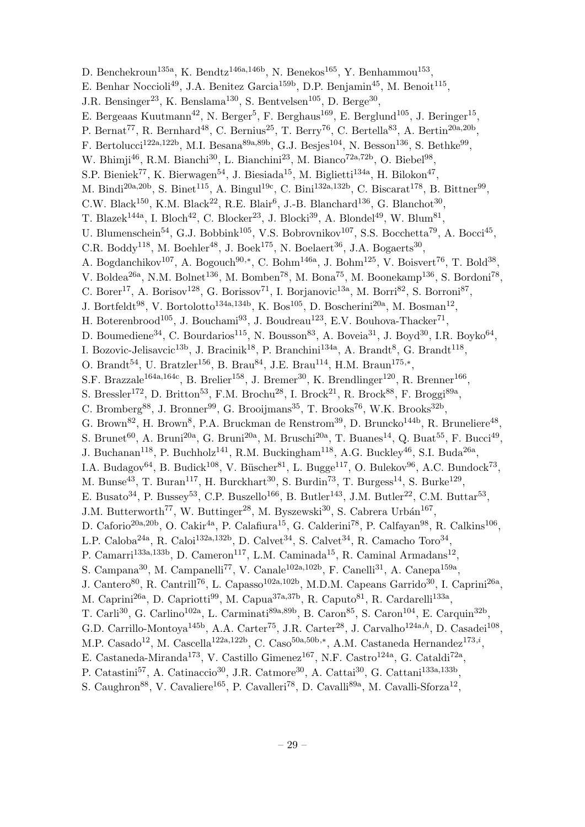D. Benchekroun<sup>135a</sup>, K. Bendtz<sup>146a,146b</sup>, N. Benekos<sup>165</sup>, Y. Benhammou<sup>153</sup>, E. Benhar Noccioli<sup>49</sup>, J.A. Benitez Garcia<sup>159b</sup>, D.P. Benjamin<sup>45</sup>, M. Benoit<sup>115</sup>, J.R. Bensinger<sup>23</sup>, K. Benslama<sup>130</sup>, S. Bentvelsen<sup>105</sup>, D. Berge<sup>30</sup>, E. Bergeaas Kuutmann<sup>42</sup>, N. Berger<sup>5</sup>, F. Berghaus<sup>169</sup>, E. Berglund<sup>105</sup>, J. Beringer<sup>15</sup>, P. Bernat<sup>77</sup>, R. Bernhard<sup>48</sup>, C. Bernius<sup>25</sup>, T. Berry<sup>76</sup>, C. Bertella<sup>83</sup>, A. Bertin<sup>20a,20b</sup>, F. Bertolucci<sup>122a,122b</sup>, M.I. Besana<sup>89a,89b</sup>, G.J. Besjes<sup>104</sup>, N. Besson<sup>136</sup>, S. Bethke<sup>99</sup>, W. Bhimji<sup>46</sup>, R.M. Bianchi<sup>30</sup>, L. Bianchini<sup>23</sup>, M. Bianco<sup>72a,72b</sup>, O. Biebel<sup>98</sup>, S.P. Bieniek<sup>77</sup>, K. Bierwagen<sup>54</sup>, J. Biesiada<sup>15</sup>, M. Biglietti<sup>134a</sup>, H. Bilokon<sup>47</sup>, M. Bindi<sup>20a, 20b</sup>, S. Binet<sup>115</sup>, A. Bingul<sup>19c</sup>, C. Bini<sup>132a, 132b</sup>, C. Biscarat<sup>178</sup>, B. Bittner<sup>99</sup>, C.W. Black<sup>150</sup>, K.M. Black<sup>22</sup>, R.E. Blair<sup>6</sup>, J.-B. Blanchard<sup>136</sup>, G. Blanchot<sup>30</sup>, T. Blazek<sup>144a</sup>, I. Bloch<sup>42</sup>, C. Blocker<sup>23</sup>, J. Blocki<sup>39</sup>, A. Blondel<sup>49</sup>, W. Blum<sup>81</sup>, U. Blumenschein<sup>54</sup>, G.J. Bobbink<sup>105</sup>, V.S. Bobrovnikov<sup>107</sup>, S.S. Bocchetta<sup>79</sup>, A. Bocci<sup>45</sup>, C.R. Boddy<sup>118</sup>, M. Boehler<sup>48</sup>, J. Boek<sup>175</sup>, N. Boelaert<sup>36</sup>, J.A. Bogaerts<sup>30</sup>, A. Bogdanchikov<sup>107</sup>, A. Bogouch<sup>90,\*</sup>, C. Bohm<sup>146a</sup>, J. Bohm<sup>125</sup>, V. Boisvert<sup>76</sup>, T. Bold<sup>38</sup>, V. Boldea<sup>26a</sup>, N.M. Bolnet<sup>136</sup>, M. Bomben<sup>78</sup>, M. Bona<sup>75</sup>, M. Boonekamp<sup>136</sup>, S. Bordoni<sup>78</sup>, C. Borer<sup>17</sup>, A. Borisov<sup>128</sup>, G. Borissov<sup>71</sup>, I. Borjanovic<sup>13a</sup>, M. Borri<sup>82</sup>, S. Borroni<sup>87</sup>, J. Bortfeldt<sup>98</sup>, V. Bortolotto<sup>134a,134b</sup>, K. Bos<sup>105</sup>, D. Boscherini<sup>20a</sup>, M. Bosman<sup>12</sup>, H. Boterenbrood<sup>105</sup>, J. Bouchami<sup>93</sup>, J. Boudreau<sup>123</sup>, E.V. Bouhova-Thacker<sup>71</sup>, D. Boumediene<sup>34</sup>, C. Bourdarios<sup>115</sup>, N. Bousson<sup>83</sup>, A. Boveia<sup>31</sup>, J. Boyd<sup>30</sup>, I.R. Boyko<sup>64</sup>, I. Bozovic-Jelisavcic<sup>13b</sup>, J. Bracinik<sup>18</sup>, P. Branchini<sup>134a</sup>, A. Brandt<sup>8</sup>, G. Brandt<sup>118</sup>, O. Brandt<sup>54</sup>, U. Bratzler<sup>156</sup>, B. Brau<sup>84</sup>, J.E. Brau<sup>114</sup>, H.M. Braun<sup>175,\*</sup>, S.F. Brazzale<sup>164a,164c</sup>, B. Brelier<sup>158</sup>, J. Bremer<sup>30</sup>, K. Brendlinger<sup>120</sup>, R. Brenner<sup>166</sup>, S. Bressler<sup>172</sup>, D. Britton<sup>53</sup>, F.M. Brochu<sup>28</sup>, I. Brock<sup>21</sup>, R. Brock<sup>88</sup>, F. Broggi<sup>89a</sup>, C. Bromberg<sup>88</sup>, J. Bronner<sup>99</sup>, G. Brooijmans<sup>35</sup>, T. Brooks<sup>76</sup>, W.K. Brooks<sup>32b</sup>, G. Brown<sup>82</sup>, H. Brown<sup>8</sup>, P.A. Bruckman de Renstrom<sup>39</sup>, D. Bruncko<sup>144b</sup>, R. Bruneliere<sup>48</sup>, S. Brunet<sup>60</sup>, A. Bruni<sup>20a</sup>, G. Bruni<sup>20a</sup>, M. Bruschi<sup>20a</sup>, T. Buanes<sup>14</sup>, Q. Buat<sup>55</sup>, F. Bucci<sup>49</sup>, J. Buchanan<sup>118</sup>, P. Buchholz<sup>141</sup>, R.M. Buckingham<sup>118</sup>, A.G. Buckley<sup>46</sup>, S.I. Buda<sup>26a</sup>, I.A. Budagov<sup>64</sup>, B. Budick<sup>108</sup>, V. Büscher<sup>81</sup>, L. Bugge<sup>117</sup>, O. Bulekov<sup>96</sup>, A.C. Bundock<sup>73</sup>, M. Bunse<sup>43</sup>, T. Buran<sup>117</sup>, H. Burckhart<sup>30</sup>, S. Burdin<sup>73</sup>, T. Burgess<sup>14</sup>, S. Burke<sup>129</sup>, E. Busato<sup>34</sup>, P. Bussey<sup>53</sup>, C.P. Buszello<sup>166</sup>, B. Butler<sup>143</sup>, J.M. Butler<sup>22</sup>, C.M. Buttar<sup>53</sup>, J.M. Butterworth<sup>77</sup>, W. Buttinger<sup>28</sup>, M. Byszewski<sup>30</sup>, S. Cabrera Urbán<sup>167</sup>, D. Caforio<sup>20a,20b</sup>, O. Cakir<sup>4a</sup>, P. Calafiura<sup>15</sup>, G. Calderini<sup>78</sup>, P. Calfayan<sup>98</sup>, R. Calkins<sup>106</sup>, L.P. Caloba<sup>24a</sup>, R. Caloi<sup>132a,132b</sup>, D. Calvet<sup>34</sup>, S. Calvet<sup>34</sup>, R. Camacho Toro<sup>34</sup>, P. Camarri<sup>133a,133b</sup>, D. Cameron<sup>117</sup>, L.M. Caminada<sup>15</sup>, R. Caminal Armadans<sup>12</sup>, S. Campana<sup>30</sup>, M. Campanelli<sup>77</sup>, V. Canale<sup>102a,102b</sup>, F. Canelli<sup>31</sup>, A. Canepa<sup>159a</sup>, J. Cantero<sup>80</sup>, R. Cantrill<sup>76</sup>, L. Capasso<sup>102a,102b</sup>, M.D.M. Capeans Garrido<sup>30</sup>, I. Caprini<sup>26a</sup>, M. Caprini<sup>26a</sup>, D. Capriotti<sup>99</sup>, M. Capua<sup>37a,37b</sup>, R. Caputo<sup>81</sup>, R. Cardarelli<sup>133a</sup>, T. Carli<sup>30</sup>, G. Carlino<sup>102a</sup>, L. Carminati<sup>89a,89b</sup>, B. Caron<sup>85</sup>, S. Caron<sup>104</sup>, E. Carquin<sup>32b</sup>, G.D. Carrillo-Montoya<sup>145b</sup>, A.A. Carter<sup>75</sup>, J.R. Carter<sup>28</sup>, J. Carvalho<sup>124a,h</sup>, D. Casadei<sup>108</sup>, M.P. Casado<sup>12</sup>, M. Cascella<sup>122a,122b</sup>, C. Caso<sup>50a,50b,\*</sup>, A.M. Castaneda Hernandez<sup>173,*i*</sup>, E. Castaneda-Miranda<sup>173</sup>, V. Castillo Gimenez<sup>167</sup>, N.F. Castro<sup>124a</sup>, G. Cataldi<sup>72a</sup>, P. Catastini<sup>57</sup>, A. Catinaccio<sup>30</sup>, J.R. Catmore<sup>30</sup>, A. Cattai<sup>30</sup>, G. Cattani<sup>133a,133b</sup>, S. Caughron<sup>88</sup>, V. Cavaliere<sup>165</sup>, P. Cavalleri<sup>78</sup>, D. Cavalli<sup>89a</sup>, M. Cavalli-Sforza<sup>12</sup>,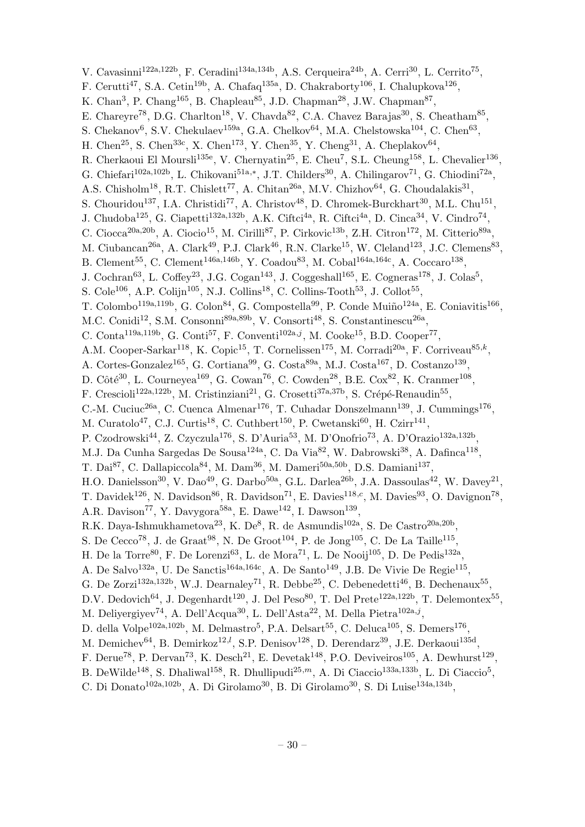V. Cavasinni<sup>122a,122b</sup>, F. Ceradini<sup>134a,134b</sup>, A.S. Cerqueira<sup>24b</sup>, A. Cerri<sup>30</sup>, L. Cerrito<sup>75</sup>, F. Cerutti<sup>47</sup>, S.A. Cetin<sup>19b</sup>, A. Chafaq<sup>135a</sup>, D. Chakraborty<sup>106</sup>, I. Chalupkova<sup>126</sup>, K. Chan<sup>3</sup>, P. Chang<sup>165</sup>, B. Chapleau<sup>85</sup>, J.D. Chapman<sup>28</sup>, J.W. Chapman<sup>87</sup>, E. Chareyre<sup>78</sup>, D.G. Charlton<sup>18</sup>, V. Chavda<sup>82</sup>, C.A. Chavez Barajas<sup>30</sup>, S. Cheatham<sup>85</sup>, S. Chekanov<sup>6</sup>, S.V. Chekulaev<sup>159a</sup>, G.A. Chelkov<sup>64</sup>, M.A. Chelstowska<sup>104</sup>, C. Chen<sup>63</sup>, H. Chen<sup>25</sup>, S. Chen<sup>33c</sup>, X. Chen<sup>173</sup>, Y. Chen<sup>35</sup>, Y. Cheng<sup>31</sup>, A. Cheplakov<sup>64</sup>, R. Cherkaoui El Moursli<sup>135e</sup>, V. Chernyatin<sup>25</sup>, E. Cheu<sup>7</sup>, S.L. Cheung<sup>158</sup>, L. Chevalier<sup>136</sup>, G. Chiefari<sup>102a,102b</sup>, L. Chikovani<sup>51a,\*</sup>, J.T. Childers<sup>30</sup>, A. Chilingarov<sup>71</sup>, G. Chiodini<sup>72a</sup>, A.S. Chisholm<sup>18</sup>, R.T. Chislett<sup>77</sup>, A. Chitan<sup>26a</sup>, M.V. Chizhov<sup>64</sup>, G. Choudalakis<sup>31</sup>, S. Chouridou<sup>137</sup>, I.A. Christidi<sup>77</sup>, A. Christov<sup>48</sup>, D. Chromek-Burckhart<sup>30</sup>, M.L. Chu<sup>151</sup>, J. Chudoba<sup>125</sup>, G. Ciapetti<sup>132a,132b</sup>, A.K. Ciftci<sup>4a</sup>, R. Ciftci<sup>4a</sup>, D. Cinca<sup>34</sup>, V. Cindro<sup>74</sup>, C. Ciocca<sup>20a,20b</sup>, A. Ciocio<sup>15</sup>, M. Cirilli<sup>87</sup>, P. Cirkovic<sup>13b</sup>, Z.H. Citron<sup>172</sup>, M. Citterio<sup>89a</sup>, M. Ciubancan<sup>26a</sup>, A. Clark<sup>49</sup>, P.J. Clark<sup>46</sup>, R.N. Clarke<sup>15</sup>, W. Cleland<sup>123</sup>, J.C. Clemens<sup>83</sup>, B. Clement<sup>55</sup>, C. Clement<sup>146a,146b</sup>, Y. Coadou<sup>83</sup>, M. Cobal<sup>164a,164c</sup>, A. Coccaro<sup>138</sup>, J. Cochran<sup>63</sup>, L. Coffey<sup>23</sup>, J.G. Cogan<sup>143</sup>, J. Coggeshall<sup>165</sup>, E. Cogneras<sup>178</sup>, J. Colas<sup>5</sup>, S. Cole<sup>106</sup>, A.P. Colijn<sup>105</sup>, N.J. Collins<sup>18</sup>, C. Collins-Tooth<sup>53</sup>, J. Collot<sup>55</sup>, T. Colombo<sup>119a,119b</sup>, G. Colon<sup>84</sup>, G. Compostella<sup>99</sup>, P. Conde Muiño<sup>124a</sup>, E. Coniavitis<sup>166</sup>, M.C. Conidi<sup>12</sup>, S.M. Consonni<sup>89a,89b</sup>, V. Consorti<sup>48</sup>, S. Constantinescu<sup>26a</sup>, C. Conta<sup>119a, 119b</sup>, G. Conti<sup>57</sup>, F. Conventi<sup>102a, j</sup>, M. Cooke<sup>15</sup>, B.D. Cooper<sup>77</sup>, A.M. Cooper-Sarkar<sup>118</sup>, K. Copic<sup>15</sup>, T. Cornelissen<sup>175</sup>, M. Corradi<sup>20a</sup>, F. Corriveau<sup>85,k</sup>, A. Cortes-Gonzalez<sup>165</sup>, G. Cortiana<sup>99</sup>, G. Costa<sup>89a</sup>, M.J. Costa<sup>167</sup>, D. Costanzo<sup>139</sup>, D. Côté $^{30}$ , L. Courneyea<sup>169</sup>, G. Cowan<sup>76</sup>, C. Cowden<sup>28</sup>, B.E. Cox<sup>82</sup>, K. Cranmer<sup>108</sup>, F. Crescioli<sup>122a,122b</sup>, M. Cristinziani<sup>21</sup>, G. Crosetti<sup>37a,37b</sup>, S. Crépé-Renaudin<sup>55</sup>, C.-M. Cuciuc<sup>26a</sup>, C. Cuenca Almenar<sup>176</sup>, T. Cuhadar Donszelmann<sup>139</sup>, J. Cummings<sup>176</sup>, M. Curatolo<sup>47</sup>, C.J. Curtis<sup>18</sup>, C. Cuthbert<sup>150</sup>, P. Cwetanski<sup>60</sup>, H. Czirr<sup>141</sup>, P. Czodrowski<sup>44</sup>, Z. Czyczula<sup>176</sup>, S. D'Auria<sup>53</sup>, M. D'Onofrio<sup>73</sup>, A. D'Orazio<sup>132a,132b</sup>, M.J. Da Cunha Sargedas De Sousa<sup>124a</sup>, C. Da Via<sup>82</sup>, W. Dabrowski<sup>38</sup>, A. Dafinca<sup>118</sup>, T. Dai<sup>87</sup>, C. Dallapiccola<sup>84</sup>, M. Dam<sup>36</sup>, M. Dameri<sup>50a,50b</sup>, D.S. Damiani<sup>137</sup>, H.O. Danielsson<sup>30</sup>, V. Dao<sup>49</sup>, G. Darbo<sup>50a</sup>, G.L. Darlea<sup>26b</sup>, J.A. Dassoulas<sup>42</sup>, W. Davey<sup>21</sup>, T. Davidek<sup>126</sup>, N. Davidson<sup>86</sup>, R. Davidson<sup>71</sup>, E. Davies<sup>118,c</sup>, M. Davies<sup>93</sup>, O. Davignon<sup>78</sup>, A.R. Davison<sup>77</sup>, Y. Davygora<sup>58a</sup>, E. Dawe<sup>142</sup>, I. Dawson<sup>139</sup>, R.K. Daya-Ishmukhametova<sup>23</sup>, K. De<sup>8</sup>, R. de Asmundis<sup>102a</sup>, S. De Castro<sup>20a,20b</sup>, S. De Cecco<sup>78</sup>, J. de Graat<sup>98</sup>, N. De Groot<sup>104</sup>, P. de Jong<sup>105</sup>, C. De La Taille<sup>115</sup>, H. De la Torre<sup>80</sup>, F. De Lorenzi<sup>63</sup>, L. de Mora<sup>71</sup>, L. De Nooij<sup>105</sup>, D. De Pedis<sup>132a</sup>, A. De Salvo<sup>132a</sup>, U. De Sanctis<sup>164a,164c</sup>, A. De Santo<sup>149</sup>, J.B. De Vivie De Regie<sup>115</sup>, G. De Zorzi<sup>132a, 132b</sup>, W.J. Dearnaley<sup>71</sup>, R. Debbe<sup>25</sup>, C. Debenedetti<sup>46</sup>, B. Dechenaux<sup>55</sup>, D.V. Dedovich<sup>64</sup>, J. Degenhardt<sup>120</sup>, J. Del Peso<sup>80</sup>, T. Del Prete<sup>122a,122b</sup>, T. Delemontex<sup>55</sup>, M. Deliyergiyev<sup>74</sup>, A. Dell'Acqua<sup>30</sup>, L. Dell'Asta<sup>22</sup>, M. Della Pietra<sup>102a, j</sup>, D. della Volpe<sup>102a,102b</sup>, M. Delmastro<sup>5</sup>, P.A. Delsart<sup>55</sup>, C. Deluca<sup>105</sup>, S. Demers<sup>176</sup>, M. Demichev<sup>64</sup>, B. Demirkoz<sup>12,*l*</sup>, S.P. Denisov<sup>128</sup>, D. Derendarz<sup>39</sup>, J.E. Derkaoui<sup>135d</sup>, F. Derue<sup>78</sup>, P. Dervan<sup>73</sup>, K. Desch<sup>21</sup>, E. Devetak<sup>148</sup>, P.O. Deviveiros<sup>105</sup>, A. Dewhurst<sup>129</sup>, B. DeWilde<sup>148</sup>, S. Dhaliwal<sup>158</sup>, R. Dhullipudi<sup>25,*m*</sup>, A. Di Ciaccio<sup>133a,133b</sup>, L. Di Ciaccio<sup>5</sup>,

C. Di Donato<sup>102a,102b</sup>, A. Di Girolamo<sup>30</sup>, B. Di Girolamo<sup>30</sup>, S. Di Luise<sup>134a,134b</sup>,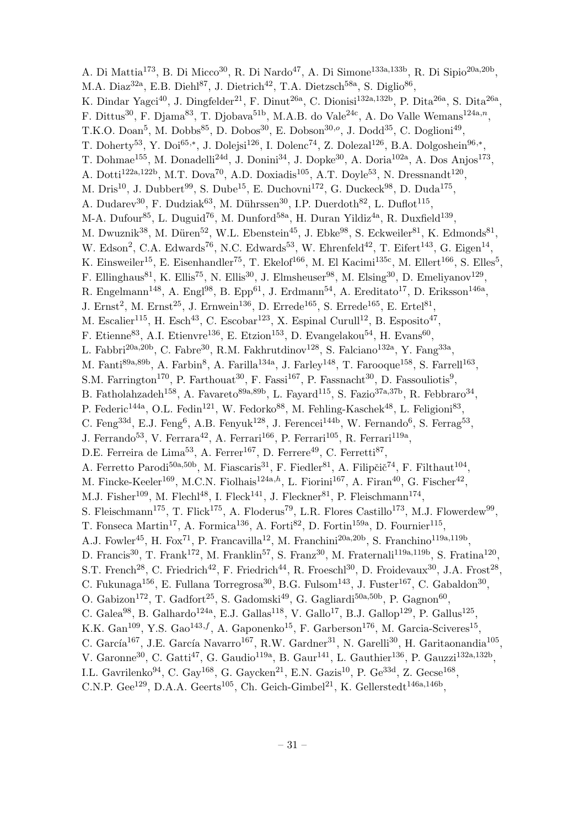A. Di Mattia<sup>173</sup>, B. Di Micco<sup>30</sup>, R. Di Nardo<sup>47</sup>, A. Di Simone<sup>133a,133b</sup>, R. Di Sipio<sup>20a,20b</sup>, M.A. Diaz<sup>32a</sup>, E.B. Diehl<sup>87</sup>, J. Dietrich<sup>42</sup>, T.A. Dietzsch<sup>58a</sup>, S. Diglio<sup>86</sup>, K. Dindar Yagci<sup>40</sup>, J. Dingfelder<sup>21</sup>, F. Dinut<sup>26a</sup>, C. Dionisi<sup>132a,132b</sup>, P. Dita<sup>26a</sup>, S. Dita<sup>26a</sup>, F. Dittus<sup>30</sup>, F. Djama<sup>83</sup>, T. Djobava<sup>51b</sup>, M.A.B. do Vale<sup>24c</sup>, A. Do Valle Wemans<sup>124a,n</sup>, T.K.O. Doan<sup>5</sup>, M. Dobbs<sup>85</sup>, D. Dobos<sup>30</sup>, E. Dobson<sup>30,o</sup>, J. Dodd<sup>35</sup>, C. Doglioni<sup>49</sup>, T. Doherty<sup>53</sup>, Y. Doi<sup>65,\*</sup>, J. Dolejsi<sup>126</sup>, I. Dolenc<sup>74</sup>, Z. Dolezal<sup>126</sup>, B.A. Dolgoshein<sup>96,\*</sup>, T. Dohmae<sup>155</sup>, M. Donadelli<sup>24d</sup>, J. Donini<sup>34</sup>, J. Dopke<sup>30</sup>, A. Doria<sup>102a</sup>, A. Dos Anjos<sup>173</sup>, A. Dotti<sup>122a,122b</sup>, M.T. Dova<sup>70</sup>, A.D. Doxiadis<sup>105</sup>, A.T. Doyle<sup>53</sup>, N. Dressnandt<sup>120</sup>, M. Dris<sup>10</sup>, J. Dubbert<sup>99</sup>, S. Dube<sup>15</sup>, E. Duchovni<sup>172</sup>, G. Duckeck<sup>98</sup>, D. Duda<sup>175</sup>, A. Dudarev<sup>30</sup>, F. Dudziak<sup>63</sup>, M. Dührssen<sup>30</sup>, I.P. Duerdoth<sup>82</sup>, L. Duflot<sup>115</sup>, M-A. Dufour<sup>85</sup>, L. Duguid<sup>76</sup>, M. Dunford<sup>58a</sup>, H. Duran Yildiz<sup>4a</sup>, R. Duxfield<sup>139</sup>, M. Dwuznik<sup>38</sup>, M. Düren<sup>52</sup>, W.L. Ebenstein<sup>45</sup>, J. Ebke<sup>98</sup>, S. Eckweiler<sup>81</sup>, K. Edmonds<sup>81</sup>, W. Edson<sup>2</sup>, C.A. Edwards<sup>76</sup>, N.C. Edwards<sup>53</sup>, W. Ehrenfeld<sup>42</sup>, T. Eifert<sup>143</sup>, G. Eigen<sup>14</sup>, K. Einsweiler<sup>15</sup>, E. Eisenhandler<sup>75</sup>, T. Ekelof<sup>166</sup>, M. El Kacimi<sup>135c</sup>, M. Ellert<sup>166</sup>, S. Elles<sup>5</sup>, F. Ellinghaus<sup>81</sup>, K. Ellis<sup>75</sup>, N. Ellis<sup>30</sup>, J. Elmsheuser<sup>98</sup>, M. Elsing<sup>30</sup>, D. Emeliyanov<sup>129</sup>, R. Engelmann<sup>148</sup>, A. Engl<sup>98</sup>, B. Epp<sup>61</sup>, J. Erdmann<sup>54</sup>, A. Ereditato<sup>17</sup>, D. Eriksson<sup>146a</sup>, J. Ernst<sup>2</sup>, M. Ernst<sup>25</sup>, J. Ernwein<sup>136</sup>, D. Errede<sup>165</sup>, S. Errede<sup>165</sup>, E. Ertel<sup>81</sup>, M. Escalier<sup>115</sup>, H. Esch<sup>43</sup>, C. Escobar<sup>123</sup>, X. Espinal Curull<sup>12</sup>, B. Esposito<sup>47</sup>, F. Etienne<sup>83</sup>, A.I. Etienvre<sup>136</sup>, E. Etzion<sup>153</sup>, D. Evangelakou<sup>54</sup>, H. Evans<sup>60</sup>, L. Fabbri<sup>20a, 20b</sup>, C. Fabre<sup>30</sup>, R.M. Fakhrutdinov<sup>128</sup>, S. Falciano<sup>132a</sup>, Y. Fang<sup>33a</sup>, M. Fanti<sup>89a,89b</sup>, A. Farbin<sup>8</sup>, A. Farilla<sup>134a</sup>, J. Farley<sup>148</sup>, T. Farooque<sup>158</sup>, S. Farrell<sup>163</sup>, S.M. Farrington<sup>170</sup>, P. Farthouat<sup>30</sup>, F. Fassi<sup>167</sup>, P. Fassnacht<sup>30</sup>, D. Fassouliotis<sup>9</sup>, B. Fatholahzadeh<sup>158</sup>, A. Favareto<sup>89a,89b</sup>, L. Fayard<sup>115</sup>, S. Fazio<sup>37a,37b</sup>, R. Febbraro<sup>34</sup>, P. Federic<sup>144a</sup>, O.L. Fedin<sup>121</sup>, W. Fedorko<sup>88</sup>, M. Fehling-Kaschek<sup>48</sup>, L. Feligioni<sup>83</sup>, C. Feng<sup>33d</sup>, E.J. Feng<sup>6</sup>, A.B. Fenyuk<sup>128</sup>, J. Ferencei<sup>144b</sup>, W. Fernando<sup>6</sup>, S. Ferrag<sup>53</sup>, J. Ferrando<sup>53</sup>, V. Ferrara<sup>42</sup>, A. Ferrari<sup>166</sup>, P. Ferrari<sup>105</sup>, R. Ferrari<sup>119a</sup>, D.E. Ferreira de Lima<sup>53</sup>, A. Ferrer<sup>167</sup>, D. Ferrere<sup>49</sup>, C. Ferretti<sup>87</sup>, A. Ferretto Parodi<sup>50a,50b</sup>, M. Fiascaris<sup>31</sup>, F. Fiedler<sup>81</sup>, A. Filipčič<sup>74</sup>, F. Filthaut<sup>104</sup>, M. Fincke-Keeler<sup>169</sup>, M.C.N. Fiolhais<sup>124a,h</sup>, L. Fiorini<sup>167</sup>, A. Firan<sup>40</sup>, G. Fischer<sup>42</sup>, M.J. Fisher<sup>109</sup>, M. Flechl<sup>48</sup>, I. Fleck<sup>141</sup>, J. Fleckner<sup>81</sup>, P. Fleischmann<sup>174</sup>, S. Fleischmann<sup>175</sup>, T. Flick<sup>175</sup>, A. Floderus<sup>79</sup>, L.R. Flores Castillo<sup>173</sup>, M.J. Flowerdew<sup>99</sup>, T. Fonseca Martin<sup>17</sup>, A. Formica<sup>136</sup>, A. Forti<sup>82</sup>, D. Fortin<sup>159a</sup>, D. Fournier<sup>115</sup>, A.J. Fowler<sup>45</sup>, H. Fox<sup>71</sup>, P. Francavilla<sup>12</sup>, M. Franchini<sup>20a,20b</sup>, S. Franchino<sup>119a,119b</sup>, D. Francis<sup>30</sup>, T. Frank<sup>172</sup>, M. Franklin<sup>57</sup>, S. Franz<sup>30</sup>, M. Fraternali<sup>119a,119b</sup>, S. Fratina<sup>120</sup>, S.T. French<sup>28</sup>, C. Friedrich<sup>42</sup>, F. Friedrich<sup>44</sup>, R. Froeschl<sup>30</sup>, D. Froidevaux<sup>30</sup>, J.A. Frost<sup>28</sup>, C. Fukunaga<sup>156</sup>, E. Fullana Torregrosa<sup>30</sup>, B.G. Fulsom<sup>143</sup>, J. Fuster<sup>167</sup>, C. Gabaldon<sup>30</sup>, O. Gabizon<sup>172</sup>, T. Gadfort<sup>25</sup>, S. Gadomski<sup>49</sup>, G. Gagliardi<sup>50a,50b</sup>, P. Gagnon<sup>60</sup>, C. Galea<sup>98</sup>, B. Galhardo<sup>124a</sup>, E.J. Gallas<sup>118</sup>, V. Gallo<sup>17</sup>, B.J. Gallop<sup>129</sup>, P. Gallus<sup>125</sup>, K.K. Gan<sup>109</sup>, Y.S. Gao<sup>143,f</sup>, A. Gaponenko<sup>15</sup>, F. Garberson<sup>176</sup>, M. Garcia-Sciveres<sup>15</sup>, C. García<sup>167</sup>, J.E. García Navarro<sup>167</sup>, R.W. Gardner<sup>31</sup>, N. Garelli<sup>30</sup>, H. Garitaonandia<sup>105</sup>, V. Garonne<sup>30</sup>, C. Gatti<sup>47</sup>, G. Gaudio<sup>119a</sup>, B. Gaur<sup>141</sup>, L. Gauthier<sup>136</sup>, P. Gauzzi<sup>132a,132b</sup>, I.L. Gavrilenko $^{94}$ , C. Gay<sup>168</sup>, G. Gaycken<sup>21</sup>, E.N. Gazis<sup>10</sup>, P. Ge<sup>33d</sup>, Z. Gecse<sup>168</sup>, C.N.P. Gee<sup>129</sup>, D.A.A. Geerts<sup>105</sup>, Ch. Geich-Gimbel<sup>21</sup>, K. Gellerstedt<sup>146a,146b</sup>,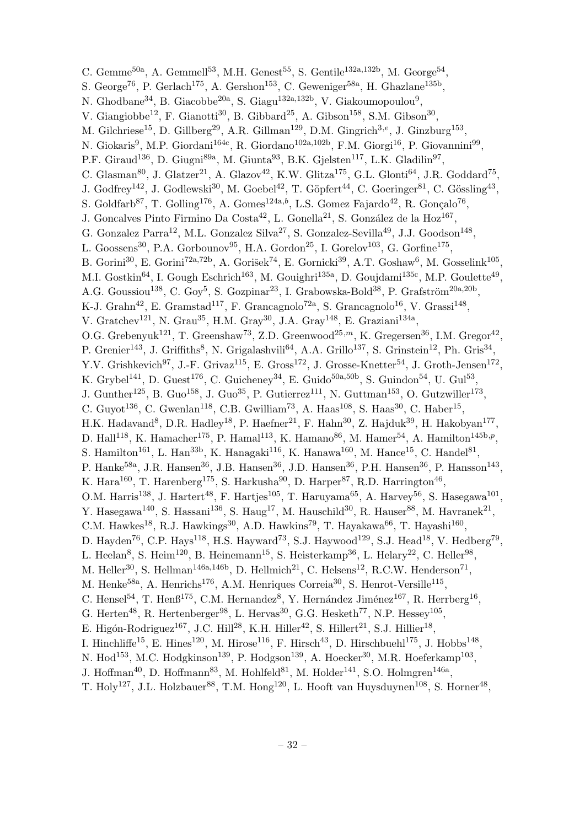C. Gemme<sup>50a</sup>, A. Gemmell<sup>53</sup>, M.H. Genest<sup>55</sup>, S. Gentile<sup>132a,132b</sup>, M. George<sup>54</sup>, S. George<sup>76</sup>, P. Gerlach<sup>175</sup>, A. Gershon<sup>153</sup>, C. Geweniger<sup>58a</sup>, H. Ghazlane<sup>135b</sup>, N. Ghodbane<sup>34</sup>, B. Giacobbe<sup>20a</sup>, S. Giagu<sup>132a,132b</sup>, V. Giakoumopoulou<sup>9</sup>, V. Giangiobbe<sup>12</sup>, F. Gianotti<sup>30</sup>, B. Gibbard<sup>25</sup>, A. Gibson<sup>158</sup>, S.M. Gibson<sup>30</sup>, M. Gilchriese<sup>15</sup>, D. Gillberg<sup>29</sup>, A.R. Gillman<sup>129</sup>, D.M. Gingrich<sup>3,e</sup>, J. Ginzburg<sup>153</sup>, N. Giokaris<sup>9</sup>, M.P. Giordani<sup>164c</sup>, R. Giordano<sup>102a,102b</sup>, F.M. Giorgi<sup>16</sup>, P. Giovannini<sup>99</sup>, P.F. Giraud<sup>136</sup>, D. Giugni<sup>89a</sup>, M. Giunta<sup>93</sup>, B.K. Gjelsten<sup>117</sup>, L.K. Gladilin<sup>97</sup>, C. Glasman<sup>80</sup>, J. Glatzer<sup>21</sup>, A. Glazov<sup>42</sup>, K.W. Glitza<sup>175</sup>, G.L. Glonti<sup>64</sup>, J.R. Goddard<sup>75</sup>, J. Godfrey<sup>142</sup>, J. Godlewski<sup>30</sup>, M. Goebel<sup>42</sup>, T. Göpfert<sup>44</sup>, C. Goeringer<sup>81</sup>, C. Gössling<sup>43</sup>, S. Goldfarb<sup>87</sup>, T. Golling<sup>176</sup>, A. Gomes<sup>124a,b</sup>, L.S. Gomez Fajardo<sup>42</sup>, R. Gonçalo<sup>76</sup>, J. Goncalves Pinto Firmino Da  $\text{Costa}^{42}$ , L. Gonella<sup>21</sup>, S. González de la Hoz<sup>167</sup>, G. Gonzalez Parra<sup>12</sup>, M.L. Gonzalez Silva<sup>27</sup>, S. Gonzalez-Sevilla<sup>49</sup>, J.J. Goodson<sup>148</sup>, L. Goossens<sup>30</sup>, P.A. Gorbounov<sup>95</sup>, H.A. Gordon<sup>25</sup>, I. Gorelov<sup>103</sup>, G. Gorfine<sup>175</sup>, B. Gorini<sup>30</sup>, E. Gorini<sup>72a,72b</sup>, A. Gorišek<sup>74</sup>, E. Gornicki<sup>39</sup>, A.T. Goshaw<sup>6</sup>, M. Gosselink<sup>105</sup>, M.I. Gostkin<sup>64</sup>, I. Gough Eschrich<sup>163</sup>, M. Gouighri<sup>135a</sup>, D. Goujdami<sup>135c</sup>, M.P. Goulette<sup>49</sup>, A.G. Goussiou<sup>138</sup>, C. Goy<sup>5</sup>, S. Gozpinar<sup>23</sup>, I. Grabowska-Bold<sup>38</sup>, P. Grafström<sup>20a,20b</sup>, K-J. Grahn<sup>42</sup>, E. Gramstad<sup>117</sup>, F. Grancagnolo<sup>72a</sup>, S. Grancagnolo<sup>16</sup>, V. Grassi<sup>148</sup>, V. Gratchev<sup>121</sup>, N. Grau<sup>35</sup>, H.M. Gray<sup>30</sup>, J.A. Gray<sup>148</sup>, E. Graziani<sup>134a</sup>, O.G. Grebenyuk<sup>121</sup>, T. Greenshaw<sup>73</sup>, Z.D. Greenwood<sup>25,*m*</sup>, K. Gregersen<sup>36</sup>, I.M. Gregor<sup>42</sup>, P. Grenier<sup>143</sup>, J. Griffiths<sup>8</sup>, N. Grigalashvili<sup>64</sup>, A.A. Grillo<sup>137</sup>, S. Grinstein<sup>12</sup>, Ph. Gris<sup>34</sup>, Y.V. Grishkevich<sup>97</sup>, J.-F. Grivaz<sup>115</sup>, E. Gross<sup>172</sup>, J. Grosse-Knetter<sup>54</sup>, J. Groth-Jensen<sup>172</sup>, K. Grybel<sup>141</sup>, D. Guest<sup>176</sup>, C. Guicheney<sup>34</sup>, E. Guido<sup>50a,50b</sup>, S. Guindon<sup>54</sup>, U. Gul<sup>53</sup>, J. Gunther<sup>125</sup>, B. Guo<sup>158</sup>, J. Guo<sup>35</sup>, P. Gutierrez<sup>111</sup>, N. Guttman<sup>153</sup>, O. Gutzwiller<sup>173</sup>, C. Guyot<sup>136</sup>, C. Gwenlan<sup>118</sup>, C.B. Gwilliam<sup>73</sup>, A. Haas<sup>108</sup>, S. Haas<sup>30</sup>, C. Haber<sup>15</sup>, H.K. Hadavand<sup>8</sup>, D.R. Hadley<sup>18</sup>, P. Haefner<sup>21</sup>, F. Hahn<sup>30</sup>, Z. Hajduk<sup>39</sup>, H. Hakobyan<sup>177</sup>, D. Hall<sup>118</sup>, K. Hamacher<sup>175</sup>, P. Hamal<sup>113</sup>, K. Hamano<sup>86</sup>, M. Hamer<sup>54</sup>, A. Hamilton<sup>145b,p</sup>, S. Hamilton<sup>161</sup>, L. Han<sup>33b</sup>, K. Hanagaki<sup>116</sup>, K. Hanawa<sup>160</sup>, M. Hance<sup>15</sup>, C. Handel<sup>81</sup>, P. Hanke<sup>58a</sup>, J.R. Hansen<sup>36</sup>, J.B. Hansen<sup>36</sup>, J.D. Hansen<sup>36</sup>, P.H. Hansen<sup>36</sup>, P. Hansson<sup>143</sup>, K. Hara<sup>160</sup>, T. Harenberg<sup>175</sup>, S. Harkusha<sup>90</sup>, D. Harper<sup>87</sup>, R.D. Harrington<sup>46</sup>, O.M. Harris<sup>138</sup>, J. Hartert<sup>48</sup>, F. Hartjes<sup>105</sup>, T. Haruyama<sup>65</sup>, A. Harvey<sup>56</sup>, S. Hasegawa<sup>101</sup>, Y. Hasegawa<sup>140</sup>, S. Hassani<sup>136</sup>, S. Haug<sup>17</sup>, M. Hauschild<sup>30</sup>, R. Hauser<sup>88</sup>, M. Havranek<sup>21</sup>, C.M. Hawkes<sup>18</sup>, R.J. Hawkings<sup>30</sup>, A.D. Hawkins<sup>79</sup>, T. Hayakawa<sup>66</sup>, T. Hayashi<sup>160</sup>, D. Hayden<sup>76</sup>, C.P. Hays<sup>118</sup>, H.S. Hayward<sup>73</sup>, S.J. Haywood<sup>129</sup>, S.J. Head<sup>18</sup>, V. Hedberg<sup>79</sup>, L. Heelan<sup>8</sup>, S. Heim<sup>120</sup>, B. Heinemann<sup>15</sup>, S. Heisterkamp<sup>36</sup>, L. Helary<sup>22</sup>, C. Heller<sup>98</sup>, M. Heller<sup>30</sup>, S. Hellman<sup>146a,146b</sup>, D. Hellmich<sup>21</sup>, C. Helsens<sup>12</sup>, R.C.W. Henderson<sup>71</sup>, M. Henke<sup>58a</sup>, A. Henrichs<sup>176</sup>, A.M. Henriques Correia<sup>30</sup>, S. Henrot-Versille<sup>115</sup>, C. Hensel<sup>54</sup>, T. Hen $6^{175}$ , C.M. Hernandez<sup>8</sup>, Y. Hernández Jiménez<sup>167</sup>, R. Herrberg<sup>16</sup>, G. Herten<sup>48</sup>, R. Hertenberger<sup>98</sup>, L. Hervas<sup>30</sup>, G.G. Hesketh<sup>77</sup>, N.P. Hessey<sup>105</sup>, E. Higón-Rodriguez<sup>167</sup>, J.C. Hill<sup>28</sup>, K.H. Hiller<sup>42</sup>, S. Hillert<sup>21</sup>, S.J. Hillier<sup>18</sup>, I. Hinchliffe<sup>15</sup>, E. Hines<sup>120</sup>, M. Hirose<sup>116</sup>, F. Hirsch<sup>43</sup>, D. Hirschbuehl<sup>175</sup>, J. Hobbs<sup>148</sup>, N. Hod<sup>153</sup>, M.C. Hodgkinson<sup>139</sup>, P. Hodgson<sup>139</sup>, A. Hoecker<sup>30</sup>, M.R. Hoeferkamp<sup>103</sup>, J. Hoffman<sup>40</sup>, D. Hoffmann<sup>83</sup>, M. Hohlfeld<sup>81</sup>, M. Holder<sup>141</sup>, S.O. Holmgren<sup>146a</sup>, T. Holy<sup>127</sup>, J.L. Holzbauer<sup>88</sup>, T.M. Hong<sup>120</sup>, L. Hooft van Huysduynen<sup>108</sup>, S. Horner<sup>48</sup>,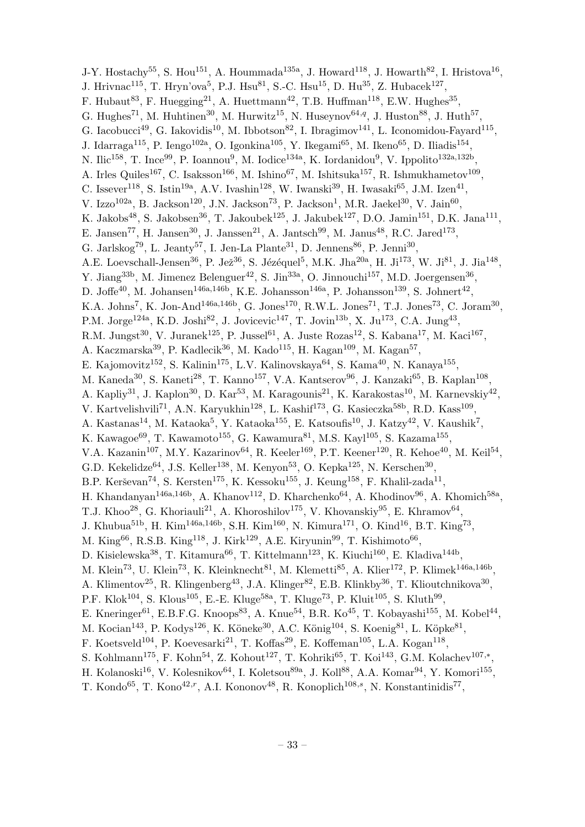J-Y. Hostachy<sup>55</sup>, S. Hou<sup>151</sup>, A. Hoummada<sup>135a</sup>, J. Howard<sup>118</sup>, J. Howarth<sup>82</sup>, I. Hristova<sup>16</sup>, J. Hrivnac<sup>115</sup>, T. Hryn'ova<sup>5</sup>, P.J. Hsu<sup>81</sup>, S.-C. Hsu<sup>15</sup>, D. Hu<sup>35</sup>, Z. Hubacek<sup>127</sup>, F. Hubaut<sup>83</sup>, F. Huegging<sup>21</sup>, A. Huettmann<sup>42</sup>, T.B. Huffman<sup>118</sup>, E.W. Hughes<sup>35</sup>, G. Hughes<sup>71</sup>, M. Huhtinen<sup>30</sup>, M. Hurwitz<sup>15</sup>, N. Huseynov<sup>64,q</sup>, J. Huston<sup>88</sup>, J. Huth<sup>57</sup>, G. Iacobucci<sup>49</sup>, G. Iakovidis<sup>10</sup>, M. Ibbotson<sup>82</sup>, I. Ibragimov<sup>141</sup>, L. Iconomidou-Fayard<sup>115</sup>, J. Idarraga<sup>115</sup>, P. Iengo<sup>102a</sup>, O. Igonkina<sup>105</sup>, Y. Ikegami<sup>65</sup>, M. Ikeno<sup>65</sup>, D. Iliadis<sup>154</sup>, N. Ilic<sup>158</sup>, T. Ince<sup>99</sup>, P. Ioannou<sup>9</sup>, M. Iodice<sup>134a</sup>, K. Iordanidou<sup>9</sup>, V. Ippolito<sup>132a,132b</sup>, A. Irles Quiles<sup>167</sup>, C. Isaksson<sup>166</sup>, M. Ishino<sup>67</sup>, M. Ishitsuka<sup>157</sup>, R. Ishmukhametov<sup>109</sup>, C. Issever<sup>118</sup>, S. Istin<sup>19a</sup>, A.V. Ivashin<sup>128</sup>, W. Iwanski<sup>39</sup>, H. Iwasaki<sup>65</sup>, J.M. Izen<sup>41</sup>, V. Izzo<sup>102a</sup>, B. Jackson<sup>120</sup>, J.N. Jackson<sup>73</sup>, P. Jackson<sup>1</sup>, M.R. Jaekel<sup>30</sup>, V. Jain<sup>60</sup>, K. Jakobs<sup>48</sup>, S. Jakobsen<sup>36</sup>, T. Jakoubek<sup>125</sup>, J. Jakubek<sup>127</sup>, D.O. Jamin<sup>151</sup>, D.K. Jana<sup>111</sup>, E. Jansen<sup>77</sup>, H. Jansen<sup>30</sup>, J. Janssen<sup>21</sup>, A. Jantsch<sup>99</sup>, M. Janus<sup>48</sup>, R.C. Jared<sup>173</sup>, G. Jarlskog<sup>79</sup>, L. Jeanty<sup>57</sup>, I. Jen-La Plante<sup>31</sup>, D. Jennens<sup>86</sup>, P. Jenni<sup>30</sup>, A.E. Loevschall-Jensen<sup>36</sup>, P. Jež<sup>36</sup>, S. Jézéquel<sup>5</sup>, M.K. Jha<sup>20a</sup>, H. Ji<sup>173</sup>, W. Ji<sup>81</sup>, J. Jia<sup>148</sup>, Y. Jiang<sup>33b</sup>, M. Jimenez Belenguer<sup>42</sup>, S. Jin<sup>33a</sup>, O. Jinnouchi<sup>157</sup>, M.D. Joergensen<sup>36</sup>, D. Joffe<sup>40</sup>, M. Johansen<sup>146a,146b</sup>, K.E. Johansson<sup>146a</sup>, P. Johansson<sup>139</sup>, S. Johnert<sup>42</sup>, K.A. Johns<sup>7</sup>, K. Jon-And<sup>146a,146b</sup>, G. Jones<sup>170</sup>, R.W.L. Jones<sup>71</sup>, T.J. Jones<sup>73</sup>, C. Joram<sup>30</sup>, P.M. Jorge<sup>124a</sup>, K.D. Joshi<sup>82</sup>, J. Jovicevic<sup>147</sup>, T. Jovin<sup>13b</sup>, X. Ju<sup>173</sup>, C.A. Jung<sup>43</sup>, R.M. Jungst<sup>30</sup>, V. Juranek<sup>125</sup>, P. Jussel<sup>61</sup>, A. Juste Rozas<sup>12</sup>, S. Kabana<sup>17</sup>, M. Kaci<sup>167</sup>, A. Kaczmarska $^{39}$ , P. Kadlecik $^{36}$ , M. Kado $^{115}$ , H. Kagan $^{109}$ , M. Kagan $^{57}$ , E. Kajomovitz<sup>152</sup>, S. Kalinin<sup>175</sup>, L.V. Kalinovskaya<sup>64</sup>, S. Kama<sup>40</sup>, N. Kanaya<sup>155</sup>, M. Kaneda<sup>30</sup>, S. Kaneti<sup>28</sup>, T. Kanno<sup>157</sup>, V.A. Kantserov<sup>96</sup>, J. Kanzaki<sup>65</sup>, B. Kaplan<sup>108</sup>, A. Kapliy<sup>31</sup>, J. Kaplon<sup>30</sup>, D. Kar<sup>53</sup>, M. Karagounis<sup>21</sup>, K. Karakostas<sup>10</sup>, M. Karnevskiy<sup>42</sup>, V. Kartvelishvili<sup>71</sup>, A.N. Karyukhin<sup>128</sup>, L. Kashif<sup>173</sup>, G. Kasieczka<sup>58b</sup>, R.D. Kass<sup>109</sup>, A. Kastanas<sup>14</sup>, M. Kataoka<sup>5</sup>, Y. Kataoka<sup>155</sup>, E. Katsoufis<sup>10</sup>, J. Katzy<sup>42</sup>, V. Kaushik<sup>7</sup>, K. Kawagoe $^{69}$ , T. Kawamoto $^{155}$ , G. Kawamura $^{81}$ , M.S. Kayl $^{105}$ , S. Kazama $^{155}$ , V.A. Kazanin<sup>107</sup>, M.Y. Kazarinov<sup>64</sup>, R. Keeler<sup>169</sup>, P.T. Keener<sup>120</sup>, R. Kehoe<sup>40</sup>, M. Keil<sup>54</sup>, G.D. Kekelidze<sup>64</sup>, J.S. Keller<sup>138</sup>, M. Kenyon<sup>53</sup>, O. Kepka<sup>125</sup>, N. Kerschen<sup>30</sup>, B.P. Kerševan<sup>74</sup>, S. Kersten<sup>175</sup>, K. Kessoku<sup>155</sup>, J. Keung<sup>158</sup>, F. Khalil-zada<sup>11</sup>, H. Khandanyan<sup>146a,146b</sup>, A. Khanov<sup>112</sup>, D. Kharchenko<sup>64</sup>, A. Khodinov<sup>96</sup>, A. Khomich<sup>58a</sup>, T.J. Khoo<sup>28</sup>, G. Khoriauli<sup>21</sup>, A. Khoroshilov<sup>175</sup>, V. Khovanskiy<sup>95</sup>, E. Khramov<sup>64</sup>, J. Khubua<sup>51b</sup>, H. Kim<sup>146a,146b</sup>, S.H. Kim<sup>160</sup>, N. Kimura<sup>171</sup>, O. Kind<sup>16</sup>, B.T. King<sup>73</sup>, M. King $^{66}$ , R.S.B. King $^{118}$ , J. Kirk $^{129}$ , A.E. Kiryunin $^{99}$ , T. Kishimoto $^{66}$ , D. Kisielewska<sup>38</sup>, T. Kitamura<sup>66</sup>, T. Kittelmann<sup>123</sup>, K. Kiuchi<sup>160</sup>, E. Kladiva<sup>144b</sup>, M. Klein<sup>73</sup>, U. Klein<sup>73</sup>, K. Kleinknecht<sup>81</sup>, M. Klemetti<sup>85</sup>, A. Klier<sup>172</sup>, P. Klimek<sup>146a,146b</sup>, A. Klimentov<sup>25</sup>, R. Klingenberg<sup>43</sup>, J.A. Klinger<sup>82</sup>, E.B. Klinkby<sup>36</sup>, T. Klioutchnikova<sup>30</sup>, P.F. Klok<sup>104</sup>, S. Klous<sup>105</sup>, E.-E. Kluge<sup>58a</sup>, T. Kluge<sup>73</sup>, P. Kluit<sup>105</sup>, S. Kluth<sup>99</sup>, E. Kneringer<sup>61</sup>, E.B.F.G. Knoops<sup>83</sup>, A. Knue<sup>54</sup>, B.R. Ko<sup>45</sup>, T. Kobayashi<sup>155</sup>, M. Kobel<sup>44</sup>, M. Kocian<sup>143</sup>, P. Kodys<sup>126</sup>, K. Köneke<sup>30</sup>, A.C. König<sup>104</sup>, S. Koenig<sup>81</sup>, L. Köpke<sup>81</sup>, F. Koetsveld<sup>104</sup>, P. Koevesarki<sup>21</sup>, T. Koffas<sup>29</sup>, E. Koffeman<sup>105</sup>, L.A. Kogan<sup>118</sup>, S. Kohlmann<sup>175</sup>, F. Kohn<sup>54</sup>, Z. Kohout<sup>127</sup>, T. Kohriki<sup>65</sup>, T. Koi<sup>143</sup>, G.M. Kolachev<sup>107,\*</sup>, H. Kolanoski<sup>16</sup>, V. Kolesnikov<sup>64</sup>, I. Koletsou<sup>89a</sup>, J. Koll<sup>88</sup>, A.A. Komar<sup>94</sup>, Y. Komori<sup>155</sup>, T. Kondo<sup>65</sup>, T. Kono<sup>42,r</sup>, A.I. Kononov<sup>48</sup>, R. Konoplich<sup>108,s</sup>, N. Konstantinidis<sup>77</sup>,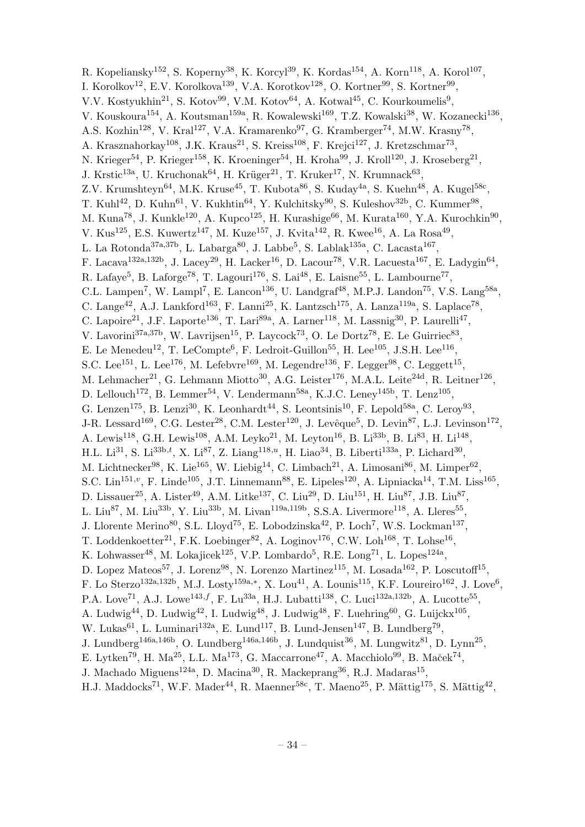R. Kopeliansky<sup>152</sup>, S. Koperny<sup>38</sup>, K. Korcyl<sup>39</sup>, K. Kordas<sup>154</sup>, A. Korn<sup>118</sup>, A. Korol<sup>107</sup>, I. Korolkov<sup>12</sup>, E.V. Korolkova<sup>139</sup>, V.A. Korotkov<sup>128</sup>, O. Kortner<sup>99</sup>, S. Kortner<sup>99</sup>, V.V. Kostyukhin<sup>21</sup>, S. Kotov<sup>99</sup>, V.M. Kotov<sup>64</sup>, A. Kotwal<sup>45</sup>, C. Kourkoumelis<sup>9</sup>, V. Kouskoura<sup>154</sup>, A. Koutsman<sup>159a</sup>, R. Kowalewski<sup>169</sup>, T.Z. Kowalski<sup>38</sup>, W. Kozanecki<sup>136</sup>, A.S. Kozhin<sup>128</sup>, V. Kral<sup>127</sup>, V.A. Kramarenko<sup>97</sup>, G. Kramberger<sup>74</sup>, M.W. Krasny<sup>78</sup>, A. Krasznahorkay<sup>108</sup>, J.K. Kraus<sup>21</sup>, S. Kreiss<sup>108</sup>, F. Krejci<sup>127</sup>, J. Kretzschmar<sup>73</sup>, N. Krieger<sup>54</sup>, P. Krieger<sup>158</sup>, K. Kroeninger<sup>54</sup>, H. Kroha<sup>99</sup>, J. Kroll<sup>120</sup>, J. Kroseberg<sup>21</sup>, J. Krstic<sup>13a</sup>, U. Kruchonak<sup>64</sup>, H. Krüger<sup>21</sup>, T. Kruker<sup>17</sup>, N. Krumnack<sup>63</sup>, Z.V. Krumshteyn<sup>64</sup>, M.K. Kruse<sup>45</sup>, T. Kubota<sup>86</sup>, S. Kuday<sup>4a</sup>, S. Kuehn<sup>48</sup>, A. Kugel<sup>58c</sup>, T. Kuhl<sup>42</sup>, D. Kuhn<sup>61</sup>, V. Kukhtin<sup>64</sup>, Y. Kulchitsky<sup>90</sup>, S. Kuleshov<sup>32b</sup>, C. Kummer<sup>98</sup>, M. Kuna<sup>78</sup>, J. Kunkle<sup>120</sup>, A. Kupco<sup>125</sup>, H. Kurashige<sup>66</sup>, M. Kurata<sup>160</sup>, Y.A. Kurochkin<sup>90</sup>, V. Kus<sup>125</sup>, E.S. Kuwertz<sup>147</sup>, M. Kuze<sup>157</sup>, J. Kvita<sup>142</sup>, R. Kwee<sup>16</sup>, A. La Rosa<sup>49</sup>, L. La Rotonda<sup>37a,37b</sup>, L. Labarga<sup>80</sup>, J. Labbe<sup>5</sup>, S. Lablak<sup>135a</sup>, C. Lacasta<sup>167</sup>, F. Lacava<sup>132a,132b</sup>, J. Lacey<sup>29</sup>, H. Lacker<sup>16</sup>, D. Lacour<sup>78</sup>, V.R. Lacuesta<sup>167</sup>, E. Ladygin<sup>64</sup>, R. Lafaye<sup>5</sup>, B. Laforge<sup>78</sup>, T. Lagouri<sup>176</sup>, S. Lai<sup>48</sup>, E. Laisne<sup>55</sup>, L. Lambourne<sup>77</sup>, C.L. Lampen<sup>7</sup>, W. Lampl<sup>7</sup>, E. Lancon<sup>136</sup>, U. Landgraf<sup>48</sup>, M.P.J. Landon<sup>75</sup>, V.S. Lang<sup>58a</sup>, C. Lange<sup>42</sup>, A.J. Lankford<sup>163</sup>, F. Lanni<sup>25</sup>, K. Lantzsch<sup>175</sup>, A. Lanza<sup>119a</sup>, S. Laplace<sup>78</sup>, C. Lapoire<sup>21</sup>, J.F. Laporte<sup>136</sup>, T. Lari<sup>89a</sup>, A. Larner<sup>118</sup>, M. Lassnig<sup>30</sup>, P. Laurelli<sup>47</sup>, V. Lavorini<sup>37a, 37b</sup>, W. Lavrijsen<sup>15</sup>, P. Laycock<sup>73</sup>, O. Le Dortz<sup>78</sup>, E. Le Guirriec<sup>83</sup>, E. Le Menedeu<sup>12</sup>, T. LeCompte<sup>6</sup>, F. Ledroit-Guillon<sup>55</sup>, H. Lee<sup>105</sup>, J.S.H. Lee<sup>116</sup>, S.C. Lee<sup>151</sup>, L. Lee<sup>176</sup>, M. Lefebvre<sup>169</sup>, M. Legendre<sup>136</sup>, F. Legger<sup>98</sup>, C. Leggett<sup>15</sup>, M. Lehmacher<sup>21</sup>, G. Lehmann Miotto<sup>30</sup>, A.G. Leister<sup>176</sup>, M.A.L. Leite<sup>24d</sup>, R. Leitner<sup>126</sup>, D. Lellouch<sup>172</sup>, B. Lemmer<sup>54</sup>, V. Lendermann<sup>58a</sup>, K.J.C. Leney<sup>145b</sup>, T. Lenz<sup>105</sup>, G. Lenzen<sup>175</sup>, B. Lenzi<sup>30</sup>, K. Leonhardt<sup>44</sup>, S. Leontsinis<sup>10</sup>, F. Lepold<sup>58a</sup>, C. Leroy<sup>93</sup>, J-R. Lessard<sup>169</sup>, C.G. Lester<sup>28</sup>, C.M. Lester<sup>120</sup>, J. Levêque<sup>5</sup>, D. Levin<sup>87</sup>, L.J. Levinson<sup>172</sup>, A. Lewis<sup>118</sup>, G.H. Lewis<sup>108</sup>, A.M. Leyko<sup>21</sup>, M. Leyton<sup>16</sup>, B. Li<sup>33b</sup>, B. Li<sup>83</sup>, H. Li<sup>148</sup>, H.L. Li<sup>31</sup>, S. Li<sup>33b,t</sup>, X. Li<sup>87</sup>, Z. Liang<sup>118,u</sup>, H. Liao<sup>34</sup>, B. Liberti<sup>133a</sup>, P. Lichard<sup>30</sup>, M. Lichtnecker<sup>98</sup>, K. Lie<sup>165</sup>, W. Liebig<sup>14</sup>, C. Limbach<sup>21</sup>, A. Limosani<sup>86</sup>, M. Limper<sup>62</sup>, S.C. Lin<sup>151,v</sup>, F. Linde<sup>105</sup>, J.T. Linnemann<sup>88</sup>, E. Lipeles<sup>120</sup>, A. Lipniacka<sup>14</sup>, T.M. Liss<sup>165</sup>, D. Lissauer<sup>25</sup>, A. Lister<sup>49</sup>, A.M. Litke<sup>137</sup>, C. Liu<sup>29</sup>, D. Liu<sup>151</sup>, H. Liu<sup>87</sup>, J.B. Liu<sup>87</sup>, L. Liu<sup>87</sup>, M. Liu<sup>33b</sup>, Y. Liu<sup>33b</sup>, M. Livan<sup>119a,119b</sup>, S.S.A. Livermore<sup>118</sup>, A. Lleres<sup>55</sup>, J. Llorente Merino<sup>80</sup>, S.L. Lloyd<sup>75</sup>, E. Lobodzinska<sup>42</sup>, P. Loch<sup>7</sup>, W.S. Lockman<sup>137</sup>, T. Loddenkoetter<sup>21</sup>, F.K. Loebinger<sup>82</sup>, A. Loginov<sup>176</sup>, C.W. Loh<sup>168</sup>, T. Lohse<sup>16</sup>, K. Lohwasser<sup>48</sup>, M. Lokajicek<sup>125</sup>, V.P. Lombardo<sup>5</sup>, R.E. Long<sup>71</sup>, L. Lopes<sup>124a</sup>, D. Lopez Mateos<sup>57</sup>, J. Lorenz<sup>98</sup>, N. Lorenzo Martinez<sup>115</sup>, M. Losada<sup>162</sup>, P. Loscutoff<sup>15</sup>, F. Lo Sterzo<sup>132a,132b</sup>, M.J. Losty<sup>159a,\*</sup>, X. Lou<sup>41</sup>, A. Lounis<sup>115</sup>, K.F. Loureiro<sup>162</sup>, J. Love<sup>6</sup>, P.A. Love<sup>71</sup>, A.J. Lowe<sup>143,f</sup>, F. Lu<sup>33a</sup>, H.J. Lubatti<sup>138</sup>, C. Luci<sup>132a,132b</sup>, A. Lucotte<sup>55</sup>, A. Ludwig<sup>44</sup>, D. Ludwig<sup>42</sup>, I. Ludwig<sup>48</sup>, J. Ludwig<sup>48</sup>, F. Luehring<sup>60</sup>, G. Luijckx<sup>105</sup>, W. Lukas<sup>61</sup>, L. Luminari<sup>132a</sup>, E. Lund<sup>117</sup>, B. Lund-Jensen<sup>147</sup>, B. Lundberg<sup>79</sup>, J. Lundberg<sup>146a,146b</sup>, O. Lundberg<sup>146a,146b</sup>, J. Lundquist<sup>36</sup>, M. Lungwitz<sup>81</sup>, D. Lynn<sup>25</sup>, E. Lytken<sup>79</sup>, H. Ma<sup>25</sup>, L.L. Ma<sup>173</sup>, G. Maccarrone<sup>47</sup>, A. Macchiolo<sup>99</sup>, B. Maček<sup>74</sup>, J. Machado Miguens<sup>124a</sup>, D. Macina<sup>30</sup>, R. Mackeprang<sup>36</sup>, R.J. Madaras<sup>15</sup>, H.J. Maddocks<sup>71</sup>, W.F. Mader<sup>44</sup>, R. Maenner<sup>58c</sup>, T. Maeno<sup>25</sup>, P. Mättig<sup>175</sup>, S. Mättig<sup>42</sup>,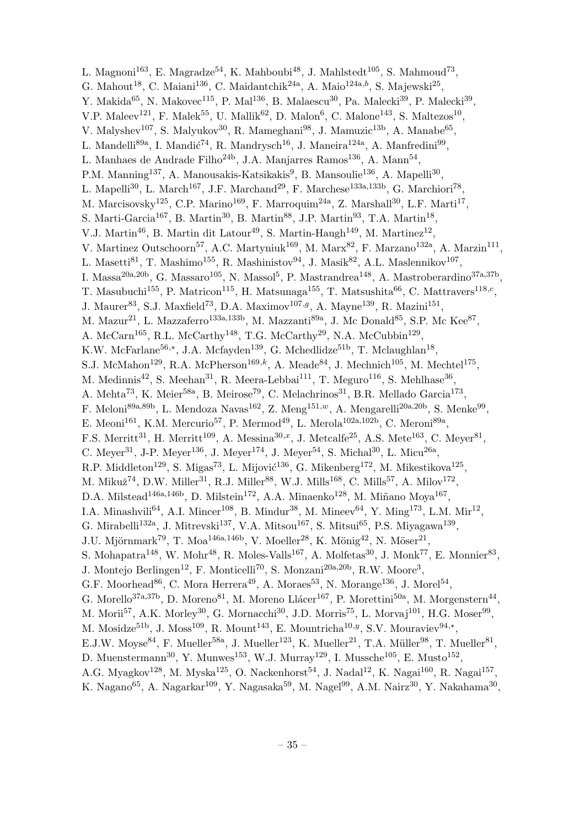L. Magnoni<sup>163</sup>, E. Magradze<sup>54</sup>, K. Mahboubi<sup>48</sup>, J. Mahlstedt<sup>105</sup>, S. Mahmoud<sup>73</sup>, G. Mahout<sup>18</sup>, C. Maiani<sup>136</sup>, C. Maidantchik<sup>24a</sup>, A. Maio<sup>124a,b</sup>, S. Majewski<sup>25</sup>, Y. Makida<sup>65</sup>, N. Makovec<sup>115</sup>, P. Mal<sup>136</sup>, B. Malaescu<sup>30</sup>, Pa. Malecki<sup>39</sup>, P. Malecki<sup>39</sup>, V.P. Maleev<sup>121</sup>, F. Malek<sup>55</sup>, U. Mallik<sup>62</sup>, D. Malon<sup>6</sup>, C. Malone<sup>143</sup>, S. Maltezos<sup>10</sup>, V. Malyshev<sup>107</sup>, S. Malyukov<sup>30</sup>, R. Mameghani<sup>98</sup>, J. Mamuzic<sup>13b</sup>, A. Manabe<sup>65</sup>, L. Mandelli<sup>89a</sup>, I. Mandić<sup>74</sup>, R. Mandrysch<sup>16</sup>, J. Maneira<sup>124a</sup>, A. Manfredini<sup>99</sup>, L. Manhaes de Andrade Filho<sup>24b</sup>, J.A. Manjarres Ramos<sup>136</sup>, A. Mann<sup>54</sup>, P.M. Manning<sup>137</sup>, A. Manousakis-Katsikakis<sup>9</sup>, B. Mansoulie<sup>136</sup>, A. Mapelli<sup>30</sup>, L. Mapelli<sup>30</sup>, L. March<sup>167</sup>, J.F. Marchand<sup>29</sup>, F. Marchese<sup>133a,133b</sup>, G. Marchiori<sup>78</sup>, M. Marcisovsky<sup>125</sup>, C.P. Marino<sup>169</sup>, F. Marroquim<sup>24a</sup>, Z. Marshall<sup>30</sup>, L.F. Marti<sup>17</sup>, S. Marti-Garcia<sup>167</sup>, B. Martin<sup>30</sup>, B. Martin<sup>88</sup>, J.P. Martin<sup>93</sup>, T.A. Martin<sup>18</sup>, V.J. Martin<sup>46</sup>, B. Martin dit Latour<sup>49</sup>, S. Martin-Haugh<sup>149</sup>, M. Martinez<sup>12</sup>, V. Martinez Outschoorn<sup>57</sup>, A.C. Martyniuk<sup>169</sup>, M. Marx<sup>82</sup>, F. Marzano<sup>132a</sup>, A. Marzin<sup>111</sup>, L. Masetti $^{81}$ , T. Mashimo<sup>155</sup>, R. Mashinistov<sup>94</sup>, J. Masik<sup>82</sup>, A.L. Maslennikov<sup>107</sup>, I. Massa<sup>20a,20b</sup>, G. Massaro<sup>105</sup>, N. Massol<sup>5</sup>, P. Mastrandrea<sup>148</sup>, A. Mastroberardino<sup>37a,37b</sup>, T. Masubuchi<sup>155</sup>, P. Matricon<sup>115</sup>, H. Matsunaga<sup>155</sup>, T. Matsushita<sup>66</sup>, C. Mattravers<sup>118,*c*</sup>, J. Maurer<sup>83</sup>, S.J. Maxfield<sup>73</sup>, D.A. Maximov<sup>107, g</sup>, A. Mayne<sup>139</sup>, R. Mazini<sup>151</sup>, M. Mazur<sup>21</sup>, L. Mazzaferro<sup>133a,133b</sup>, M. Mazzanti<sup>89a</sup>, J. Mc Donald<sup>85</sup>, S.P. Mc Kee<sup>87</sup>, A. McCarn<sup>165</sup>, R.L. McCarthy<sup>148</sup>, T.G. McCarthy<sup>29</sup>, N.A. McCubbin<sup>129</sup>, K.W. McFarlane<sup>56,\*</sup>, J.A. Mcfayden<sup>139</sup>, G. Mchedlidze<sup>51b</sup>, T. Mclaughlan<sup>18</sup>, S.J. McMahon<sup>129</sup>, R.A. McPherson<sup>169,k</sup>, A. Meade<sup>84</sup>, J. Mechnich<sup>105</sup>, M. Mechtel<sup>175</sup>, M. Medinnis<sup>42</sup>, S. Meehan<sup>31</sup>, R. Meera-Lebbai<sup>111</sup>, T. Meguro<sup>116</sup>, S. Mehlhase<sup>36</sup>, A. Mehta<sup>73</sup>, K. Meier<sup>58a</sup>, B. Meirose<sup>79</sup>, C. Melachrinos<sup>31</sup>, B.R. Mellado Garcia<sup>173</sup>, F. Meloni<sup>89a,89b</sup>, L. Mendoza Navas<sup>162</sup>, Z. Meng<sup>151,*w*</sup>, A. Mengarelli<sup>20a,20b</sup>, S. Menke<sup>99</sup>, E. Meoni<sup>161</sup>, K.M. Mercurio<sup>57</sup>, P. Mermod<sup>49</sup>, L. Merola<sup>102a,102b</sup>, C. Meroni<sup>89a</sup>, F.S. Merritt<sup>31</sup>, H. Merritt<sup>109</sup>, A. Messina<sup>30,x</sup>, J. Metcalfe<sup>25</sup>, A.S. Mete<sup>163</sup>, C. Meyer<sup>81</sup>, C. Meyer<sup>31</sup>, J-P. Meyer<sup>136</sup>, J. Meyer<sup>174</sup>, J. Meyer<sup>54</sup>, S. Michal<sup>30</sup>, L. Micu<sup>26a</sup>, R.P. Middleton<sup>129</sup>, S. Migas<sup>73</sup>, L. Mijović<sup>136</sup>, G. Mikenberg<sup>172</sup>, M. Mikestikova<sup>125</sup>, M. Mikuž $^{74}$ , D.W. Miller $^{31}$ , R.J. Miller $^{88}$ , W.J. Mills $^{168}$ , C. Mills $^{57}$ , A. Milov $^{172}$ , D.A. Milstead<sup>146a,146b</sup>, D. Milstein<sup>172</sup>, A.A. Minaenko<sup>128</sup>, M. Miñano Moya<sup>167</sup>, I.A. Minashvili<sup>64</sup>, A.I. Mincer<sup>108</sup>, B. Mindur<sup>38</sup>, M. Mineev<sup>64</sup>, Y. Ming<sup>173</sup>, L.M. Mir<sup>12</sup>, G. Mirabelli<sup>132a</sup>, J. Mitrevski<sup>137</sup>, V.A. Mitsou<sup>167</sup>, S. Mitsui<sup>65</sup>, P.S. Miyagawa<sup>139</sup>, J.U. Mjörnmark $^{79}$ , T. Moa<sup>146a,146b</sup>, V. Moeller<sup>28</sup>, K. Mönig<sup>42</sup>, N. Möser<sup>21</sup>, S. Mohapatra<sup>148</sup>, W. Mohr<sup>48</sup>, R. Moles-Valls<sup>167</sup>, A. Molfetas<sup>30</sup>, J. Monk<sup>77</sup>, E. Monnier<sup>83</sup>, J. Montejo Berlingen<sup>12</sup>, F. Monticelli<sup>70</sup>, S. Monzani<sup>20a, 20b</sup>, R.W. Moore<sup>3</sup>, G.F. Moorhead<sup>86</sup>, C. Mora Herrera<sup>49</sup>, A. Moraes<sup>53</sup>, N. Morange<sup>136</sup>, J. Morel<sup>54</sup>, G. Morello<sup>37a,37b</sup>, D. Moreno<sup>81</sup>, M. Moreno Llácer<sup>167</sup>, P. Morettini<sup>50a</sup>, M. Morgenstern<sup>44</sup>, M. Morii<sup>57</sup>, A.K. Morley<sup>30</sup>, G. Mornacchi<sup>30</sup>, J.D. Morris<sup>75</sup>, L. Morvaj<sup>101</sup>, H.G. Moser<sup>99</sup>, M. Mosidze<sup>51b</sup>, J. Moss<sup>109</sup>, R. Mount<sup>143</sup>, E. Mountricha<sup>10, y</sup>, S.V. Mouraviev<sup>94,\*</sup>, E.J.W. Moyse<sup>84</sup>, F. Mueller<sup>58a</sup>, J. Mueller<sup>123</sup>, K. Mueller<sup>21</sup>, T.A. Müller<sup>98</sup>, T. Mueller<sup>81</sup>, D. Muenstermann<sup>30</sup>, Y. Munwes<sup>153</sup>, W.J. Murray<sup>129</sup>, I. Mussche<sup>105</sup>, E. Musto<sup>152</sup>, A.G. Myagkov<sup>128</sup>, M. Myska<sup>125</sup>, O. Nackenhorst<sup>54</sup>, J. Nadal<sup>12</sup>, K. Nagai<sup>160</sup>, R. Nagai<sup>157</sup>, K. Nagano $^{65}$ , A. Nagarkar $^{109}$ , Y. Nagasaka $^{59}$ , M. Nagel $^{99}$ , A.M. Nairz $^{30}$ , Y. Nakahama $^{30}$ ,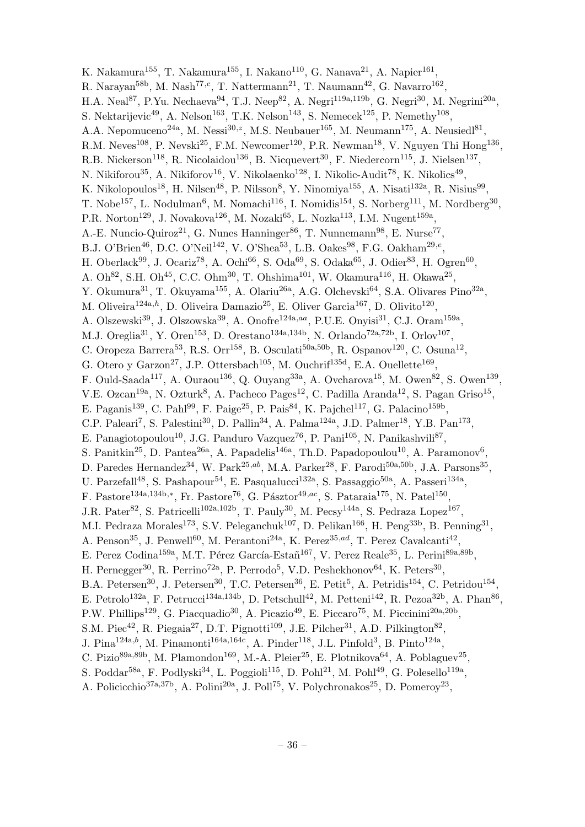K. Nakamura<sup>155</sup>, T. Nakamura<sup>155</sup>, I. Nakano<sup>110</sup>, G. Nanava<sup>21</sup>, A. Napier<sup>161</sup>, R. Narayan $^{58b}$ , M. Nash $^{77,c}$ , T. Nattermann $^{21}$ , T. Naumann $^{42}$ , G. Navarro $^{162}$ , H.A. Neal<sup>87</sup>, P.Yu. Nechaeva<sup>94</sup>, T.J. Neep<sup>82</sup>, A. Negri<sup>119a,119b</sup>, G. Negri<sup>30</sup>, M. Negrini<sup>20a</sup>, S. Nektarijevic<sup>49</sup>, A. Nelson<sup>163</sup>, T.K. Nelson<sup>143</sup>, S. Nemecek<sup>125</sup>, P. Nemethy<sup>108</sup>, A.A. Nepomuceno<sup>24a</sup>, M. Nessi<sup>30,z</sup>, M.S. Neubauer<sup>165</sup>, M. Neumann<sup>175</sup>, A. Neusiedl<sup>81</sup>, R.M. Neves<sup>108</sup>, P. Nevski<sup>25</sup>, F.M. Newcomer<sup>120</sup>, P.R. Newman<sup>18</sup>, V. Nguyen Thi  $\rm{Hom}^{136},$ R.B. Nickerson<sup>118</sup>, R. Nicolaidou<sup>136</sup>, B. Nicquevert<sup>30</sup>, F. Niedercorn<sup>115</sup>, J. Nielsen<sup>137</sup>, N. Nikiforou $^{35}$ , A. Nikiforov $^{16}$ , V. Nikolaenko $^{128}$ , I. Nikolic-Audit $^{78}$ , K. Nikolics $^{49}$ , K. Nikolopoulos<sup>18</sup>, H. Nilsen<sup>48</sup>, P. Nilsson<sup>8</sup>, Y. Ninomiya<sup>155</sup>, A. Nisati<sup>132a</sup>, R. Nisius<sup>99</sup>, T. Nobe<sup>157</sup>, L. Nodulman<sup>6</sup>, M. Nomachi<sup>116</sup>, I. Nomidis<sup>154</sup>, S. Norberg<sup>111</sup>, M. Nordberg<sup>30</sup>, P.R. Norton<sup>129</sup>, J. Novakova<sup>126</sup>, M. Nozaki<sup>65</sup>, L. Nozka<sup>113</sup>, I.M. Nugent<sup>159a</sup>, A.-E. Nuncio-Quiroz<sup>21</sup>, G. Nunes Hanninger<sup>86</sup>, T. Nunnemann<sup>98</sup>, E. Nurse<sup>77</sup>, B.J. O'Brien<sup>46</sup>, D.C. O'Neil<sup>142</sup>, V. O'Shea<sup>53</sup>, L.B. Oakes<sup>98</sup>, F.G. Oakham<sup>29,e</sup>, H. Oberlack<sup>99</sup>, J. Ocariz<sup>78</sup>, A. Ochi<sup>66</sup>, S. Oda<sup>69</sup>, S. Odaka<sup>65</sup>, J. Odier<sup>83</sup>, H. Ogren<sup>60</sup>, A.  $Oh^{82}$ , S.H.  $Oh^{45}$ , C.C.  $Ohm^{30}$ , T.  $Ohshima^{101}$ , W.  $Okamura^{116}$ , H.  $Okawa^{25}$ , Y. Okumura<sup>31</sup>, T. Okuyama<sup>155</sup>, A. Olariu<sup>26a</sup>, A.G. Olchevski<sup>64</sup>, S.A. Olivares Pino<sup>32a</sup>, M. Oliveira<sup>124a,h</sup>, D. Oliveira Damazio<sup>25</sup>, E. Oliver Garcia<sup>167</sup>, D. Olivito<sup>120</sup>, A. Olszewski<sup>39</sup>, J. Olszowska<sup>39</sup>, A. Onofre<sup>124a,aa</sup>, P.U.E. Onyisi<sup>31</sup>, C.J. Oram<sup>159a</sup>, M.J. Oreglia<sup>31</sup>, Y. Oren<sup>153</sup>, D. Orestano<sup>134a,134b</sup>, N. Orlando<sup>72a,72b</sup>, I. Orlov<sup>107</sup>, C. Oropeza Barrera<sup>53</sup>, R.S. Orr<sup>158</sup>, B. Osculati<sup>50a,50b</sup>, R. Ospanov<sup>120</sup>, C. Osuna<sup>12</sup>, G. Otero y Garzon<sup>27</sup>, J.P. Ottersbach<sup>105</sup>, M. Ouchrif<sup>135d</sup>, E.A. Ouellette<sup>169</sup>, F. Ould-Saada<sup>117</sup>, A. Ouraou<sup>136</sup>, Q. Ouyang<sup>33a</sup>, A. Ovcharova<sup>15</sup>, M. Owen<sup>82</sup>, S. Owen<sup>139</sup>, V.E. Ozcan<sup>19a</sup>, N. Ozturk<sup>8</sup>, A. Pacheco Pages<sup>12</sup>, C. Padilla Aranda<sup>12</sup>, S. Pagan Griso<sup>15</sup>, E. Paganis<sup>139</sup>, C. Pahl<sup>99</sup>, F. Paige<sup>25</sup>, P. Pais<sup>84</sup>, K. Pajchel<sup>117</sup>, G. Palacino<sup>159b</sup>, C.P. Paleari<sup>7</sup>, S. Palestini<sup>30</sup>, D. Pallin<sup>34</sup>, A. Palma<sup>124a</sup>, J.D. Palmer<sup>18</sup>, Y.B. Pan<sup>173</sup>, E. Panagiotopoulou<sup>10</sup>, J.G. Panduro Vazquez<sup>76</sup>, P. Pani<sup>105</sup>, N. Panikashvili<sup>87</sup>, S. Panitkin<sup>25</sup>, D. Pantea<sup>26a</sup>, A. Papadelis<sup>146a</sup>, Th.D. Papadopoulou<sup>10</sup>, A. Paramonov<sup>6</sup>, D. Paredes Hernandez<sup>34</sup>, W. Park<sup>25,ab</sup>, M.A. Parker<sup>28</sup>, F. Parodi<sup>50a,50b</sup>, J.A. Parsons<sup>35</sup>, U. Parzefall<sup>48</sup>, S. Pashapour<sup>54</sup>, E. Pasqualucci<sup>132a</sup>, S. Passaggio<sup>50a</sup>, A. Passeri<sup>134a</sup>, F. Pastore<sup>134a,134b,\*</sup>, Fr. Pastore<sup>76</sup>, G. Pásztor<sup>49,ac</sup>, S. Pataraia<sup>175</sup>, N. Patel<sup>150</sup>, J.R. Pater<sup>82</sup>, S. Patricelli<sup>102a,102b</sup>, T. Pauly<sup>30</sup>, M. Pecsy<sup>144a</sup>, S. Pedraza Lopez<sup>167</sup>, M.I. Pedraza Morales<sup>173</sup>, S.V. Peleganchuk<sup>107</sup>, D. Pelikan<sup>166</sup>, H. Peng<sup>33b</sup>, B. Penning<sup>31</sup>, A. Penson<sup>35</sup>, J. Penwell<sup>60</sup>, M. Perantoni<sup>24a</sup>, K. Perez<sup>35,ad</sup>, T. Perez Cavalcanti<sup>42</sup>, E. Perez Codina<sup>159a</sup>, M.T. Pérez García-Estañ<sup>167</sup>, V. Perez Reale<sup>35</sup>, L. Perini<sup>89a,89b</sup>, H. Pernegger<sup>30</sup>, R. Perrino<sup>72a</sup>, P. Perrodo<sup>5</sup>, V.D. Peshekhonov<sup>64</sup>, K. Peters<sup>30</sup>, B.A. Petersen<sup>30</sup>, J. Petersen<sup>30</sup>, T.C. Petersen<sup>36</sup>, E. Petit<sup>5</sup>, A. Petridis<sup>154</sup>, C. Petridou<sup>154</sup>, E. Petrolo<sup>132a</sup>, F. Petrucci<sup>134a,134b</sup>, D. Petschull<sup>42</sup>, M. Petteni<sup>142</sup>, R. Pezoa<sup>32b</sup>, A. Phan<sup>86</sup>, P.W. Phillips<sup>129</sup>, G. Piacquadio<sup>30</sup>, A. Picazio<sup>49</sup>, E. Piccaro<sup>75</sup>, M. Piccinini<sup>20a,20b</sup>, S.M. Piec<sup>42</sup>, R. Piegaia<sup>27</sup>, D.T. Pignotti<sup>109</sup>, J.E. Pilcher<sup>31</sup>, A.D. Pilkington<sup>82</sup>, J. Pina<sup>124a,b</sup>, M. Pinamonti<sup>164a,164c</sup>, A. Pinder<sup>118</sup>, J.L. Pinfold<sup>3</sup>, B. Pinto<sup>124a</sup>, C. Pizio<sup>89a,89b</sup>, M. Plamondon<sup>169</sup>, M.-A. Pleier<sup>25</sup>, E. Plotnikova<sup>64</sup>, A. Poblaguev<sup>25</sup>, S. Poddar<sup>58a</sup>, F. Podlyski<sup>34</sup>, L. Poggioli<sup>115</sup>, D. Pohl<sup>21</sup>, M. Pohl<sup>49</sup>, G. Polesello<sup>119a</sup>, A. Policicchio<sup>37a,37b</sup>, A. Polini<sup>20a</sup>, J. Poll<sup>75</sup>, V. Polychronakos<sup>25</sup>, D. Pomeroy<sup>23</sup>,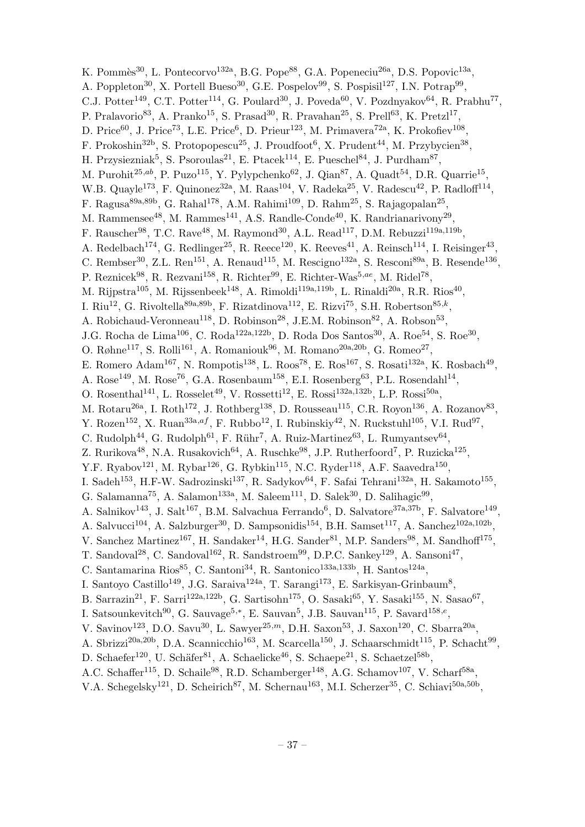K. Pommès<sup>30</sup>, L. Pontecorvo<sup>132a</sup>, B.G. Pope<sup>88</sup>, G.A. Popeneciu<sup>26a</sup>, D.S. Popovic<sup>13a</sup>, A. Poppleton<sup>30</sup>, X. Portell Bueso<sup>30</sup>, G.E. Pospelov<sup>99</sup>, S. Pospisil<sup>127</sup>, I.N. Potrap<sup>99</sup>, C.J. Potter<sup>149</sup>, C.T. Potter<sup>114</sup>, G. Poulard<sup>30</sup>, J. Poveda<sup>60</sup>, V. Pozdnyakov<sup>64</sup>, R. Prabhu<sup>77</sup>, P. Pralavorio<sup>83</sup>, A. Pranko<sup>15</sup>, S. Prasad<sup>30</sup>, R. Pravahan<sup>25</sup>, S. Prell<sup>63</sup>, K. Pretzl<sup>17</sup>, D. Price<sup>60</sup>, J. Price<sup>73</sup>, L.E. Price<sup>6</sup>, D. Prieur<sup>123</sup>, M. Primavera<sup>72a</sup>, K. Prokofiev<sup>108</sup>, F. Prokoshin<sup>32b</sup>, S. Protopopescu<sup>25</sup>, J. Proudfoot<sup>6</sup>, X. Prudent<sup>44</sup>, M. Przybycien<sup>38</sup>, H. Przysiezniak<sup>5</sup>, S. Psoroulas<sup>21</sup>, E. Ptacek<sup>114</sup>, E. Pueschel<sup>84</sup>, J. Purdham<sup>87</sup>, M. Purohit<sup>25,ab</sup>, P. Puzo<sup>115</sup>, Y. Pylypchenko<sup>62</sup>, J. Qian<sup>87</sup>, A. Quadt<sup>54</sup>, D.R. Quarrie<sup>15</sup>, W.B. Quayle<sup>173</sup>, F. Quinonez<sup>32a</sup>, M. Raas<sup>104</sup>, V. Radeka<sup>25</sup>, V. Radescu<sup>42</sup>, P. Radloff<sup>114</sup>, F. Ragusa<sup>89a,89b</sup>, G. Rahal<sup>178</sup>, A.M. Rahimi<sup>109</sup>, D. Rahm<sup>25</sup>, S. Rajagopalan<sup>25</sup>, M. Rammensee<sup>48</sup>, M. Rammes<sup>141</sup>, A.S. Randle-Conde<sup>40</sup>, K. Randrianarivony<sup>29</sup>, F. Rauscher<sup>98</sup>, T.C. Rave<sup>48</sup>, M. Raymond<sup>30</sup>, A.L. Read<sup>117</sup>, D.M. Rebuzzi<sup>119a,119b</sup>, A. Redelbach<sup>174</sup>, G. Redlinger<sup>25</sup>, R. Reece<sup>120</sup>, K. Reeves<sup>41</sup>, A. Reinsch<sup>114</sup>, I. Reisinger<sup>43</sup>, C. Rembser<sup>30</sup>, Z.L. Ren<sup>151</sup>, A. Renaud<sup>115</sup>, M. Rescigno<sup>132a</sup>, S. Resconi<sup>89a</sup>, B. Resende<sup>136</sup>, P. Reznicek $^{98}$ , R. Rezvani $^{158}$ , R. Richter $^{99}$ , E. Richter-Was $^{5,ae}$ , M. Ridel<sup>78</sup>, M. Rijpstra $^{105}$ , M. Rijssenbeek $^{148}$ , A. Rimoldi $^{119a,119b}$ , L. Rinaldi $^{20a}$ , R.R. Rios $^{40}$ , I. Riu<sup>12</sup>, G. Rivoltella<sup>89a,89b</sup>, F. Rizatdinova<sup>112</sup>, E. Rizvi<sup>75</sup>, S.H. Robertson<sup>85,k</sup>, A. Robichaud-Veronneau<sup>118</sup>, D. Robinson<sup>28</sup>, J.E.M. Robinson<sup>82</sup>, A. Robson<sup>53</sup>, J.G. Rocha de Lima<sup>106</sup>, C. Roda<sup>122a,122b</sup>, D. Roda Dos Santos<sup>30</sup>, A. Roe<sup>54</sup>, S. Roe<sup>30</sup>, O. Røhne<sup>117</sup>, S. Rolli<sup>161</sup>, A. Romaniouk<sup>96</sup>, M. Romano<sup>20a, 20b</sup>, G. Romeo<sup>27</sup>, E. Romero Adam<sup>167</sup>, N. Rompotis<sup>138</sup>, L. Roos<sup>78</sup>, E. Ros<sup>167</sup>, S. Rosati<sup>132a</sup>, K. Rosbach<sup>49</sup>, A. Rose<sup>149</sup>, M. Rose<sup>76</sup>, G.A. Rosenbaum<sup>158</sup>, E.I. Rosenberg<sup>63</sup>, P.L. Rosendahl<sup>14</sup>, O. Rosenthal<sup>141</sup>, L. Rosselet<sup>49</sup>, V. Rossetti<sup>12</sup>, E. Rossi<sup>132a,132b</sup>, L.P. Rossi<sup>50a</sup>, M. Rotaru<sup>26a</sup>, I. Roth<sup>172</sup>, J. Rothberg<sup>138</sup>, D. Rousseau<sup>115</sup>, C.R. Royon<sup>136</sup>, A. Rozanov<sup>83</sup>, Y. Rozen<sup>152</sup>, X. Ruan<sup>33a, af</sup>, F. Rubbo<sup>12</sup>, I. Rubinskiy<sup>42</sup>, N. Ruckstuhl<sup>105</sup>, V.I. Rud<sup>97</sup>, C. Rudolph<sup>44</sup>, G. Rudolph<sup>61</sup>, F. Rühr<sup>7</sup>, A. Ruiz-Martinez<sup>63</sup>, L. Rumyantsev<sup>64</sup>, Z. Rurikova<sup>48</sup>, N.A. Rusakovich<sup>64</sup>, A. Ruschke<sup>98</sup>, J.P. Rutherfoord<sup>7</sup>, P. Ruzicka<sup>125</sup>, Y.F. Ryabov<sup>121</sup>, M. Rybar<sup>126</sup>, G. Rybkin<sup>115</sup>, N.C. Ryder<sup>118</sup>, A.F. Saavedra<sup>150</sup>, I. Sadeh<sup>153</sup>, H.F-W. Sadrozinski<sup>137</sup>, R. Sadykov<sup>64</sup>, F. Safai Tehrani<sup>132a</sup>, H. Sakamoto<sup>155</sup>, G. Salamanna<sup>75</sup>, A. Salamon<sup>133a</sup>, M. Saleem<sup>111</sup>, D. Salek<sup>30</sup>, D. Salihagic<sup>99</sup>, A. Salnikov<sup>143</sup>, J. Salt<sup>167</sup>, B.M. Salvachua Ferrando<sup>6</sup>, D. Salvatore<sup>37a,37b</sup>, F. Salvatore<sup>149</sup>, A. Salvucci<sup>104</sup>, A. Salzburger<sup>30</sup>, D. Sampsonidis<sup>154</sup>, B.H. Samset<sup>117</sup>, A. Sanchez<sup>102a,102b</sup>, V. Sanchez Martinez<sup>167</sup>, H. Sandaker<sup>14</sup>, H.G. Sander<sup>81</sup>, M.P. Sanders<sup>98</sup>, M. Sandhoff<sup>175</sup>, T. Sandoval<sup>28</sup>, C. Sandoval<sup>162</sup>, R. Sandstroem<sup>99</sup>, D.P.C. Sankey<sup>129</sup>, A. Sansoni<sup>47</sup>, C. Santamarina Rios<sup>85</sup>, C. Santoni<sup>34</sup>, R. Santonico<sup>133a,133b</sup>, H. Santos<sup>124a</sup>, I. Santoyo Castillo<sup>149</sup>, J.G. Saraiva<sup>124a</sup>, T. Sarangi<sup>173</sup>, E. Sarkisyan-Grinbaum<sup>8</sup>, B. Sarrazin<sup>21</sup>, F. Sarri<sup>122a,122b</sup>, G. Sartisohn<sup>175</sup>, O. Sasaki<sup>65</sup>, Y. Sasaki<sup>155</sup>, N. Sasao<sup>67</sup>, I. Satsounkevitch<sup>90</sup>, G. Sauvage<sup>5,\*</sup>, E. Sauvan<sup>5</sup>, J.B. Sauvan<sup>115</sup>, P. Savard<sup>158,e</sup>, V. Savinov<sup>123</sup>, D.O. Savu<sup>30</sup>, L. Sawyer<sup>25,*m*</sup>, D.H. Saxon<sup>53</sup>, J. Saxon<sup>120</sup>, C. Sbarra<sup>20a</sup>, A. Sbrizzi<sup>20a,20b</sup>, D.A. Scannicchio<sup>163</sup>, M. Scarcella<sup>150</sup>, J. Schaarschmidt<sup>115</sup>, P. Schacht<sup>99</sup>, D. Schaefer<sup>120</sup>, U. Schäfer<sup>81</sup>, A. Schaelicke<sup>46</sup>, S. Schaepe<sup>21</sup>, S. Schaetzel<sup>58b</sup>, A.C. Schaffer<sup>115</sup>, D. Schaile<sup>98</sup>, R.D. Schamberger<sup>148</sup>, A.G. Schamov<sup>107</sup>, V. Scharf<sup>58a</sup>,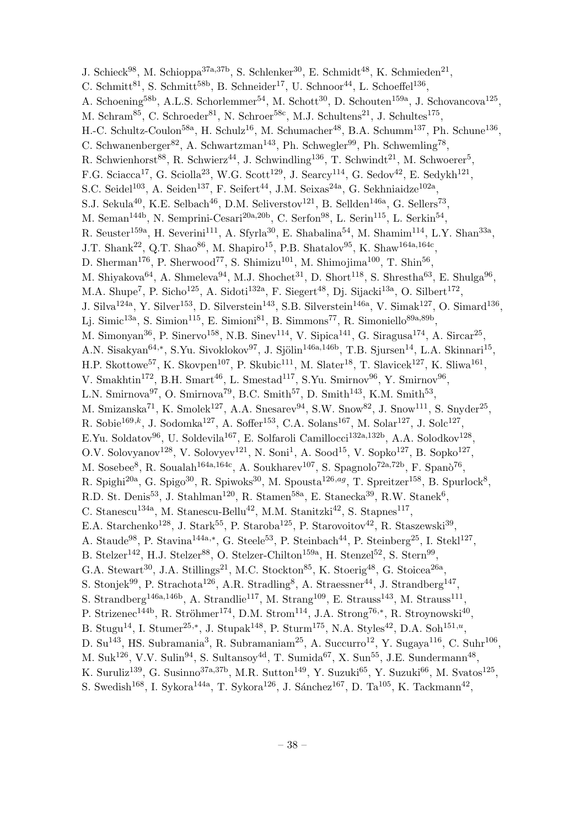J. Schieck<sup>98</sup>, M. Schioppa<sup>37a,37b</sup>, S. Schlenker<sup>30</sup>, E. Schmidt<sup>48</sup>, K. Schmieden<sup>21</sup>, C. Schmitt<sup>81</sup>, S. Schmitt<sup>58b</sup>, B. Schneider<sup>17</sup>, U. Schnoor<sup>44</sup>, L. Schoeffel<sup>136</sup>, A. Schoening<sup>58b</sup>, A.L.S. Schorlemmer<sup>54</sup>, M. Schott<sup>30</sup>, D. Schouten<sup>159a</sup>, J. Schovancova<sup>125</sup>, M. Schram<sup>85</sup>, C. Schroeder<sup>81</sup>, N. Schroer<sup>58c</sup>, M.J. Schultens<sup>21</sup>, J. Schultes<sup>175</sup>, H.-C. Schultz-Coulon<sup>58a</sup>, H. Schulz<sup>16</sup>, M. Schumacher<sup>48</sup>, B.A. Schumm<sup>137</sup>, Ph. Schune<sup>136</sup>, C. Schwanenberger<sup>82</sup>, A. Schwartzman<sup>143</sup>, Ph. Schwegler<sup>99</sup>, Ph. Schwemling<sup>78</sup>, R. Schwienhorst<sup>88</sup>, R. Schwierz<sup>44</sup>, J. Schwindling<sup>136</sup>, T. Schwindt<sup>21</sup>, M. Schwoerer<sup>5</sup>, F.G. Sciacca<sup>17</sup>, G. Sciolla<sup>23</sup>, W.G. Scott<sup>129</sup>, J. Searcy<sup>114</sup>, G. Sedov<sup>42</sup>, E. Sedykh<sup>121</sup>, S.C. Seidel<sup>103</sup>, A. Seiden<sup>137</sup>, F. Seifert<sup>44</sup>, J.M. Seixas<sup>24a</sup>, G. Sekhniaidze<sup>102a</sup>, S.J. Sekula<sup>40</sup>, K.E. Selbach<sup>46</sup>, D.M. Seliverstov<sup>121</sup>, B. Sellden<sup>146a</sup>, G. Sellers<sup>73</sup>, M. Seman<sup>144b</sup>, N. Semprini-Cesari<sup>20a,20b</sup>, C. Serfon<sup>98</sup>, L. Serin<sup>115</sup>, L. Serkin<sup>54</sup>, R. Seuster<sup>159a</sup>, H. Severini<sup>111</sup>, A. Sfyrla<sup>30</sup>, E. Shabalina<sup>54</sup>, M. Shamim<sup>114</sup>, L.Y. Shan<sup>33a</sup>, J.T. Shank<sup>22</sup>, Q.T. Shao<sup>86</sup>, M. Shapiro<sup>15</sup>, P.B. Shatalov<sup>95</sup>, K. Shaw<sup>164a,164c</sup>, D. Sherman<sup>176</sup>, P. Sherwood<sup>77</sup>, S. Shimizu<sup>101</sup>, M. Shimojima<sup>100</sup>, T. Shin<sup>56</sup>, M. Shiyakova<sup>64</sup>, A. Shmeleva<sup>94</sup>, M.J. Shochet<sup>31</sup>, D. Short<sup>118</sup>, S. Shrestha<sup>63</sup>, E. Shulga<sup>96</sup>, M.A. Shupe<sup>7</sup>, P. Sicho<sup>125</sup>, A. Sidoti<sup>132a</sup>, F. Siegert<sup>48</sup>, Dj. Sijacki<sup>13a</sup>, O. Silbert<sup>172</sup>, J. Silva<sup>124a</sup>, Y. Silver<sup>153</sup>, D. Silverstein<sup>143</sup>, S.B. Silverstein<sup>146a</sup>, V. Simak<sup>127</sup>, O. Simard<sup>136</sup>, Lj. Simic $^{13a}$ , S. Simion $^{115}$ , E. Simioni $^{81}$ , B. Simmons<sup>77</sup>, R. Simoniello<sup>89a,89b</sup>, M. Simonyan<sup>36</sup>, P. Sinervo<sup>158</sup>, N.B. Sinev<sup>114</sup>, V. Sipica<sup>141</sup>, G. Siragusa<sup>174</sup>, A. Sircar<sup>25</sup>, A.N. Sisakyan<sup>64,∗</sup>, S.Yu. Sivoklokov<sup>97</sup>, J. Sjölin<sup>146a,146b</sup>, T.B. Sjursen<sup>14</sup>, L.A. Skinnari<sup>15</sup>, H.P. Skottowe<sup>57</sup>, K. Skovpen<sup>107</sup>, P. Skubic<sup>111</sup>, M. Slater<sup>18</sup>, T. Slavicek<sup>127</sup>, K. Sliwa<sup>161</sup>, V. Smakhtin<sup>172</sup>, B.H. Smart<sup>46</sup>, L. Smestad<sup>117</sup>, S.Yu. Smirnov<sup>96</sup>, Y. Smirnov<sup>96</sup>, L.N. Smirnova<sup>97</sup>, O. Smirnova<sup>79</sup>, B.C. Smith<sup>57</sup>, D. Smith<sup>143</sup>, K.M. Smith<sup>53</sup>, M. Smizanska<sup>71</sup>, K. Smolek<sup>127</sup>, A.A. Snesarev<sup>94</sup>, S.W. Snow<sup>82</sup>, J. Snow<sup>111</sup>, S. Snyder<sup>25</sup>, R. Sobie<sup>169,k</sup>, J. Sodomka<sup>127</sup>, A. Soffer<sup>153</sup>, C.A. Solans<sup>167</sup>, M. Solar<sup>127</sup>, J. Solc<sup>127</sup>, E.Yu. Soldatov<sup>96</sup>, U. Soldevila<sup>167</sup>, E. Solfaroli Camillocci<sup>132a,132b</sup>, A.A. Solodkov<sup>128</sup>, O.V. Solovyanov<sup>128</sup>, V. Solovyev<sup>121</sup>, N. Soni<sup>1</sup>, A. Sood<sup>15</sup>, V. Sopko<sup>127</sup>, B. Sopko<sup>127</sup>, M. Sosebee<sup>8</sup>, R. Soualah<sup>164a,164c</sup>, A. Soukharev<sup>107</sup>, S. Spagnolo<sup>72a,72b</sup>, F. Spanò<sup>76</sup>, R. Spighi<sup>20a</sup>, G. Spigo<sup>30</sup>, R. Spiwoks<sup>30</sup>, M. Spousta<sup>126,ag</sup>, T. Spreitzer<sup>158</sup>, B. Spurlock<sup>8</sup>, R.D. St. Denis<sup>53</sup>, J. Stahlman<sup>120</sup>, R. Stamen<sup>58a</sup>, E. Stanecka<sup>39</sup>, R.W. Stanek<sup>6</sup>, C. Stanescu<sup>134a</sup>, M. Stanescu-Bellu<sup>42</sup>, M.M. Stanitzki<sup>42</sup>, S. Stapnes<sup>117</sup>, E.A. Starchenko<sup>128</sup>, J. Stark<sup>55</sup>, P. Staroba<sup>125</sup>, P. Starovoitov<sup>42</sup>, R. Staszewski<sup>39</sup>, A. Staude<sup>98</sup>, P. Stavina<sup>144a,\*</sup>, G. Steele<sup>53</sup>, P. Steinbach<sup>44</sup>, P. Steinberg<sup>25</sup>, I. Stekl<sup>127</sup>, B. Stelzer<sup>142</sup>, H.J. Stelzer<sup>88</sup>, O. Stelzer-Chilton<sup>159a</sup>, H. Stenzel<sup>52</sup>, S. Stern<sup>99</sup>, G.A. Stewart<sup>30</sup>, J.A. Stillings<sup>21</sup>, M.C. Stockton<sup>85</sup>, K. Stoerig<sup>48</sup>, G. Stoicea<sup>26a</sup>, S. Stonjek<sup>99</sup>, P. Strachota<sup>126</sup>, A.R. Stradling<sup>8</sup>, A. Straessner<sup>44</sup>, J. Strandberg<sup>147</sup>, S. Strandberg<sup>146a,146b</sup>, A. Strandlie<sup>117</sup>, M. Strang<sup>109</sup>, E. Strauss<sup>143</sup>, M. Strauss<sup>111</sup>, P. Strizenec<sup>144b</sup>, R. Ströhmer<sup>174</sup>, D.M. Strom<sup>114</sup>, J.A. Strong<sup>76,\*</sup>, R. Stroynowski<sup>40</sup>, B. Stugu<sup>14</sup>, I. Stumer<sup>25,\*</sup>, J. Stupak<sup>148</sup>, P. Sturm<sup>175</sup>, N.A. Styles<sup>42</sup>, D.A. Soh<sup>151,*u*</sup>, D. Su<sup>143</sup>, HS. Subramania<sup>3</sup>, R. Subramaniam<sup>25</sup>, A. Succurro<sup>12</sup>, Y. Sugaya<sup>116</sup>, C. Suhr<sup>106</sup>, M. Suk<sup>126</sup>, V.V. Sulin<sup>94</sup>, S. Sultansoy<sup>4d</sup>, T. Sumida<sup>67</sup>, X. Sun<sup>55</sup>, J.E. Sundermann<sup>48</sup>, K. Suruliz<sup>139</sup>, G. Susinno<sup>37a,37b</sup>, M.R. Sutton<sup>149</sup>, Y. Suzuki<sup>65</sup>, Y. Suzuki<sup>66</sup>, M. Svatos<sup>125</sup>, S. Swedish<sup>168</sup>, I. Sykora<sup>144a</sup>, T. Sykora<sup>126</sup>, J. Sánchez<sup>167</sup>, D. Ta<sup>105</sup>, K. Tackmann<sup>42</sup>,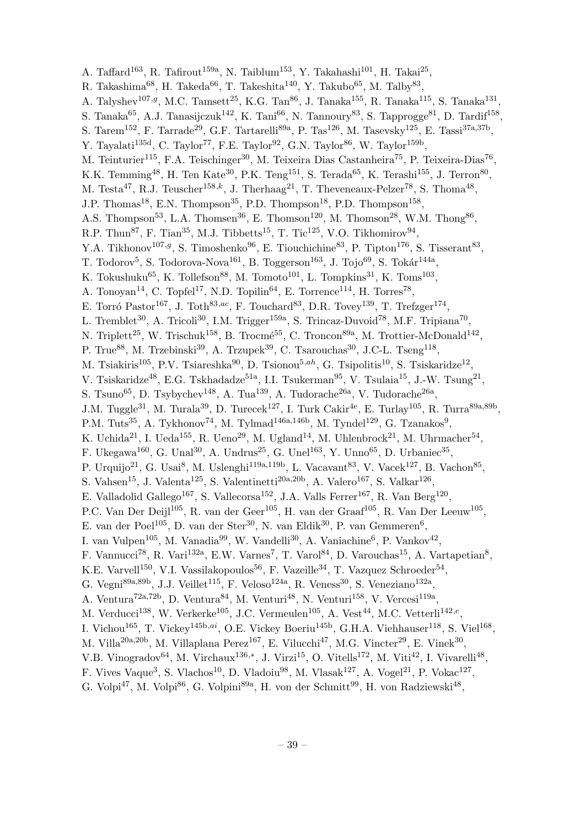A. Taffard<sup>163</sup>, R. Tafirout<sup>159a</sup>, N. Taiblum<sup>153</sup>, Y. Takahashi<sup>101</sup>, H. Takai<sup>25</sup>, R. Takashima $^{68}$ , H. Takeda $^{66}$ , T. Takeshita<sup>140</sup>, Y. Takubo $^{65}$ , M. Talby $^{83}$ , A. Talyshev<sup>107,g</sup>, M.C. Tamsett<sup>25</sup>, K.G. Tan<sup>86</sup>, J. Tanaka<sup>155</sup>, R. Tanaka<sup>115</sup>, S. Tanaka<sup>131</sup>, S. Tanaka<sup>65</sup>, A.J. Tanasijczuk<sup>142</sup>, K. Tani<sup>66</sup>, N. Tannoury<sup>83</sup>, S. Tapprogge<sup>81</sup>, D. Tardif<sup>158</sup>, S. Tarem<sup>152</sup>, F. Tarrade<sup>29</sup>, G.F. Tartarelli<sup>89a</sup>, P. Tas<sup>126</sup>, M. Tasevsky<sup>125</sup>, E. Tassi<sup>37a,37b</sup>, Y. Tayalati<sup>135d</sup>, C. Taylor<sup>77</sup>, F.E. Taylor<sup>92</sup>, G.N. Taylor<sup>86</sup>, W. Taylor<sup>159b</sup>, M. Teinturier<sup>115</sup>, F.A. Teischinger<sup>30</sup>, M. Teixeira Dias Castanheira<sup>75</sup>, P. Teixeira-Dias<sup>76</sup>, K.K. Temming<sup>48</sup>, H. Ten Kate<sup>30</sup>, P.K. Teng<sup>151</sup>, S. Terada<sup>65</sup>, K. Terashi<sup>155</sup>, J. Terron<sup>80</sup>, M. Testa<sup>47</sup>, R.J. Teuscher<sup>158,k</sup>, J. Therhaag<sup>21</sup>, T. Theveneaux-Pelzer<sup>78</sup>, S. Thoma<sup>48</sup>, J.P. Thomas<sup>18</sup>, E.N. Thompson<sup>35</sup>, P.D. Thompson<sup>18</sup>, P.D. Thompson<sup>158</sup>, A.S. Thompson<sup>53</sup>, L.A. Thomsen<sup>36</sup>, E. Thomson<sup>120</sup>, M. Thomson<sup>28</sup>, W.M. Thong<sup>86</sup>, R.P. Thun<sup>87</sup>, F. Tian<sup>35</sup>, M.J. Tibbetts<sup>15</sup>, T. Tic<sup>125</sup>, V.O. Tikhomirov<sup>94</sup>, Y.A. Tikhonov<sup>107, g</sup>, S. Timoshenko<sup>96</sup>, E. Tiouchichine<sup>83</sup>, P. Tipton<sup>176</sup>, S. Tisserant<sup>83</sup>, T. Todorov<sup>5</sup>, S. Todorova-Nova<sup>161</sup>, B. Toggerson<sup>163</sup>, J. Tojo<sup>69</sup>, S. Tokár<sup>144a</sup>, K. Tokushuku<sup>65</sup>, K. Tollefson<sup>88</sup>, M. Tomoto<sup>101</sup>, L. Tompkins<sup>31</sup>, K. Toms<sup>103</sup>, A. Tonoyan<sup>14</sup>, C. Topfel<sup>17</sup>, N.D. Topilin<sup>64</sup>, E. Torrence<sup>114</sup>, H. Torres<sup>78</sup>, E. Torró Pastor<sup>167</sup>, J. Toth<sup>83,ac</sup>, F. Touchard<sup>83</sup>, D.R. Tovey<sup>139</sup>, T. Trefzger<sup>174</sup>, L. Tremblet<sup>30</sup>, A. Tricoli<sup>30</sup>, I.M. Trigger<sup>159a</sup>, S. Trincaz-Duvoid<sup>78</sup>, M.F. Tripiana<sup>70</sup>, N. Triplett<sup>25</sup>, W. Trischuk<sup>158</sup>, B. Trocmé<sup>55</sup>, C. Troncon<sup>89a</sup>, M. Trottier-McDonald<sup>142</sup>, P. True<sup>88</sup>, M. Trzebinski<sup>39</sup>, A. Trzupek<sup>39</sup>, C. Tsarouchas<sup>30</sup>, J.C-L. Tseng<sup>118</sup>, M. Tsiakiris<sup>105</sup>, P.V. Tsiareshka<sup>90</sup>, D. Tsionou<sup>5,ah</sup>, G. Tsipolitis<sup>10</sup>, S. Tsiskaridze<sup>12</sup>, V. Tsiskaridze<sup>48</sup>, E.G. Tskhadadze<sup>51a</sup>, I.I. Tsukerman<sup>95</sup>, V. Tsulaia<sup>15</sup>, J.-W. Tsung<sup>21</sup>, S. Tsuno<sup>65</sup>, D. Tsybychev<sup>148</sup>, A. Tua<sup>139</sup>, A. Tudorache<sup>26a</sup>, V. Tudorache<sup>26a</sup>, J.M. Tuggle<sup>31</sup>, M. Turala<sup>39</sup>, D. Turecek<sup>127</sup>, I. Turk Cakir<sup>4e</sup>, E. Turlay<sup>105</sup>, R. Turra<sup>89a,89b</sup>, P.M. Tuts<sup>35</sup>, A. Tykhonov<sup>74</sup>, M. Tylmad<sup>146a,146b</sup>, M. Tyndel<sup>129</sup>, G. Tzanakos<sup>9</sup>, K. Uchida<sup>21</sup>, I. Ueda<sup>155</sup>, R. Ueno<sup>29</sup>, M. Ugland<sup>14</sup>, M. Uhlenbrock<sup>21</sup>, M. Uhrmacher<sup>54</sup>, F. Ukegawa<sup>160</sup>, G. Unal<sup>30</sup>, A. Undrus<sup>25</sup>, G. Unel<sup>163</sup>, Y. Unno<sup>65</sup>, D. Urbaniec<sup>35</sup>, P. Urquijo<sup>21</sup>, G. Usai<sup>8</sup>, M. Uslenghi<sup>119a,119b</sup>, L. Vacavant<sup>83</sup>, V. Vacek<sup>127</sup>, B. Vachon<sup>85</sup>, S. Vahsen<sup>15</sup>, J. Valenta<sup>125</sup>, S. Valentinetti<sup>20a, 20b</sup>, A. Valero<sup>167</sup>, S. Valkar<sup>126</sup>, E. Valladolid Gallego<sup>167</sup>, S. Vallecorsa<sup>152</sup>, J.A. Valls Ferrer<sup>167</sup>, R. Van Berg<sup>120</sup>, P.C. Van Der Deijl<sup>105</sup>, R. van der Geer<sup>105</sup>, H. van der Graaf<sup>105</sup>, R. Van Der Leeuw<sup>105</sup>, E. van der Poel<sup>105</sup>, D. van der Ster<sup>30</sup>, N. van Eldik<sup>30</sup>, P. van Gemmeren<sup>6</sup>, I. van Vulpen<sup>105</sup>, M. Vanadia<sup>99</sup>, W. Vandelli<sup>30</sup>, A. Vaniachine<sup>6</sup>, P. Vankov<sup>42</sup>, F. Vannucci<sup>78</sup>, R. Vari<sup>132a</sup>, E.W. Varnes<sup>7</sup>, T. Varol<sup>84</sup>, D. Varouchas<sup>15</sup>, A. Vartapetian<sup>8</sup>, K.E. Varvell<sup>150</sup>, V.I. Vassilakopoulos<sup>56</sup>, F. Vazeille<sup>34</sup>, T. Vazquez Schroeder<sup>54</sup>, G. Vegni<sup>89a,89b</sup>, J.J. Veillet<sup>115</sup>, F. Veloso<sup>124a</sup>, R. Veness<sup>30</sup>, S. Veneziano<sup>132a</sup>, A. Ventura<sup>72a,72b</sup>, D. Ventura<sup>84</sup>, M. Venturi<sup>48</sup>, N. Venturi<sup>158</sup>, V. Vercesi<sup>119a</sup>, M. Verducci<sup>138</sup>, W. Verkerke<sup>105</sup>, J.C. Vermeulen<sup>105</sup>, A. Vest<sup>44</sup>, M.C. Vetterli<sup>142,e</sup>, I. Vichou $^{165}$ , T. Vickey $^{145b,ai}$ , O.E. Vickey Boeriu $^{145b}$ , G.H.A. Viehhauser $^{118}$ , S. Viel $^{168}$ , M. Villa<sup>20a,20b</sup>, M. Villaplana Perez<sup>167</sup>, E. Vilucchi<sup>47</sup>, M.G. Vincter<sup>29</sup>, E. Vinek<sup>30</sup>, V.B. Vinogradov<sup>64</sup>, M. Virchaux<sup>136,\*</sup>, J. Virzi<sup>15</sup>, O. Vitells<sup>172</sup>, M. Viti<sup>42</sup>, I. Vivarelli<sup>48</sup>, F. Vives Vaque<sup>3</sup>, S. Vlachos<sup>10</sup>, D. Vladoiu<sup>98</sup>, M. Vlasak<sup>127</sup>, A. Vogel<sup>21</sup>, P. Vokac<sup>127</sup>, G. Volpi<sup>47</sup>, M. Volpi<sup>86</sup>, G. Volpini<sup>89a</sup>, H. von der Schmitt<sup>99</sup>, H. von Radziewski<sup>48</sup>,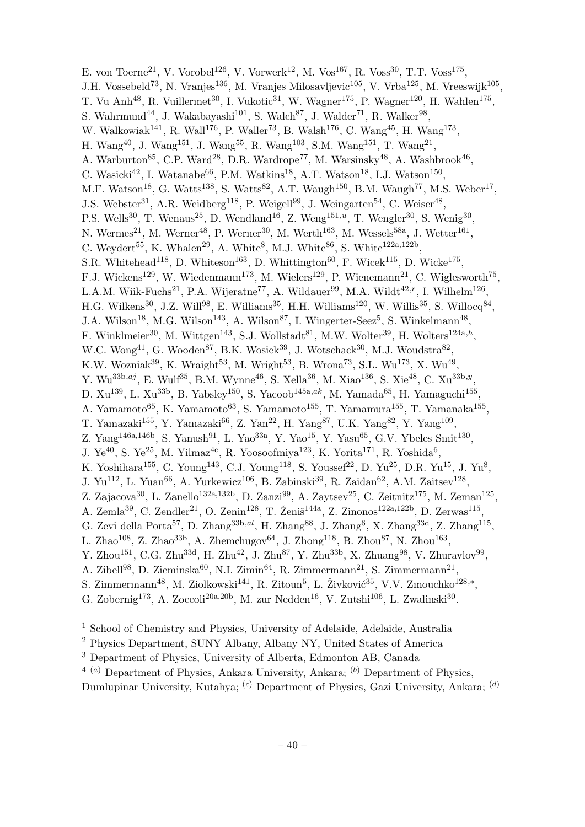E. von Toerne<sup>21</sup>, V. Vorobel<sup>126</sup>, V. Vorwerk<sup>12</sup>, M. Vos<sup>167</sup>, R. Voss<sup>30</sup>, T.T. Voss<sup>175</sup>, J.H. Vossebeld<sup>73</sup>, N. Vranjes<sup>136</sup>, M. Vranjes Milosavljevic<sup>105</sup>, V. Vrba<sup>125</sup>, M. Vreeswijk<sup>105</sup>, T. Vu Anh<sup>48</sup>, R. Vuillermet<sup>30</sup>, I. Vukotic<sup>31</sup>, W. Wagner<sup>175</sup>, P. Wagner<sup>120</sup>, H. Wahlen<sup>175</sup>, S. Wahrmund<sup>44</sup>, J. Wakabayashi<sup>101</sup>, S. Walch<sup>87</sup>, J. Walder<sup>71</sup>, R. Walker<sup>98</sup>, W. Walkowiak<sup>141</sup>, R. Wall<sup>176</sup>, P. Waller<sup>73</sup>, B. Walsh<sup>176</sup>, C. Wang<sup>45</sup>, H. Wang<sup>173</sup>, H. Wang<sup>40</sup>, J. Wang<sup>151</sup>, J. Wang<sup>55</sup>, R. Wang<sup>103</sup>, S.M. Wang<sup>151</sup>, T. Wang<sup>21</sup>, A. Warburton<sup>85</sup>, C.P. Ward<sup>28</sup>, D.R. Wardrope<sup>77</sup>, M. Warsinsky<sup>48</sup>, A. Washbrook<sup>46</sup>, C. Wasicki<sup>42</sup>, I. Watanabe<sup>66</sup>, P.M. Watkins<sup>18</sup>, A.T. Watson<sup>18</sup>, I.J. Watson<sup>150</sup>, M.F. Watson<sup>18</sup>, G. Watts<sup>138</sup>, S. Watts<sup>82</sup>, A.T. Waugh<sup>150</sup>, B.M. Waugh<sup>77</sup>, M.S. Weber<sup>17</sup>, J.S. Webster<sup>31</sup>, A.R. Weidberg<sup>118</sup>, P. Weigell<sup>99</sup>, J. Weingarten<sup>54</sup>, C. Weiser<sup>48</sup>, P.S. Wells<sup>30</sup>, T. Wenaus<sup>25</sup>, D. Wendland<sup>16</sup>, Z. Weng<sup>151,*u*</sup>, T. Wengler<sup>30</sup>, S. Wenig<sup>30</sup>, N. Wermes<sup>21</sup>, M. Werner<sup>48</sup>, P. Werner<sup>30</sup>, M. Werth<sup>163</sup>, M. Wessels<sup>58a</sup>, J. Wetter<sup>161</sup>, C. Weydert<sup>55</sup>, K. Whalen<sup>29</sup>, A. White<sup>8</sup>, M.J. White<sup>86</sup>, S. White<sup>122a,122b</sup>, S.R. Whitehead<sup>118</sup>, D. Whiteson<sup>163</sup>, D. Whittington<sup>60</sup>, F. Wicek<sup>115</sup>, D. Wicke<sup>175</sup>, F.J. Wickens<sup>129</sup>, W. Wiedenmann<sup>173</sup>, M. Wielers<sup>129</sup>, P. Wienemann<sup>21</sup>, C. Wiglesworth<sup>75</sup>, L.A.M. Wiik-Fuchs<sup>21</sup>, P.A. Wijeratne<sup>77</sup>, A. Wildauer<sup>99</sup>, M.A. Wildt<sup>42,r</sup>, I. Wilhelm<sup>126</sup>, H.G. Wilkens<sup>30</sup>, J.Z. Will<sup>98</sup>, E. Williams<sup>35</sup>, H.H. Williams<sup>120</sup>, W. Willis<sup>35</sup>, S. Willocq<sup>84</sup>, J.A. Wilson<sup>18</sup>, M.G. Wilson<sup>143</sup>, A. Wilson<sup>87</sup>, I. Wingerter-Seez<sup>5</sup>, S. Winkelmann<sup>48</sup>, F. Winklmeier<sup>30</sup>, M. Wittgen<sup>143</sup>, S.J. Wollstadt<sup>81</sup>, M.W. Wolter<sup>39</sup>, H. Wolters<sup>124a,h</sup>, W.C. Wong<sup>41</sup>, G. Wooden<sup>87</sup>, B.K. Wosiek<sup>39</sup>, J. Wotschack<sup>30</sup>, M.J. Woudstra<sup>82</sup>, K.W. Wozniak $^{39}$ , K. Wraight $^{53}$ , M. Wright $^{53}$ , B. Wrona $^{73}$ , S.L. Wu $^{173}$ , X. Wu $^{49}$ , Y. Wu<sup>33b,aj</sup>, E. Wulf<sup>35</sup>, B.M. Wynne<sup>46</sup>, S. Xella<sup>36</sup>, M. Xiao<sup>136</sup>, S. Xie<sup>48</sup>, C. Xu<sup>33b,y</sup>, D.  $Xu^{139}$ , L.  $Xu^{33b}$ , B. Yabsley<sup>150</sup>, S. Yacoob<sup>145a,ak</sup>, M. Yamada<sup>65</sup>, H. Yamaguchi<sup>155</sup>, A. Yamamoto<sup>65</sup>, K. Yamamoto<sup>63</sup>, S. Yamamoto<sup>155</sup>, T. Yamamura<sup>155</sup>, T. Yamanaka<sup>155</sup>, T. Yamazaki<sup>155</sup>, Y. Yamazaki<sup>66</sup>, Z. Yan<sup>22</sup>, H. Yang<sup>87</sup>, U.K. Yang<sup>82</sup>, Y. Yang<sup>109</sup>, Z. Yang<sup>146a,146b</sup>, S. Yanush<sup>91</sup>, L. Yao<sup>33a</sup>, Y. Yao<sup>15</sup>, Y. Yasu<sup>65</sup>, G.V. Ybeles Smit<sup>130</sup>, J. Ye<sup>40</sup>, S. Ye<sup>25</sup>, M. Yilmaz<sup>4c</sup>, R. Yoosoofmiya<sup>123</sup>, K. Yorita<sup>171</sup>, R. Yoshida<sup>6</sup>, K. Yoshihara<sup>155</sup>, C. Young<sup>143</sup>, C.J. Young<sup>118</sup>, S. Youssef<sup>22</sup>, D. Yu<sup>25</sup>, D.R. Yu<sup>15</sup>, J. Yu<sup>8</sup>, J. Yu<sup>112</sup>, L. Yuan<sup>66</sup>, A. Yurkewicz<sup>106</sup>, B. Zabinski<sup>39</sup>, R. Zaidan<sup>62</sup>, A.M. Zaitsev<sup>128</sup>, Z. Zajacova<sup>30</sup>, L. Zanello<sup>132a,132b</sup>, D. Zanzi<sup>99</sup>, A. Zaytsev<sup>25</sup>, C. Zeitnitz<sup>175</sup>, M. Zeman<sup>125</sup>, A. Zemla<sup>39</sup>, C. Zendler<sup>21</sup>, O. Zenin<sup>128</sup>, T. Ženiš<sup>144a</sup>, Z. Zinonos<sup>122a,122b</sup>, D. Zerwas<sup>115</sup>, G. Zevi della Porta<sup>57</sup>, D. Zhang<sup>33b,al</sup>, H. Zhang<sup>88</sup>, J. Zhang<sup>6</sup>, X. Zhang<sup>33d</sup>, Z. Zhang<sup>115</sup>, L. Zhao<sup>108</sup>, Z. Zhao<sup>33b</sup>, A. Zhemchugov<sup>64</sup>, J. Zhong<sup>118</sup>, B. Zhou<sup>87</sup>, N. Zhou<sup>163</sup>, Y. Zhou<sup>151</sup>, C.G. Zhu<sup>33d</sup>, H. Zhu<sup>42</sup>, J. Zhu<sup>87</sup>, Y. Zhu<sup>33b</sup>, X. Zhuang<sup>98</sup>, V. Zhuravlov<sup>99</sup>, A. Zibell<sup>98</sup>, D. Zieminska<sup>60</sup>, N.I. Zimin<sup>64</sup>, R. Zimmermann<sup>21</sup>, S. Zimmermann<sup>21</sup>, S. Zimmermann<sup>48</sup>, M. Ziolkowski<sup>141</sup>, R. Zitoun<sup>5</sup>, L. Živković<sup>35</sup>, V.V. Zmouchko<sup>128,\*</sup>, G. Zobernig<sup>173</sup>, A. Zoccoli<sup>20a, 20b</sup>, M. zur Nedden<sup>16</sup>, V. Zutshi<sup>106</sup>, L. Zwalinski<sup>30</sup>.

<sup>1</sup> School of Chemistry and Physics, University of Adelaide, Adelaide, Australia

<sup>2</sup> Physics Department, SUNY Albany, Albany NY, United States of America

<sup>3</sup> Department of Physics, University of Alberta, Edmonton AB, Canada

 $4(a)$  Department of Physics, Ankara University, Ankara;  $(b)$  Department of Physics,

Dumlupinar University, Kutahya;  $^{(c)}$  Department of Physics, Gazi University, Ankara;  $^{(d)}$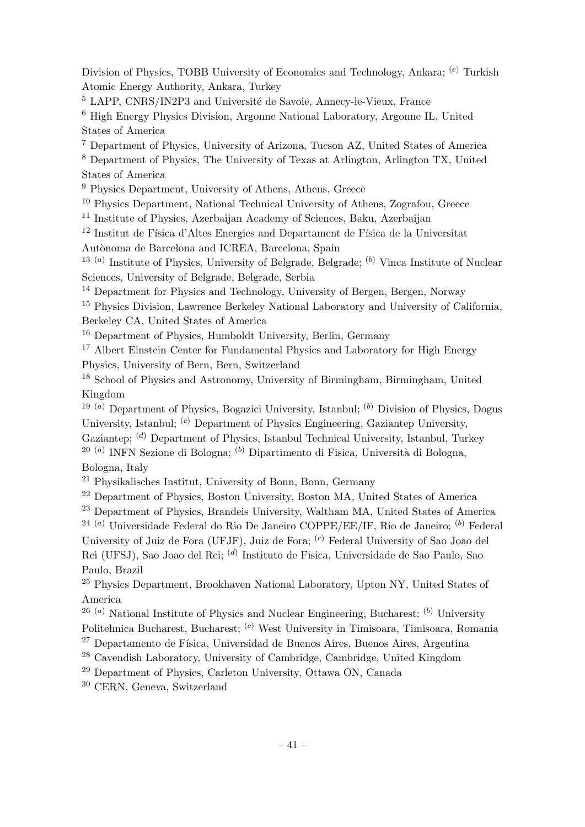Division of Physics, TOBB University of Economics and Technology, Ankara; <sup>(e)</sup> Turkish Atomic Energy Authority, Ankara, Turkey

<sup>5</sup> LAPP, CNRS/IN2P3 and Université de Savoie, Annecy-le-Vieux, France

<sup>6</sup> High Energy Physics Division, Argonne National Laboratory, Argonne IL, United States of America

<sup>7</sup> Department of Physics, University of Arizona, Tucson AZ, United States of America

<sup>8</sup> Department of Physics, The University of Texas at Arlington, Arlington TX, United States of America

<sup>9</sup> Physics Department, University of Athens, Athens, Greece

<sup>10</sup> Physics Department, National Technical University of Athens, Zografou, Greece

<sup>11</sup> Institute of Physics, Azerbaijan Academy of Sciences, Baku, Azerbaijan

 $^{12}$  Institut de Física d'Altes Energies and Departament de Física de la Universitat Autònoma de Barcelona and ICREA, Barcelona, Spain

<sup>13 (a)</sup> Institute of Physics, University of Belgrade, Belgrade; <sup>(b)</sup> Vinca Institute of Nuclear Sciences, University of Belgrade, Belgrade, Serbia

<sup>14</sup> Department for Physics and Technology, University of Bergen, Bergen, Norway

<sup>15</sup> Physics Division, Lawrence Berkeley National Laboratory and University of California, Berkeley CA, United States of America

<sup>16</sup> Department of Physics, Humboldt University, Berlin, Germany

<sup>17</sup> Albert Einstein Center for Fundamental Physics and Laboratory for High Energy Physics, University of Bern, Bern, Switzerland

<sup>18</sup> School of Physics and Astronomy, University of Birmingham, Birmingham, United Kingdom

<sup>19 (a)</sup> Department of Physics, Bogazici University, Istanbul; <sup>(b)</sup> Division of Physics, Dogus University, Istanbul; <sup>(c)</sup> Department of Physics Engineering, Gaziantep University, Gaziantep; (d) Department of Physics, Istanbul Technical University, Istanbul, Turkey <sup>20 (a)</sup> INFN Sezione di Bologna; <sup>(b)</sup> Dipartimento di Fisica, Università di Bologna,

Bologna, Italy

<sup>21</sup> Physikalisches Institut, University of Bonn, Bonn, Germany

<sup>22</sup> Department of Physics, Boston University, Boston MA, United States of America

<sup>23</sup> Department of Physics, Brandeis University, Waltham MA, United States of America

<sup>24 (a)</sup> Universidade Federal do Rio De Janeiro COPPE/EE/IF, Rio de Janeiro; <sup>(b)</sup> Federal University of Juiz de Fora (UFJF), Juiz de Fora; <sup>(c)</sup> Federal University of Sao Joao del Rei (UFSJ), Sao Joao del Rei; <sup>(d)</sup> Instituto de Fisica, Universidade de Sao Paulo, Sao Paulo, Brazil

<sup>25</sup> Physics Department, Brookhaven National Laboratory, Upton NY, United States of America

<sup>26 (a)</sup> National Institute of Physics and Nuclear Engineering, Bucharest;  $^{(b)}$  University Politehnica Bucharest, Bucharest; <sup>(c)</sup> West University in Timisoara, Timisoara, Romania

<sup>27</sup> Departamento de Física, Universidad de Buenos Aires, Buenos Aires, Argentina

<sup>28</sup> Cavendish Laboratory, University of Cambridge, Cambridge, United Kingdom

<sup>29</sup> Department of Physics, Carleton University, Ottawa ON, Canada

<sup>30</sup> CERN, Geneva, Switzerland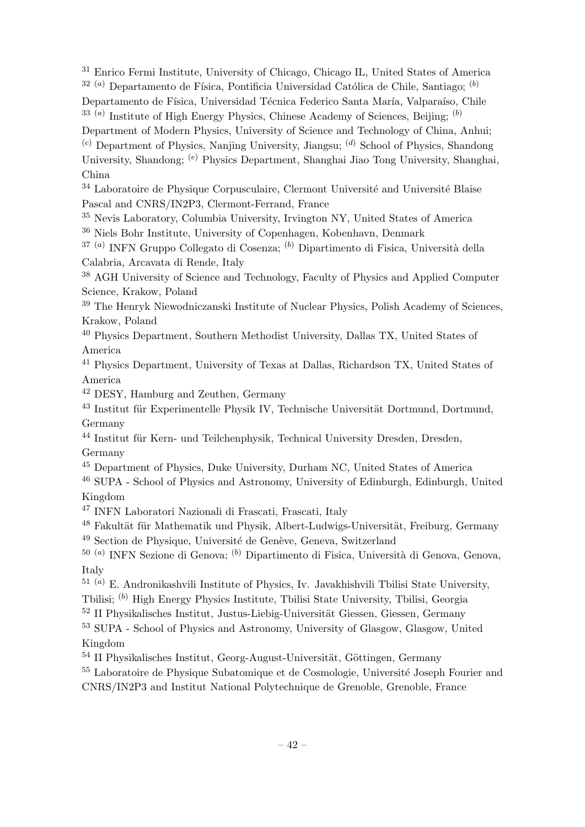<sup>31</sup> Enrico Fermi Institute, University of Chicago, Chicago IL, United States of America  $32(a)$  Departamento de Física, Pontificia Universidad Católica de Chile, Santiago;  $(b)$ Departamento de Física, Universidad Técnica Federico Santa María, Valparaíso, Chile  $33$  (a) Institute of High Energy Physics, Chinese Academy of Sciences, Beijing; (b)

Department of Modern Physics, University of Science and Technology of China, Anhui;  $(c)$  Department of Physics, Nanjing University, Jiangsu;  $(d)$  School of Physics, Shandong University, Shandong; (e) Physics Department, Shanghai Jiao Tong University, Shanghai, China

 $34$  Laboratoire de Physique Corpusculaire, Clermont Université and Université Blaise Pascal and CNRS/IN2P3, Clermont-Ferrand, France

<sup>35</sup> Nevis Laboratory, Columbia University, Irvington NY, United States of America <sup>36</sup> Niels Bohr Institute, University of Copenhagen, Kobenhavn, Denmark

<sup>37 (a)</sup> INFN Gruppo Collegato di Cosenza; <sup>(b)</sup> Dipartimento di Fisica, Università della Calabria, Arcavata di Rende, Italy

<sup>38</sup> AGH University of Science and Technology, Faculty of Physics and Applied Computer Science, Krakow, Poland

<sup>39</sup> The Henryk Niewodniczanski Institute of Nuclear Physics, Polish Academy of Sciences, Krakow, Poland

<sup>40</sup> Physics Department, Southern Methodist University, Dallas TX, United States of America

<sup>41</sup> Physics Department, University of Texas at Dallas, Richardson TX, United States of America

<sup>42</sup> DESY, Hamburg and Zeuthen, Germany

 $43$  Institut für Experimentelle Physik IV, Technische Universität Dortmund, Dortmund, Germany

<sup>44</sup> Institut für Kern- und Teilchenphysik, Technical University Dresden, Dresden, Germany

<sup>45</sup> Department of Physics, Duke University, Durham NC, United States of America

<sup>46</sup> SUPA - School of Physics and Astronomy, University of Edinburgh, Edinburgh, United Kingdom

<sup>47</sup> INFN Laboratori Nazionali di Frascati, Frascati, Italy

<sup>48</sup> Fakultät für Mathematik und Physik, Albert-Ludwigs-Universität, Freiburg, Germany

<sup>49</sup> Section de Physique, Université de Genève, Geneva, Switzerland

<sup>50 (a)</sup> INFN Sezione di Genova; <sup>(b)</sup> Dipartimento di Fisica, Università di Genova, Genova, Italy

 $^{51}$  (a) E. Andronikashvili Institute of Physics, Iv. Javakhishvili Tbilisi State University, Tbilisi; (b) High Energy Physics Institute, Tbilisi State University, Tbilisi, Georgia

 $52$  II Physikalisches Institut, Justus-Liebig-Universität Giessen, Giessen, Germany

<sup>53</sup> SUPA - School of Physics and Astronomy, University of Glasgow, Glasgow, United Kingdom

 $54$  II Physikalisches Institut, Georg-August-Universität, Göttingen, Germany

<sup>55</sup> Laboratoire de Physique Subatomique et de Cosmologie, Université Joseph Fourier and CNRS/IN2P3 and Institut National Polytechnique de Grenoble, Grenoble, France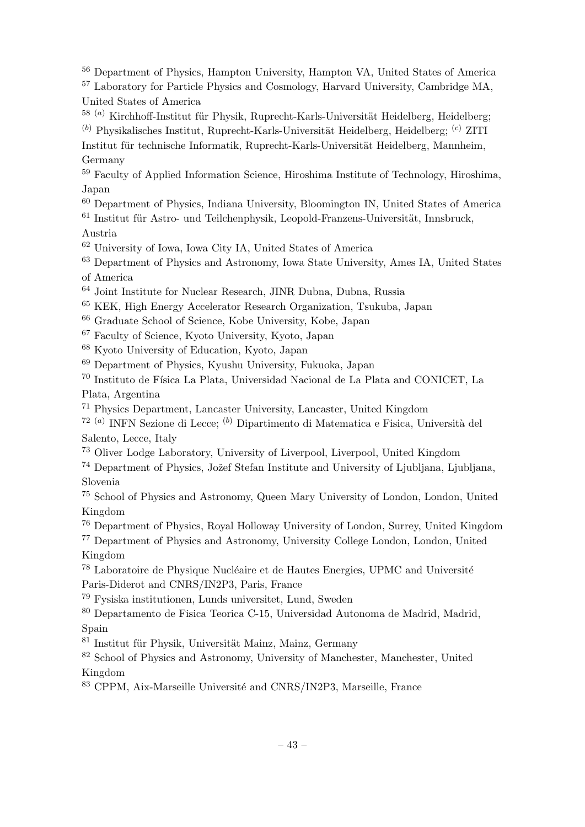<sup>56</sup> Department of Physics, Hampton University, Hampton VA, United States of America <sup>57</sup> Laboratory for Particle Physics and Cosmology, Harvard University, Cambridge MA, United States of America

 $^{58}$  (a) Kirchhoff-Institut für Physik, Ruprecht-Karls-Universität Heidelberg, Heidelberg;

 $(6)$  Physikalisches Institut, Ruprecht-Karls-Universität Heidelberg, Heidelberg;  $(6)$  ZITI Institut für technische Informatik, Ruprecht-Karls-Universität Heidelberg, Mannheim, Germany

<sup>59</sup> Faculty of Applied Information Science, Hiroshima Institute of Technology, Hiroshima, Japan

<sup>60</sup> Department of Physics, Indiana University, Bloomington IN, United States of America

 $61$  Institut für Astro- und Teilchenphysik, Leopold-Franzens-Universität, Innsbruck, Austria

<sup>62</sup> University of Iowa, Iowa City IA, United States of America

<sup>63</sup> Department of Physics and Astronomy, Iowa State University, Ames IA, United States of America

<sup>64</sup> Joint Institute for Nuclear Research, JINR Dubna, Dubna, Russia

<sup>65</sup> KEK, High Energy Accelerator Research Organization, Tsukuba, Japan

<sup>66</sup> Graduate School of Science, Kobe University, Kobe, Japan

<sup>67</sup> Faculty of Science, Kyoto University, Kyoto, Japan

<sup>68</sup> Kyoto University of Education, Kyoto, Japan

<sup>69</sup> Department of Physics, Kyushu University, Fukuoka, Japan

<sup>70</sup> Instituto de Física La Plata, Universidad Nacional de La Plata and CONICET. La Plata, Argentina

<sup>71</sup> Physics Department, Lancaster University, Lancaster, United Kingdom

<sup>72 (a)</sup> INFN Sezione di Lecce; <sup>(b)</sup> Dipartimento di Matematica e Fisica, Università del Salento, Lecce, Italy

<sup>73</sup> Oliver Lodge Laboratory, University of Liverpool, Liverpool, United Kingdom

<sup>74</sup> Department of Physics, Jožef Stefan Institute and University of Ljubljana, Ljubljana, Slovenia

<sup>75</sup> School of Physics and Astronomy, Queen Mary University of London, London, United Kingdom

<sup>76</sup> Department of Physics, Royal Holloway University of London, Surrey, United Kingdom

<sup>77</sup> Department of Physics and Astronomy, University College London, London, United Kingdom

 $78$  Laboratoire de Physique Nucléaire et de Hautes Energies, UPMC and Université Paris-Diderot and CNRS/IN2P3, Paris, France

<sup>79</sup> Fysiska institutionen, Lunds universitet, Lund, Sweden

<sup>80</sup> Departamento de Fisica Teorica C-15, Universidad Autonoma de Madrid, Madrid, Spain

 $81$  Institut für Physik, Universität Mainz, Mainz, Germany

<sup>82</sup> School of Physics and Astronomy, University of Manchester, Manchester, United Kingdom

<sup>83</sup> CPPM, Aix-Marseille Université and CNRS/IN2P3, Marseille, France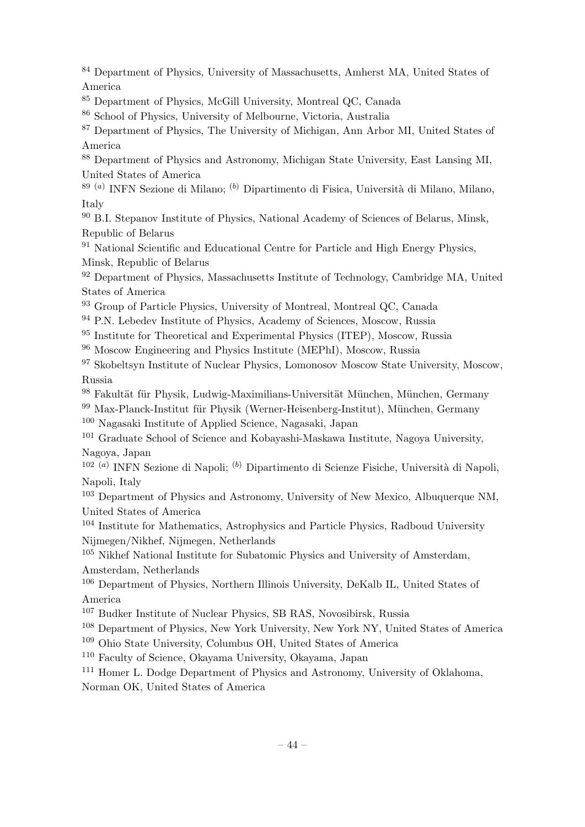<sup>84</sup> Department of Physics, University of Massachusetts, Amherst MA, United States of America

<sup>85</sup> Department of Physics, McGill University, Montreal QC, Canada

<sup>86</sup> School of Physics, University of Melbourne, Victoria, Australia

<sup>87</sup> Department of Physics, The University of Michigan, Ann Arbor MI, United States of America

<sup>88</sup> Department of Physics and Astronomy, Michigan State University, East Lansing MI, United States of America

<sup>89 (a)</sup> INFN Sezione di Milano; <sup>(b)</sup> Dipartimento di Fisica, Università di Milano, Milano, Italy

<sup>90</sup> B.I. Stepanov Institute of Physics, National Academy of Sciences of Belarus, Minsk, Republic of Belarus

<sup>91</sup> National Scientific and Educational Centre for Particle and High Energy Physics, Minsk, Republic of Belarus

<sup>92</sup> Department of Physics, Massachusetts Institute of Technology, Cambridge MA, United States of America

<sup>93</sup> Group of Particle Physics, University of Montreal, Montreal QC, Canada

<sup>94</sup> P.N. Lebedev Institute of Physics, Academy of Sciences, Moscow, Russia

<sup>95</sup> Institute for Theoretical and Experimental Physics (ITEP), Moscow, Russia

<sup>96</sup> Moscow Engineering and Physics Institute (MEPhI), Moscow, Russia

<sup>97</sup> Skobeltsyn Institute of Nuclear Physics, Lomonosov Moscow State University, Moscow, Russia

98 Fakultät für Physik, Ludwig-Maximilians-Universität München, München, Germany

 $99$  Max-Planck-Institut für Physik (Werner-Heisenberg-Institut), München, Germany

<sup>100</sup> Nagasaki Institute of Applied Science, Nagasaki, Japan

<sup>101</sup> Graduate School of Science and Kobayashi-Maskawa Institute, Nagoya University, Nagoya, Japan

<sup>102 (a)</sup> INFN Sezione di Napoli; <sup>(b)</sup> Dipartimento di Scienze Fisiche, Università di Napoli, Napoli, Italy

<sup>103</sup> Department of Physics and Astronomy, University of New Mexico, Albuquerque NM, United States of America

<sup>104</sup> Institute for Mathematics, Astrophysics and Particle Physics, Radboud University Nijmegen/Nikhef, Nijmegen, Netherlands

<sup>105</sup> Nikhef National Institute for Subatomic Physics and University of Amsterdam, Amsterdam, Netherlands

<sup>106</sup> Department of Physics, Northern Illinois University, DeKalb IL, United States of America

<sup>107</sup> Budker Institute of Nuclear Physics, SB RAS, Novosibirsk, Russia

<sup>108</sup> Department of Physics, New York University, New York NY, United States of America

<sup>109</sup> Ohio State University, Columbus OH, United States of America

<sup>110</sup> Faculty of Science, Okayama University, Okayama, Japan

<sup>111</sup> Homer L. Dodge Department of Physics and Astronomy, University of Oklahoma,

Norman OK, United States of America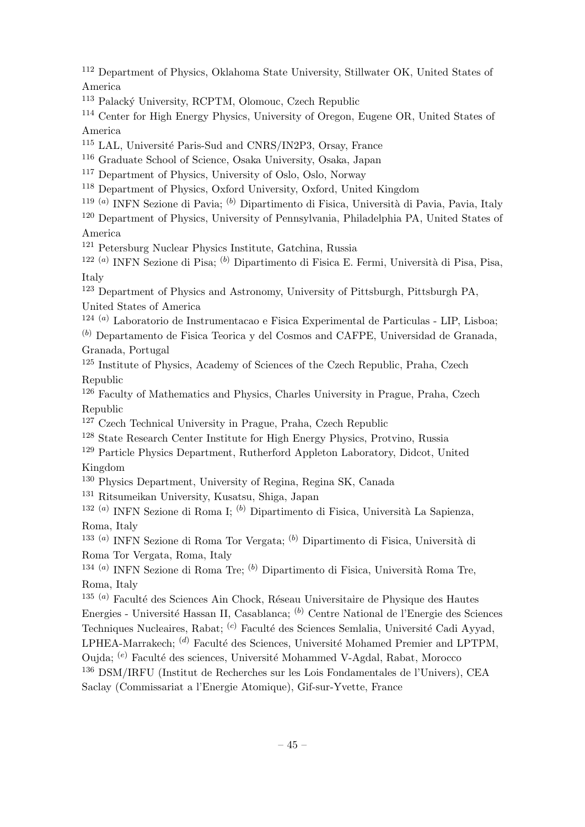<sup>112</sup> Department of Physics, Oklahoma State University, Stillwater OK, United States of America

<sup>113</sup> Palacký University, RCPTM, Olomouc, Czech Republic

<sup>114</sup> Center for High Energy Physics, University of Oregon, Eugene OR, United States of America

<sup>115</sup> LAL, Université Paris-Sud and CNRS/IN2P3, Orsay, France

<sup>116</sup> Graduate School of Science, Osaka University, Osaka, Japan

<sup>117</sup> Department of Physics, University of Oslo, Oslo, Norway

<sup>118</sup> Department of Physics, Oxford University, Oxford, United Kingdom

<sup>119 (a)</sup> INFN Sezione di Pavia; <sup>(b)</sup> Dipartimento di Fisica, Università di Pavia, Pavia, Italy

<sup>120</sup> Department of Physics, University of Pennsylvania, Philadelphia PA, United States of America

<sup>121</sup> Petersburg Nuclear Physics Institute, Gatchina, Russia

<sup>122 (a)</sup> INFN Sezione di Pisa; <sup>(b)</sup> Dipartimento di Fisica E. Fermi, Università di Pisa, Pisa, Italy

<sup>123</sup> Department of Physics and Astronomy, University of Pittsburgh, Pittsburgh PA, United States of America

124 (a) Laboratorio de Instrumentacao e Fisica Experimental de Particulas - LIP, Lisboa;

 $(b)$  Departamento de Fisica Teorica y del Cosmos and CAFPE, Universidad de Granada, Granada, Portugal

<sup>125</sup> Institute of Physics, Academy of Sciences of the Czech Republic, Praha, Czech Republic

<sup>126</sup> Faculty of Mathematics and Physics, Charles University in Prague, Praha, Czech Republic

<sup>127</sup> Czech Technical University in Prague, Praha, Czech Republic

<sup>128</sup> State Research Center Institute for High Energy Physics, Protvino, Russia

<sup>129</sup> Particle Physics Department, Rutherford Appleton Laboratory, Didcot, United Kingdom

<sup>130</sup> Physics Department, University of Regina, Regina SK, Canada

<sup>131</sup> Ritsumeikan University, Kusatsu, Shiga, Japan

<sup>132 (a)</sup> INFN Sezione di Roma I; <sup>(b)</sup> Dipartimento di Fisica, Università La Sapienza, Roma, Italy

<sup>133 (a)</sup> INFN Sezione di Roma Tor Vergata; <sup>(b)</sup> Dipartimento di Fisica, Università di Roma Tor Vergata, Roma, Italy

<sup>134 (a)</sup> INFN Sezione di Roma Tre; <sup>(b)</sup> Dipartimento di Fisica, Università Roma Tre, Roma, Italy

 $135$ <sup>(a)</sup> Faculté des Sciences Ain Chock, Réseau Universitaire de Physique des Hautes Energies - Université Hassan II, Casablanca; <sup>(b)</sup> Centre National de l'Energie des Sciences Techniques Nucleaires, Rabat; <sup>(c)</sup> Faculté des Sciences Semlalia, Université Cadi Ayyad, LPHEA-Marrakech;  $^{(d)}$  Faculté des Sciences, Université Mohamed Premier and LPTPM, Quida; <sup>(e)</sup> Faculté des sciences, Université Mohammed V-Agdal, Rabat, Morocco <sup>136</sup> DSM/IRFU (Institut de Recherches sur les Lois Fondamentales de l'Univers), CEA

Saclay (Commissariat a l'Energie Atomique), Gif-sur-Yvette, France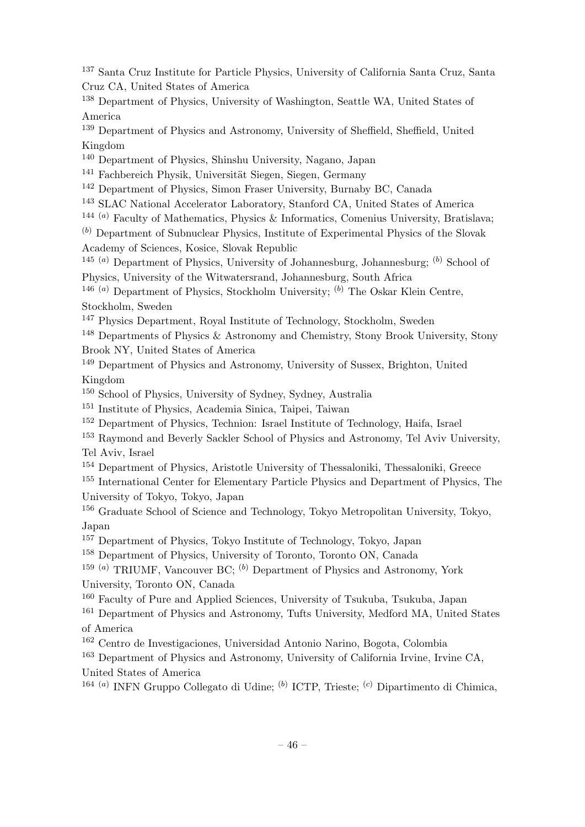<sup>137</sup> Santa Cruz Institute for Particle Physics, University of California Santa Cruz, Santa Cruz CA, United States of America

<sup>138</sup> Department of Physics, University of Washington, Seattle WA, United States of America

<sup>139</sup> Department of Physics and Astronomy, University of Sheffield, Sheffield, United Kingdom

<sup>140</sup> Department of Physics, Shinshu University, Nagano, Japan

 $^{141}$  Fachbereich Physik, Universität Siegen, Siegen, Germany

<sup>142</sup> Department of Physics, Simon Fraser University, Burnaby BC, Canada

<sup>143</sup> SLAC National Accelerator Laboratory, Stanford CA, United States of America

144 (a) Faculty of Mathematics, Physics & Informatics, Comenius University, Bratislava;

 $(b)$  Department of Subnuclear Physics, Institute of Experimental Physics of the Slovak Academy of Sciences, Kosice, Slovak Republic

<sup>145 (a)</sup> Department of Physics, University of Johannesburg, Johannesburg;  $(b)$  School of Physics, University of the Witwatersrand, Johannesburg, South Africa

<sup>146 (a)</sup> Department of Physics, Stockholm University;  $(b)$  The Oskar Klein Centre, Stockholm, Sweden

<sup>147</sup> Physics Department, Royal Institute of Technology, Stockholm, Sweden

<sup>148</sup> Departments of Physics & Astronomy and Chemistry, Stony Brook University, Stony Brook NY, United States of America

<sup>149</sup> Department of Physics and Astronomy, University of Sussex, Brighton, United Kingdom

<sup>150</sup> School of Physics, University of Sydney, Sydney, Australia

<sup>151</sup> Institute of Physics, Academia Sinica, Taipei, Taiwan

<sup>152</sup> Department of Physics, Technion: Israel Institute of Technology, Haifa, Israel

<sup>153</sup> Raymond and Beverly Sackler School of Physics and Astronomy, Tel Aviv University, Tel Aviv, Israel

<sup>154</sup> Department of Physics, Aristotle University of Thessaloniki, Thessaloniki, Greece

<sup>155</sup> International Center for Elementary Particle Physics and Department of Physics, The University of Tokyo, Tokyo, Japan

<sup>156</sup> Graduate School of Science and Technology, Tokyo Metropolitan University, Tokyo, Japan

<sup>157</sup> Department of Physics, Tokyo Institute of Technology, Tokyo, Japan

<sup>158</sup> Department of Physics, University of Toronto, Toronto ON, Canada

<sup>159 (a)</sup> TRIUMF, Vancouver BC;  $^{(b)}$  Department of Physics and Astronomy, York University, Toronto ON, Canada

<sup>160</sup> Faculty of Pure and Applied Sciences, University of Tsukuba, Tsukuba, Japan

<sup>161</sup> Department of Physics and Astronomy, Tufts University, Medford MA, United States of America

<sup>162</sup> Centro de Investigaciones, Universidad Antonio Narino, Bogota, Colombia

<sup>163</sup> Department of Physics and Astronomy, University of California Irvine, Irvine CA, United States of America

<sup>164 (a)</sup> INFN Gruppo Collegato di Udine; <sup>(b)</sup> ICTP, Trieste; <sup>(c)</sup> Dipartimento di Chimica,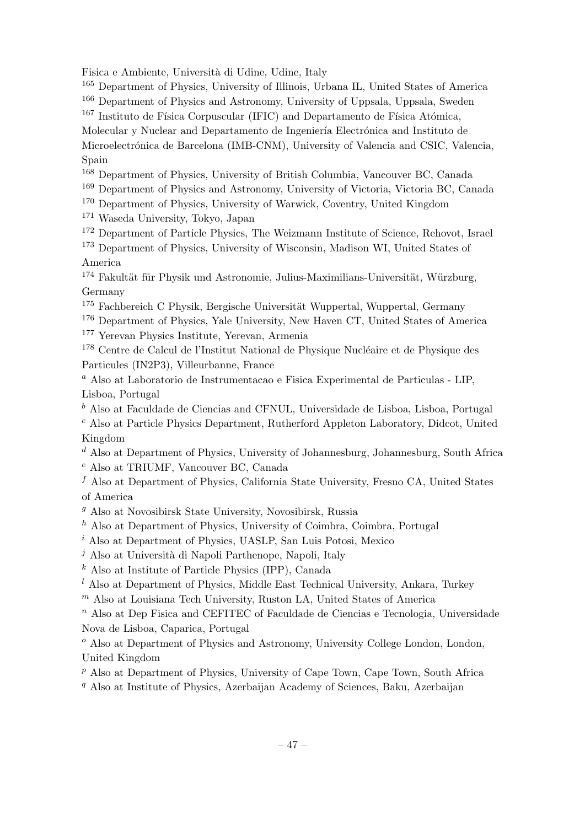Fisica e Ambiente, Università di Udine, Udine, Italy

<sup>165</sup> Department of Physics, University of Illinois, Urbana IL, United States of America

<sup>166</sup> Department of Physics and Astronomy, University of Uppsala, Uppsala, Sweden

 $167$  Instituto de Física Corpuscular (IFIC) and Departamento de Física Atómica,

Molecular y Nuclear and Departamento de Ingeniería Electrónica and Instituto de Microelectrónica de Barcelona (IMB-CNM), University of Valencia and CSIC, Valencia, Spain

<sup>168</sup> Department of Physics, University of British Columbia, Vancouver BC, Canada

<sup>169</sup> Department of Physics and Astronomy, University of Victoria, Victoria BC, Canada

<sup>170</sup> Department of Physics, University of Warwick, Coventry, United Kingdom

<sup>171</sup> Waseda University, Tokyo, Japan

<sup>172</sup> Department of Particle Physics, The Weizmann Institute of Science, Rehovot, Israel

<sup>173</sup> Department of Physics, University of Wisconsin, Madison WI, United States of America

<sup>174</sup> Fakultät für Physik und Astronomie, Julius-Maximilians-Universität, Würzburg, Germany

 $175$  Fachbereich C Physik, Bergische Universität Wuppertal, Wuppertal, Germany

<sup>176</sup> Department of Physics, Yale University, New Haven CT, United States of America <sup>177</sup> Yerevan Physics Institute, Yerevan, Armenia

<sup>178</sup> Centre de Calcul de l'Institut National de Physique Nucléaire et de Physique des Particules (IN2P3), Villeurbanne, France

 $a$  Also at Laboratorio de Instrumentacao e Fisica Experimental de Particulas - LIP, Lisboa, Portugal

 $<sup>b</sup>$  Also at Faculdade de Ciencias and CFNUL, Universidade de Lisboa, Lisboa, Portugal</sup>

<sup>c</sup> Also at Particle Physics Department, Rutherford Appleton Laboratory, Didcot, United Kingdom

 $d$  Also at Department of Physics, University of Johannesburg, Johannesburg, South Africa

<sup>e</sup> Also at TRIUMF, Vancouver BC, Canada

 $f$  Also at Department of Physics, California State University, Fresno CA, United States of America

 $g$  Also at Novosibirsk State University, Novosibirsk, Russia

 $h$  Also at Department of Physics, University of Coimbra, Coimbra, Portugal

<sup>i</sup> Also at Department of Physics, UASLP, San Luis Potosi, Mexico

 $j$  Also at Università di Napoli Parthenope, Napoli, Italy

 $k$  Also at Institute of Particle Physics (IPP), Canada

 $l$  Also at Department of Physics, Middle East Technical University, Ankara, Turkey

 $<sup>m</sup>$  Also at Louisiana Tech University, Ruston LA, United States of America</sup>

 $n$  Also at Dep Fisica and CEFITEC of Faculdade de Ciencias e Tecnologia, Universidade Nova de Lisboa, Caparica, Portugal

 $\degree$  Also at Department of Physics and Astronomy, University College London, London, United Kingdom

 $p$  Also at Department of Physics, University of Cape Town, Cape Town, South Africa

<sup>q</sup> Also at Institute of Physics, Azerbaijan Academy of Sciences, Baku, Azerbaijan